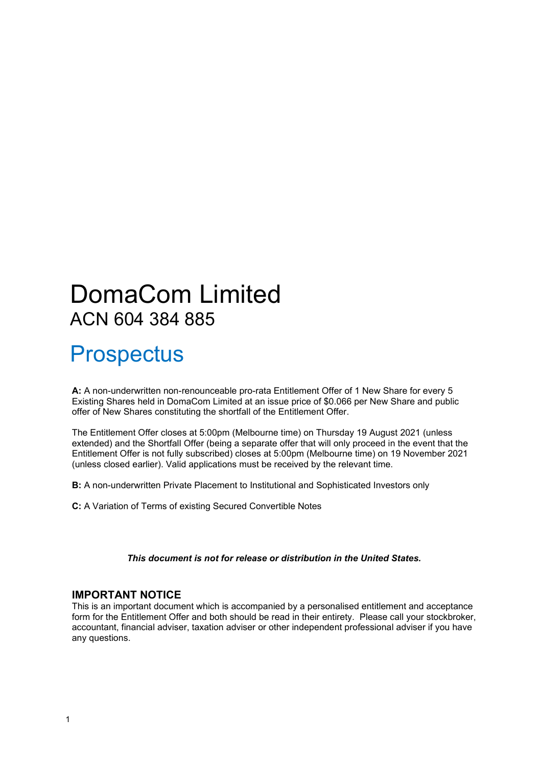## DomaCom Limited ACN 604 384 885

## **Prospectus**

**A:** A non-underwritten non-renounceable pro-rata Entitlement Offer of 1 New Share for every 5 Existing Shares held in DomaCom Limited at an issue price of \$0.066 per New Share and public offer of New Shares constituting the shortfall of the Entitlement Offer.

The Entitlement Offer closes at 5:00pm (Melbourne time) on Thursday 19 August 2021 (unless extended) and the Shortfall Offer (being a separate offer that will only proceed in the event that the Entitlement Offer is not fully subscribed) closes at 5:00pm (Melbourne time) on 19 November 2021 (unless closed earlier). Valid applications must be received by the relevant time.

**B:** A non-underwritten Private Placement to Institutional and Sophisticated Investors only

**C:** A Variation of Terms of existing Secured Convertible Notes

*This document is not for release or distribution in the United States.*

## **IMPORTANT NOTICE**

This is an important document which is accompanied by a personalised entitlement and acceptance form for the Entitlement Offer and both should be read in their entirety. Please call your stockbroker, accountant, financial adviser, taxation adviser or other independent professional adviser if you have any questions.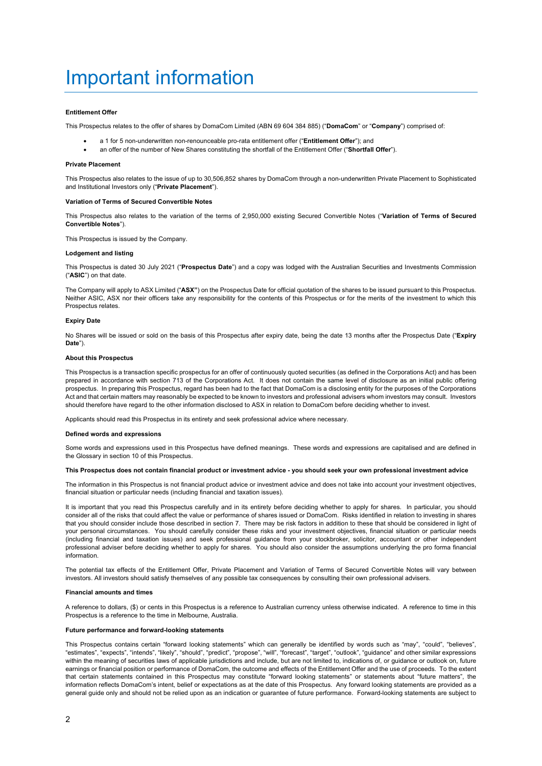## <span id="page-1-0"></span>Important information

#### **Entitlement Offer**

This Prospectus relates to the offer of shares by DomaCom Limited (ABN 69 604 384 885) ("**DomaCom**" or "**Company**") comprised of:

- a 1 for 5 non-underwritten non-renounceable pro-rata entitlement offer ("**Entitlement Offer**"); and
- an offer of the number of New Shares constituting the shortfall of the Entitlement Offer ("**Shortfall Offer**").

#### **Private Placement**

This Prospectus also relates to the issue of up to 30,506,852 shares by DomaCom through a non-underwritten Private Placement to Sophisticated and Institutional Investors only ("**Private Placement**").

#### **Variation of Terms of Secured Convertible Notes**

This Prospectus also relates to the variation of the terms of 2,950,000 existing Secured Convertible Notes ("**Variation of Terms of Secured Convertible Notes**").

This Prospectus is issued by the Company.

#### **Lodgement and listing**

This Prospectus is dated 30 July 2021 ("**Prospectus Date**") and a copy was lodged with the Australian Securities and Investments Commission ("**ASIC**") on that date.

The Company will apply to ASX Limited ("**ASX"**) on the Prospectus Date for official quotation of the shares to be issued pursuant to this Prospectus. Neither ASIC, ASX nor their officers take any responsibility for the contents of this Prospectus or for the merits of the investment to which this Prospectus relates.

#### **Expiry Date**

No Shares will be issued or sold on the basis of this Prospectus after expiry date, being the date 13 months after the Prospectus Date ("**Expiry Date**").

#### **About this Prospectus**

This Prospectus is a transaction specific prospectus for an offer of continuously quoted securities (as defined in the Corporations Act) and has been prepared in accordance with section 713 of the Corporations Act. It does not contain the same level of disclosure as an initial public offering prospectus. In preparing this Prospectus, regard has been had to the fact that DomaCom is a disclosing entity for the purposes of the Corporations Act and that certain matters may reasonably be expected to be known to investors and professional advisers whom investors may consult. Investors should therefore have regard to the other information disclosed to ASX in relation to DomaCom before deciding whether to invest.

Applicants should read this Prospectus in its entirety and seek professional advice where necessary.

#### **Defined words and expressions**

Some words and expressions used in this Prospectus have defined meanings. These words and expressions are capitalised and are defined in the Glossary in section [10](#page-50-0) of this Prospectus.

#### **This Prospectus does not contain financial product or investment advice - you should seek your own professional investment advice**

The information in this Prospectus is not financial product advice or investment advice and does not take into account your investment objectives, financial situation or particular needs (including financial and taxation issues).

It is important that you read this Prospectus carefully and in its entirety before deciding whether to apply for shares. In particular, you should consider all of the risks that could affect the value or performance of shares issued or DomaCom. Risks identified in relation to investing in shares that you should consider include those described in sectio[n 7.](#page-34-0) There may be risk factors in addition to these that should be considered in light of your personal circumstances. You should carefully consider these risks and your investment objectives, financial situation or particular needs (including financial and taxation issues) and seek professional guidance from your stockbroker, solicitor, accountant or other independent professional adviser before deciding whether to apply for shares. You should also consider the assumptions underlying the pro forma financial information.

The potential tax effects of the Entitlement Offer, Private Placement and Variation of Terms of Secured Convertible Notes will vary between investors. All investors should satisfy themselves of any possible tax consequences by consulting their own professional advisers.

#### **Financial amounts and times**

A reference to dollars, (\$) or cents in this Prospectus is a reference to Australian currency unless otherwise indicated. A reference to time in this Prospectus is a reference to the time in Melbourne, Australia.

#### **Future performance and forward-looking statements**

This Prospectus contains certain "forward looking statements" which can generally be identified by words such as "may", "could", "believes", "estimates", "expects", "intends", "likely", "should", "predict", "propose", "will", "forecast", "target", "outlook", "guidance" and other similar expressions within the meaning of securities laws of applicable jurisdictions and include, but are not limited to, indications of, or guidance or outlook on, future earnings or financial position or performance of DomaCom, the outcome and effects of the Entitlement Offer and the use of proceeds. To the extent that certain statements contained in this Prospectus may constitute "forward looking statements" or statements about "future matters", the information reflects DomaCom's intent, belief or expectations as at the date of this Prospectus. Any forward looking statements are provided as a general guide only and should not be relied upon as an indication or guarantee of future performance. Forward-looking statements are subject to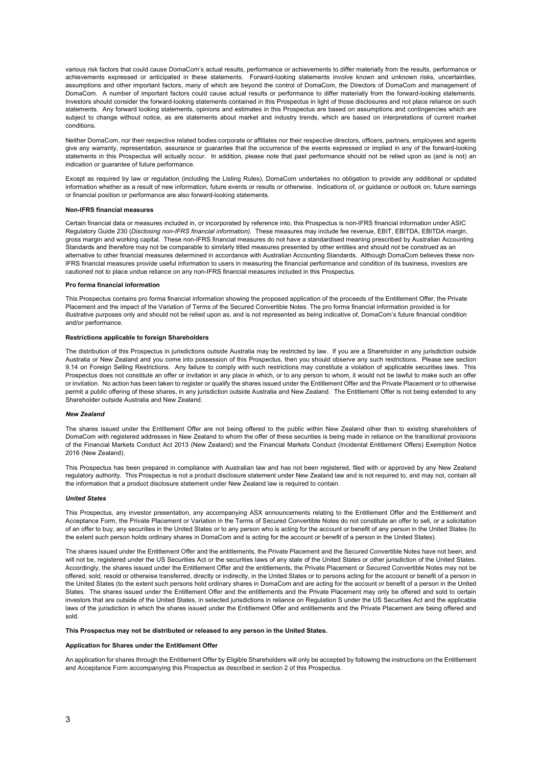various risk factors that could cause DomaCom's actual results, performance or achievements to differ materially from the results, performance or achievements expressed or anticipated in these statements. Forward-looking statements involve known and unknown risks, uncertainties, assumptions and other important factors, many of which are beyond the control of DomaCom, the Directors of DomaCom and management of DomaCom. A number of important factors could cause actual results or performance to differ materially from the forward-looking statements. Investors should consider the forward-looking statements contained in this Prospectus in light of those disclosures and not place reliance on such statements. Any forward looking statements, opinions and estimates in this Prospectus are based on assumptions and contingencies which are subject to change without notice, as are statements about market and industry trends, which are based on interpretations of current market conditions.

Neither DomaCom, nor their respective related bodies corporate or affiliates nor their respective directors, officers, partners, employees and agents give any warranty, representation, assurance or guarantee that the occurrence of the events expressed or implied in any of the forward-looking statements in this Prospectus will actually occur. In addition, please note that past performance should not be relied upon as (and is not) an indication or guarantee of future performance.

Except as required by law or regulation (including the Listing Rules), DomaCom undertakes no obligation to provide any additional or updated information whether as a result of new information, future events or results or otherwise. Indications of, or guidance or outlook on, future earnings or financial position or performance are also forward-looking statements.

#### **Non-IFRS financial measures**

Certain financial data or measures included in, or incorporated by reference into, this Prospectus is non-IFRS financial information under ASIC Regulatory Guide 230 (*Disclosing non-IFRS financial information).* These measures may include fee revenue, EBIT, EBITDA, EBITDA margin, gross margin and working capital. These non-IFRS financial measures do not have a standardised meaning prescribed by Australian Accounting Standards and therefore may not be comparable to similarly titled measures presented by other entities and should not be construed as an alternative to other financial measures determined in accordance with Australian Accounting Standards. Although DomaCom believes these non-IFRS financial measures provide useful information to users in measuring the financial performance and condition of its business, investors are cautioned not to place undue reliance on any non-IFRS financial measures included in this Prospectus.

#### **Pro forma financial information**

This Prospectus contains pro forma financial information showing the proposed application of the proceeds of the Entitlement Offer, the Private Placement and the impact of the Variation of Terms of the Secured Convertible Notes. The pro forma financial information provided is for illustrative purposes only and should not be relied upon as, and is not represented as being indicative of, DomaCom's future financial condition and/or performance.

#### **Restrictions applicable to foreign Shareholders**

The distribution of this Prospectus in jurisdictions outside Australia may be restricted by law. If you are a Shareholder in any jurisdiction outside Australia or New Zealand and you come into possession of this Prospectus, then you should observe any such restrictions. Please see section [9.14](#page-49-0) on Foreign Selling Restrictions. Any failure to comply with such restrictions may constitute a violation of applicable securities laws. This Prospectus does not constitute an offer or invitation in any place in which, or to any person to whom, it would not be lawful to make such an offer or invitation. No action has been taken to register or qualify the shares issued under the Entitlement Offer and the Private Placement or to otherwise permit a public offering of these shares, in any jurisdiction outside Australia and New Zealand. The Entitlement Offer is not being extended to any Shareholder outside Australia and New Zealand.

#### *New Zealand*

The shares issued under the Entitlement Offer are not being offered to the public within New Zealand other than to existing shareholders of DomaCom with registered addresses in New Zealand to whom the offer of these securities is being made in reliance on the transitional provisions of the Financial Markets Conduct Act 2013 (New Zealand) and the Financial Markets Conduct (Incidental Entitlement Offers) Exemption Notice 2016 (New Zealand).

This Prospectus has been prepared in compliance with Australian law and has not been registered, filed with or approved by any New Zealand regulatory authority. This Prospectus is not a product disclosure statement under New Zealand law and is not required to, and may not, contain all the information that a product disclosure statement under New Zealand law is required to contain.

#### *United States*

This Prospectus, any investor presentation, any accompanying ASX announcements relating to the Entitlement Offer and the Entitlement and Acceptance Form, the Private Placement or Variation in the Terms of Secured Convertible Notes do not constitute an offer to sell, or a solicitation of an offer to buy, any securities in the United States or to any person who is acting for the account or benefit of any person in the United States (to the extent such person holds ordinary shares in DomaCom and is acting for the account or benefit of a person in the United States).

The shares issued under the Entitlement Offer and the entitlements, the Private Placement and the Secured Convertible Notes have not been, and will not be, registered under the US Securities Act or the securities laws of any state of the United States or other jurisdiction of the United States. Accordingly, the shares issued under the Entitlement Offer and the entitlements, the Private Placement or Secured Convertible Notes may not be offered, sold, resold or otherwise transferred, directly or indirectly, in the United States or to persons acting for the account or benefit of a person in the United States (to the extent such persons hold ordinary shares in DomaCom and are acting for the account or benefit of a person in the United States. The shares issued under the Entitlement Offer and the entitlements and the Private Placement may only be offered and sold to certain investors that are outside of the United States, in selected jurisdictions in reliance on Regulation S under the US Securities Act and the applicable laws of the jurisdiction in which the shares issued under the Entitlement Offer and entitlements and the Private Placement are being offered and sold.

#### **This Prospectus may not be distributed or released to any person in the United States.**

#### **Application for Shares under the Entitlement Offer**

An application for shares through the Entitlement Offer by Eligible Shareholders will only be accepted by following the instructions on the Entitlement and Acceptance Form accompanying this Prospectus as described in section 2 of this Prospectus.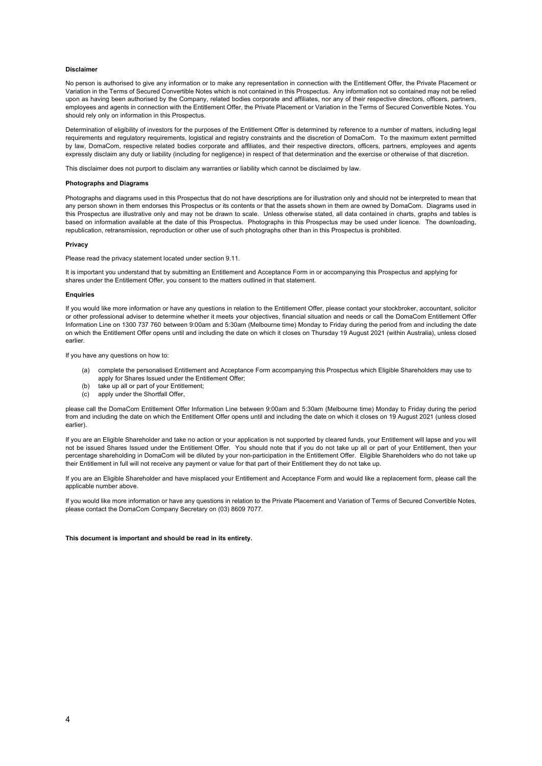#### **Disclaimer**

No person is authorised to give any information or to make any representation in connection with the Entitlement Offer, the Private Placement or Variation in the Terms of Secured Convertible Notes which is not contained in this Prospectus. Any information not so contained may not be relied upon as having been authorised by the Company, related bodies corporate and affiliates, nor any of their respective directors, officers, partners, employees and agents in connection with the Entitlement Offer, the Private Placement or Variation in the Terms of Secured Convertible Notes. You should rely only on information in this Prospectus.

Determination of eligibility of investors for the purposes of the Entitlement Offer is determined by reference to a number of matters, including legal requirements and regulatory requirements, logistical and registry constraints and the discretion of DomaCom. To the maximum extent permitted by law, DomaCom, respective related bodies corporate and affiliates, and their respective directors, officers, partners, employees and agents expressly disclaim any duty or liability (including for negligence) in respect of that determination and the exercise or otherwise of that discretion.

This disclaimer does not purport to disclaim any warranties or liability which cannot be disclaimed by law.

#### **Photographs and Diagrams**

Photographs and diagrams used in this Prospectus that do not have descriptions are for illustration only and should not be interpreted to mean that any person shown in them endorses this Prospectus or its contents or that the assets shown in them are owned by DomaCom. Diagrams used in this Prospectus are illustrative only and may not be drawn to scale. Unless otherwise stated, all data contained in charts, graphs and tables is based on information available at the date of this Prospectus. Photographs in this Prospectus may be used under licence. The downloading, republication, retransmission, reproduction or other use of such photographs other than in this Prospectus is prohibited.

#### **Privacy**

Please read the privacy statement located under sectio[n 9.11.](#page-48-0)

It is important you understand that by submitting an Entitlement and Acceptance Form in or accompanying this Prospectus and applying for shares under the Entitlement Offer, you consent to the matters outlined in that statement.

#### **Enquiries**

If you would like more information or have any questions in relation to the Entitlement Offer, please contact your stockbroker, accountant, solicitor or other professional adviser to determine whether it meets your objectives, financial situation and needs or call the DomaCom Entitlement Offer Information Line on 1300 737 760 between 9:00am and 5:30am (Melbourne time) Monday to Friday during the period from and including the date on which the Entitlement Offer opens until and including the date on which it closes on Thursday 19 August 2021 (within Australia), unless closed earlier.

If you have any questions on how to:

- (a) complete the personalised Entitlement and Acceptance Form accompanying this Prospectus which Eligible Shareholders may use to apply for Shares Issued under the Entitlement Offer;
- (b) take up all or part of your Entitlement;
- (c) apply under the Shortfall Offer,

please call the DomaCom Entitlement Offer Information Line between 9:00am and 5:30am (Melbourne time) Monday to Friday during the period from and including the date on which the Entitlement Offer opens until and including the date on which it closes on 19 August 2021 (unless closed earlier).

If you are an Eligible Shareholder and take no action or your application is not supported by cleared funds, your Entitlement will lapse and you will not be issued Shares Issued under the Entitlement Offer. You should note that if you do not take up all or part of your Entitlement, then your percentage shareholding in DomaCom will be diluted by your non-participation in the Entitlement Offer. Eligible Shareholders who do not take up their Entitlement in full will not receive any payment or value for that part of their Entitlement they do not take up.

If you are an Eligible Shareholder and have misplaced your Entitlement and Acceptance Form and would like a replacement form, please call the applicable number above.

If you would like more information or have any questions in relation to the Private Placement and Variation of Terms of Secured Convertible Notes, please contact the DomaCom Company Secretary on (03) 8609 7077.

#### **This document is important and should be read in its entirety.**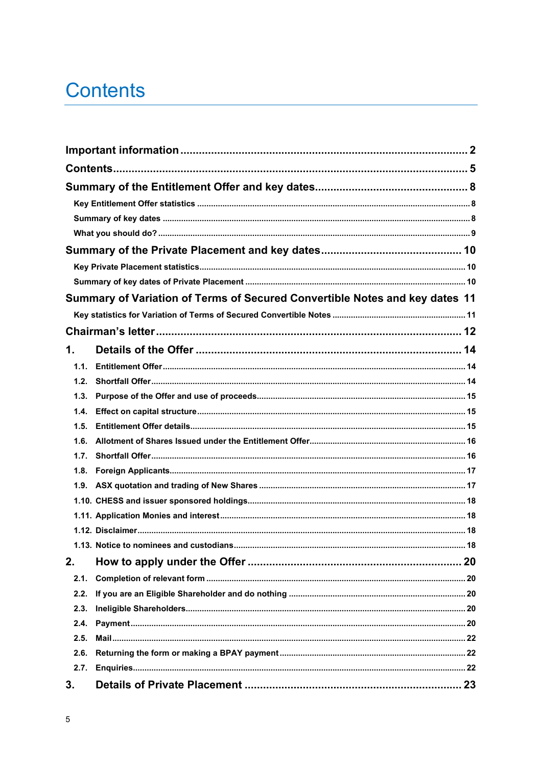## <span id="page-4-0"></span>**Contents**

|      | Summary of Variation of Terms of Secured Convertible Notes and key dates 11 |  |
|------|-----------------------------------------------------------------------------|--|
|      |                                                                             |  |
|      |                                                                             |  |
| 1.   |                                                                             |  |
| 1.1. |                                                                             |  |
| 1.2. |                                                                             |  |
| 1.3. |                                                                             |  |
| 1.4. |                                                                             |  |
| 1.5. |                                                                             |  |
| 1.6. |                                                                             |  |
| 1.7. |                                                                             |  |
| 1.8. |                                                                             |  |
|      |                                                                             |  |
|      |                                                                             |  |
|      |                                                                             |  |
|      |                                                                             |  |
|      |                                                                             |  |
| 2.   |                                                                             |  |
| 2.1. |                                                                             |  |
| 2.2. |                                                                             |  |
| 2.3. |                                                                             |  |
| 2.4. |                                                                             |  |
| 2.5. |                                                                             |  |
| 2.6. |                                                                             |  |
| 2.7. |                                                                             |  |
| 3.   |                                                                             |  |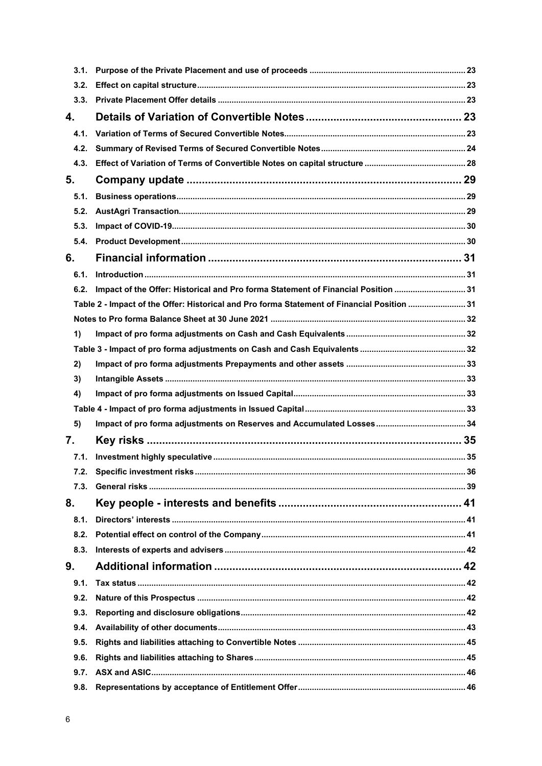| 3.1. |                                                                                            |  |
|------|--------------------------------------------------------------------------------------------|--|
| 3.2. |                                                                                            |  |
| 3.3. |                                                                                            |  |
| 4.   |                                                                                            |  |
| 4.1. |                                                                                            |  |
| 4.2. |                                                                                            |  |
| 4.3. |                                                                                            |  |
| 5.   |                                                                                            |  |
| 5.1. |                                                                                            |  |
| 5.2. |                                                                                            |  |
| 5.3. |                                                                                            |  |
| 5.4. |                                                                                            |  |
| 6.   |                                                                                            |  |
| 6.1. |                                                                                            |  |
| 6.2. | Impact of the Offer: Historical and Pro forma Statement of Financial Position  31          |  |
|      | Table 2 - Impact of the Offer: Historical and Pro forma Statement of Financial Position 31 |  |
|      |                                                                                            |  |
| 1)   |                                                                                            |  |
|      |                                                                                            |  |
| 2)   |                                                                                            |  |
| 3)   |                                                                                            |  |
| 4)   |                                                                                            |  |
|      |                                                                                            |  |
| 5)   |                                                                                            |  |
| 7.   | Key risks ………………………………………………………………………………………… 35                                            |  |
| 7.1. |                                                                                            |  |
| 7.2. |                                                                                            |  |
| 7.3. |                                                                                            |  |
| 8.   |                                                                                            |  |
| 8.1. |                                                                                            |  |
| 8.2. |                                                                                            |  |
| 8.3. |                                                                                            |  |
| 9.   |                                                                                            |  |
| 9.1. |                                                                                            |  |
| 9.2. |                                                                                            |  |
| 9.3. |                                                                                            |  |
| 9.4. |                                                                                            |  |
| 9.5. |                                                                                            |  |
| 9.6. |                                                                                            |  |
| 9.7. |                                                                                            |  |
| 9.8. |                                                                                            |  |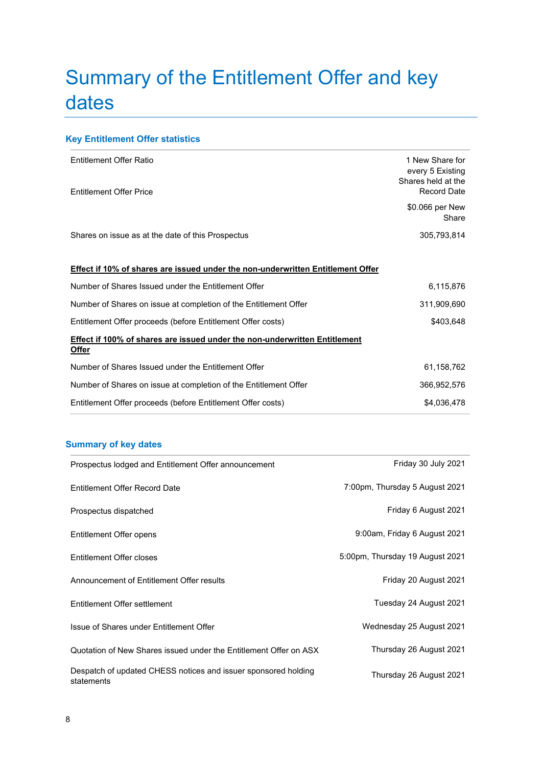## <span id="page-7-0"></span>Summary of the Entitlement Offer and key dates

## <span id="page-7-1"></span>**Key Entitlement Offer statistics**

| <b>Entitlement Offer Ratio</b><br><b>Entitlement Offer Price</b>                                  | 1 New Share for<br>every 5 Existing<br>Shares held at the<br>Record Date |
|---------------------------------------------------------------------------------------------------|--------------------------------------------------------------------------|
|                                                                                                   | \$0.066 per New<br>Share                                                 |
| Shares on issue as at the date of this Prospectus                                                 | 305,793,814                                                              |
| <b>Effect if 10% of shares are issued under the non-underwritten Entitlement Offer</b>            |                                                                          |
| Number of Shares Issued under the Entitlement Offer                                               | 6,115,876                                                                |
| Number of Shares on issue at completion of the Entitlement Offer                                  | 311,909,690                                                              |
| Entitlement Offer proceeds (before Entitlement Offer costs)                                       | \$403,648                                                                |
| <b>Effect if 100% of shares are issued under the non-underwritten Entitlement</b><br><u>Offer</u> |                                                                          |
| Number of Shares Issued under the Entitlement Offer                                               | 61,158,762                                                               |
| Number of Shares on issue at completion of the Entitlement Offer                                  | 366,952,576                                                              |
| Entitlement Offer proceeds (before Entitlement Offer costs)                                       | \$4,036,478                                                              |

## <span id="page-7-2"></span>**Summary of key dates**

| Prospectus lodged and Entitlement Offer announcement                         | Friday 30 July 2021             |
|------------------------------------------------------------------------------|---------------------------------|
| Entitlement Offer Record Date                                                | 7:00pm, Thursday 5 August 2021  |
| Prospectus dispatched                                                        | Friday 6 August 2021            |
| Entitlement Offer opens                                                      | 9:00am, Friday 6 August 2021    |
| Entitlement Offer closes                                                     | 5:00pm, Thursday 19 August 2021 |
| Announcement of Entitlement Offer results                                    | Friday 20 August 2021           |
| Entitlement Offer settlement                                                 | Tuesday 24 August 2021          |
| Issue of Shares under Entitlement Offer                                      | Wednesday 25 August 2021        |
| Quotation of New Shares issued under the Entitlement Offer on ASX            | Thursday 26 August 2021         |
| Despatch of updated CHESS notices and issuer sponsored holding<br>statements | Thursday 26 August 2021         |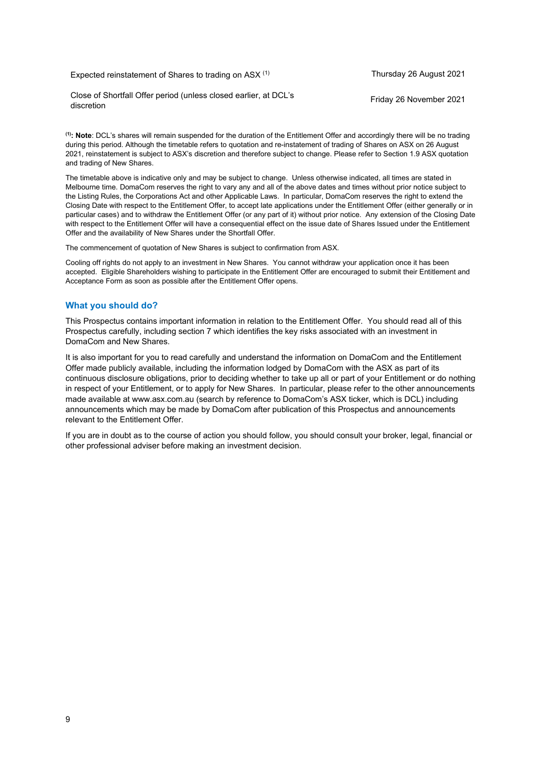## Expected reinstatement of Shares to trading on ASX<sup>(1)</sup> Thursday 26 August 2021

Close of Shortfall Offer period (unless closed earlier, at DCL's

**(1): Note**: DCL's shares will remain suspended for the duration of the Entitlement Offer and accordingly there will be no trading during this period. Although the timetable refers to quotation and re-instatement of trading of Shares on ASX on 26 August 2021, reinstatement is subject to ASX's discretion and therefore subject to change. Please refer to Section 1.9 ASX quotation and trading of New Shares.

The timetable above is indicative only and may be subject to change. Unless otherwise indicated, all times are stated in Melbourne time. DomaCom reserves the right to vary any and all of the above dates and times without prior notice subject to the Listing Rules, the Corporations Act and other Applicable Laws. In particular, DomaCom reserves the right to extend the Closing Date with respect to the Entitlement Offer, to accept late applications under the Entitlement Offer (either generally or in particular cases) and to withdraw the Entitlement Offer (or any part of it) without prior notice. Any extension of the Closing Date with respect to the Entitlement Offer will have a consequential effect on the issue date of Shares Issued under the Entitlement Offer and the availability of New Shares under the Shortfall Offer.

The commencement of quotation of New Shares is subject to confirmation from ASX.

Cooling off rights do not apply to an investment in New Shares. You cannot withdraw your application once it has been accepted. Eligible Shareholders wishing to participate in the Entitlement Offer are encouraged to submit their Entitlement and Acceptance Form as soon as possible after the Entitlement Offer opens.

## <span id="page-8-0"></span>**What you should do?**

This Prospectus contains important information in relation to the Entitlement Offer. You should read all of this Prospectus carefully, including section [7](#page-34-0) which identifies the key risks associated with an investment in DomaCom and New Shares.

It is also important for you to read carefully and understand the information on DomaCom and the Entitlement Offer made publicly available, including the information lodged by DomaCom with the ASX as part of its continuous disclosure obligations, prior to deciding whether to take up all or part of your Entitlement or do nothing in respect of your Entitlement, or to apply for New Shares. In particular, please refer to the other announcements made available at www.asx.com.au (search by reference to DomaCom's ASX ticker, which is DCL) including announcements which may be made by DomaCom after publication of this Prospectus and announcements relevant to the Entitlement Offer.

If you are in doubt as to the course of action you should follow, you should consult your broker, legal, financial or other professional adviser before making an investment decision.

Friday 26 November 2021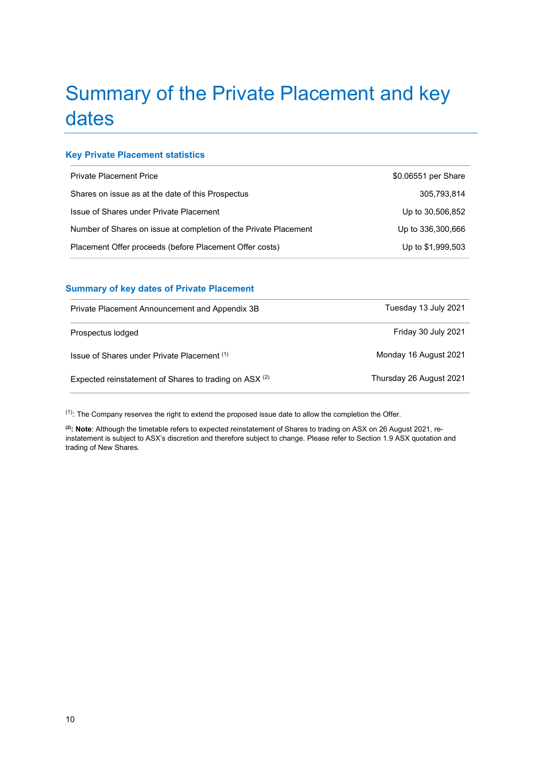## <span id="page-9-0"></span>Summary of the Private Placement and key dates

## <span id="page-9-1"></span>**Key Private Placement statistics**

| <b>Private Placement Price</b>                                   | \$0.06551 per Share |
|------------------------------------------------------------------|---------------------|
| Shares on issue as at the date of this Prospectus                | 305,793,814         |
| Issue of Shares under Private Placement                          | Up to 30,506,852    |
| Number of Shares on issue at completion of the Private Placement | Up to 336,300,666   |
| Placement Offer proceeds (before Placement Offer costs)          | Up to \$1,999,503   |

## <span id="page-9-2"></span>**Summary of key dates of Private Placement**

| Private Placement Announcement and Appendix 3B                    | Tuesday 13 July 2021    |
|-------------------------------------------------------------------|-------------------------|
| Prospectus lodged                                                 | Friday 30 July 2021     |
| Issue of Shares under Private Placement (1)                       | Monday 16 August 2021   |
| Expected reinstatement of Shares to trading on ASX <sup>(2)</sup> | Thursday 26 August 2021 |

 $(1)$ : The Company reserves the right to extend the proposed issue date to allow the completion the Offer.

**(2) : Note**: Although the timetable refers to expected reinstatement of Shares to trading on ASX on 26 August 2021, reinstatement is subject to ASX's discretion and therefore subject to change. Please refer to Section 1.9 ASX quotation and trading of New Shares.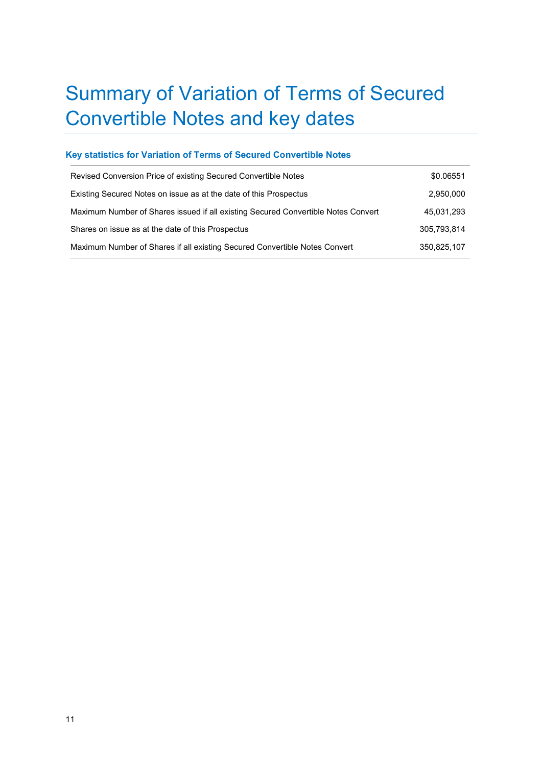## <span id="page-10-0"></span>Summary of Variation of Terms of Secured Convertible Notes and key dates

## <span id="page-10-1"></span>**Key statistics for Variation of Terms of Secured Convertible Notes**

| Revised Conversion Price of existing Secured Convertible Notes                    | \$0.06551   |
|-----------------------------------------------------------------------------------|-------------|
| Existing Secured Notes on issue as at the date of this Prospectus                 | 2,950,000   |
| Maximum Number of Shares issued if all existing Secured Convertible Notes Convert | 45,031,293  |
| Shares on issue as at the date of this Prospectus                                 | 305.793.814 |
| Maximum Number of Shares if all existing Secured Convertible Notes Convert        | 350,825,107 |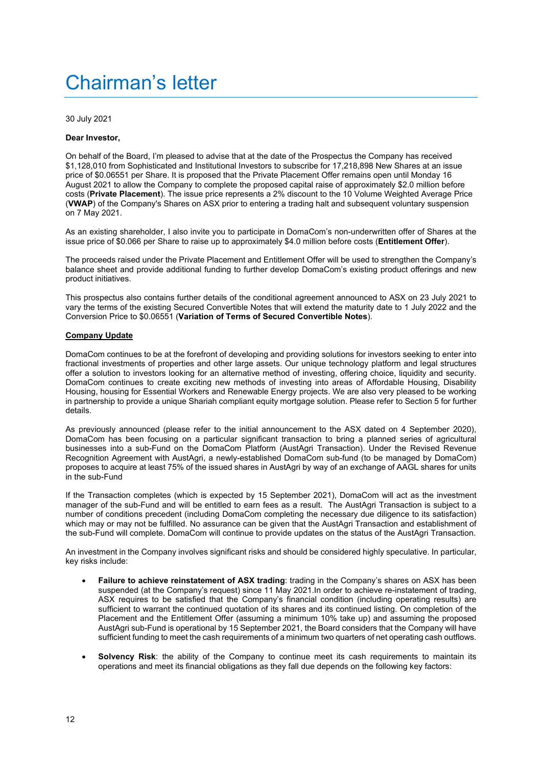## <span id="page-11-0"></span>Chairman's letter

30 July 2021

#### **Dear Investor,**

On behalf of the Board, I'm pleased to advise that at the date of the Prospectus the Company has received \$1,128,010 from Sophisticated and Institutional Investors to subscribe for 17,218,898 New Shares at an issue price of \$0.06551 per Share. It is proposed that the Private Placement Offer remains open until Monday 16 August 2021 to allow the Company to complete the proposed capital raise of approximately \$2.0 million before costs (**Private Placement**). The issue price represents a 2% discount to the 10 Volume Weighted Average Price (**VWAP**) of the Company's Shares on ASX prior to entering a trading halt and subsequent voluntary suspension on 7 May 2021.

As an existing shareholder, I also invite you to participate in DomaCom's non-underwritten offer of Shares at the issue price of \$0.066 per Share to raise up to approximately \$4.0 million before costs (**Entitlement Offer**).

The proceeds raised under the Private Placement and Entitlement Offer will be used to strengthen the Company's balance sheet and provide additional funding to further develop DomaCom's existing product offerings and new product initiatives.

This prospectus also contains further details of the conditional agreement announced to ASX on 23 July 2021 to vary the terms of the existing Secured Convertible Notes that will extend the maturity date to 1 July 2022 and the Conversion Price to \$0.06551 (**Variation of Terms of Secured Convertible Notes**).

#### **Company Update**

DomaCom continues to be at the forefront of developing and providing solutions for investors seeking to enter into fractional investments of properties and other large assets. Our unique technology platform and legal structures offer a solution to investors looking for an alternative method of investing, offering choice, liquidity and security. DomaCom continues to create exciting new methods of investing into areas of Affordable Housing, Disability Housing, housing for Essential Workers and Renewable Energy projects. We are also very pleased to be working in partnership to provide a unique Shariah compliant equity mortgage solution. Please refer to Section 5 for further details.

As previously announced (please refer to the initial announcement to the ASX dated on 4 September 2020), DomaCom has been focusing on a particular significant transaction to bring a planned series of agricultural businesses into a sub-Fund on the DomaCom Platform (AustAgri Transaction). Under the Revised Revenue Recognition Agreement with AustAgri, a newly-established DomaCom sub-fund (to be managed by DomaCom) proposes to acquire at least 75% of the issued shares in AustAgri by way of an exchange of AAGL shares for units in the sub-Fund

If the Transaction completes (which is expected by 15 September 2021), DomaCom will act as the investment manager of the sub-Fund and will be entitled to earn fees as a result. The AustAgri Transaction is subject to a number of conditions precedent (including DomaCom completing the necessary due diligence to its satisfaction) which may or may not be fulfilled. No assurance can be given that the AustAgri Transaction and establishment of the sub-Fund will complete. DomaCom will continue to provide updates on the status of the AustAgri Transaction.

An investment in the Company involves significant risks and should be considered highly speculative. In particular, key risks include:

- **Failure to achieve reinstatement of ASX trading**: trading in the Company's shares on ASX has been suspended (at the Company's request) since 11 May 2021.In order to achieve re-instatement of trading, ASX requires to be satisfied that the Company's financial condition (including operating results) are sufficient to warrant the continued quotation of its shares and its continued listing. On completion of the Placement and the Entitlement Offer (assuming a minimum 10% take up) and assuming the proposed AustAgri sub-Fund is operational by 15 September 2021, the Board considers that the Company will have sufficient funding to meet the cash requirements of a minimum two quarters of net operating cash outflows.
- **Solvency Risk:** the ability of the Company to continue meet its cash requirements to maintain its operations and meet its financial obligations as they fall due depends on the following key factors: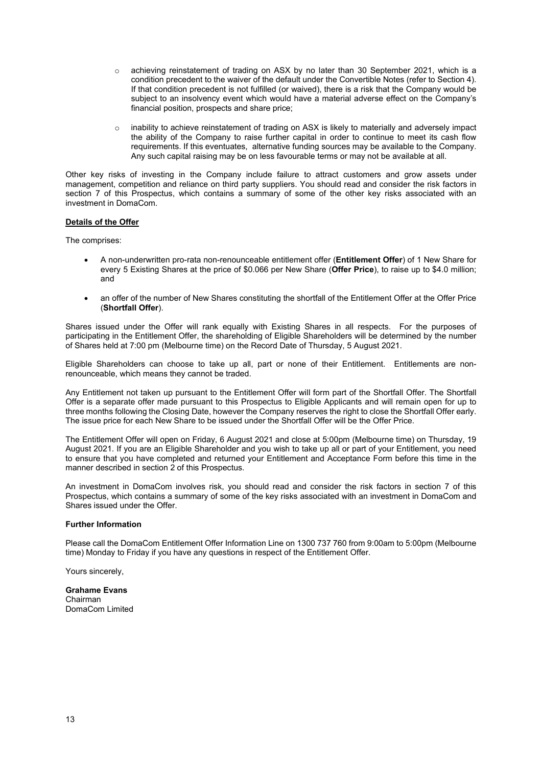- o achieving reinstatement of trading on ASX by no later than 30 September 2021, which is a condition precedent to the waiver of the default under the Convertible Notes (refer to Section 4). If that condition precedent is not fulfilled (or waived), there is a risk that the Company would be subject to an insolvency event which would have a material adverse effect on the Company's financial position, prospects and share price;
- o inability to achieve reinstatement of trading on ASX is likely to materially and adversely impact the ability of the Company to raise further capital in order to continue to meet its cash flow requirements. If this eventuates, alternative funding sources may be available to the Company. Any such capital raising may be on less favourable terms or may not be available at all.

Other key risks of investing in the Company include failure to attract customers and grow assets under management, competition and reliance on third party suppliers. You should read and consider the risk factors in section 7 of this Prospectus, which contains a summary of some of the other key risks associated with an investment in DomaCom.

#### **Details of the Offer**

The comprises:

- A non-underwritten pro-rata non-renounceable entitlement offer (**Entitlement Offer**) of 1 New Share for every 5 Existing Shares at the price of \$0.066 per New Share (**Offer Price**), to raise up to \$4.0 million; and
- an offer of the number of New Shares constituting the shortfall of the Entitlement Offer at the Offer Price (**Shortfall Offer**).

Shares issued under the Offer will rank equally with Existing Shares in all respects. For the purposes of participating in the Entitlement Offer, the shareholding of Eligible Shareholders will be determined by the number of Shares held at 7:00 pm (Melbourne time) on the Record Date of Thursday, 5 August 2021.

Eligible Shareholders can choose to take up all, part or none of their Entitlement. Entitlements are nonrenounceable, which means they cannot be traded.

Any Entitlement not taken up pursuant to the Entitlement Offer will form part of the Shortfall Offer. The Shortfall Offer is a separate offer made pursuant to this Prospectus to Eligible Applicants and will remain open for up to three months following the Closing Date, however the Company reserves the right to close the Shortfall Offer early. The issue price for each New Share to be issued under the Shortfall Offer will be the Offer Price.

The Entitlement Offer will open on Friday, 6 August 2021 and close at 5:00pm (Melbourne time) on Thursday, 19 August 2021. If you are an Eligible Shareholder and you wish to take up all or part of your Entitlement, you need to ensure that you have completed and returned your Entitlement and Acceptance Form before this time in the manner described in section [2](#page-19-0) of this Prospectus.

An investment in DomaCom involves risk, you should read and consider the risk factors in section [7](#page-34-0) of this Prospectus, which contains a summary of some of the key risks associated with an investment in DomaCom and Shares issued under the Offer.

#### **Further Information**

Please call the DomaCom Entitlement Offer Information Line on 1300 737 760 from 9:00am to 5:00pm (Melbourne time) Monday to Friday if you have any questions in respect of the Entitlement Offer.

Yours sincerely,

#### **Grahame Evans** Chairman DomaCom Limited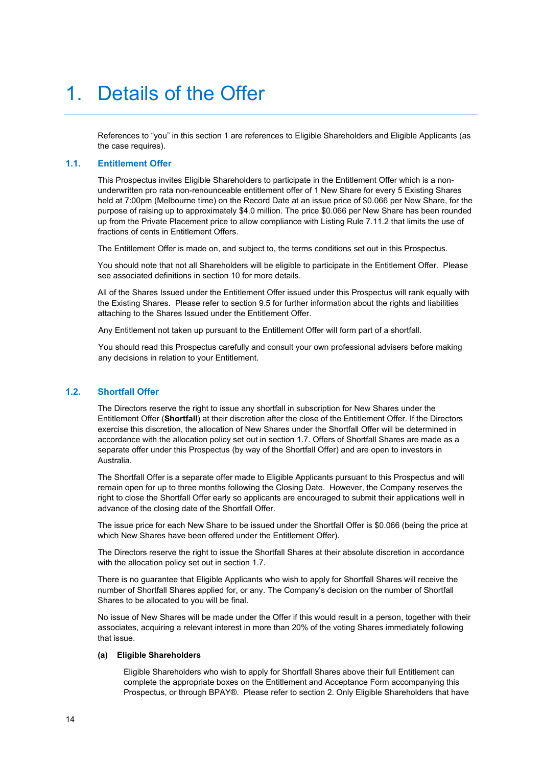## <span id="page-13-0"></span>1. Details of the Offer

References to "you" in this section [1](#page-13-0) are references to Eligible Shareholders and Eligible Applicants (as the case requires).

#### <span id="page-13-1"></span>**1.1. Entitlement Offer**

This Prospectus invites Eligible Shareholders to participate in the Entitlement Offer which is a nonunderwritten pro rata non-renounceable entitlement offer of 1 New Share for every 5 Existing Shares held at 7:00pm (Melbourne time) on the Record Date at an issue price of \$0.066 per New Share, for the purpose of raising up to approximately \$4.0 million. The price \$0.066 per New Share has been rounded up from the Private Placement price to allow compliance with Listing Rule 7.11.2 that limits the use of fractions of cents in Entitlement Offers.

The Entitlement Offer is made on, and subject to, the terms conditions set out in this Prospectus.

You should note that not all Shareholders will be eligible to participate in the Entitlement Offer. Please see associated definitions in sectio[n 10](#page-50-0) for more details.

All of the Shares Issued under the Entitlement Offer issued under this Prospectus will rank equally with the Existing Shares. Please refer to section [9.5](#page-44-0) for further information about the rights and liabilities attaching to the Shares Issued under the Entitlement Offer.

Any Entitlement not taken up pursuant to the Entitlement Offer will form part of a shortfall.

You should read this Prospectus carefully and consult your own professional advisers before making any decisions in relation to your Entitlement.

#### <span id="page-13-2"></span>**1.2. Shortfall Offer**

The Directors reserve the right to issue any shortfall in subscription for New Shares under the Entitlement Offer (**Shortfall**) at their discretion after the close of the Entitlement Offer. If the Directors exercise this discretion, the allocation of New Shares under the Shortfall Offer will be determined in accordance with the allocation policy set out in section 1.7. Offers of Shortfall Shares are made as a separate offer under this Prospectus (by way of the Shortfall Offer) and are open to investors in Australia.

The Shortfall Offer is a separate offer made to Eligible Applicants pursuant to this Prospectus and will remain open for up to three months following the Closing Date. However, the Company reserves the right to close the Shortfall Offer early so applicants are encouraged to submit their applications well in advance of the closing date of the Shortfall Offer.

The issue price for each New Share to be issued under the Shortfall Offer is \$0.066 (being the price at which New Shares have been offered under the Entitlement Offer).

The Directors reserve the right to issue the Shortfall Shares at their absolute discretion in accordance with the allocation policy set out in section 1.7.

There is no guarantee that Eligible Applicants who wish to apply for Shortfall Shares will receive the number of Shortfall Shares applied for, or any. The Company's decision on the number of Shortfall Shares to be allocated to you will be final.

No issue of New Shares will be made under the Offer if this would result in a person, together with their associates, acquiring a relevant interest in more than 20% of the voting Shares immediately following that issue.

#### **(a) Eligible Shareholders**

Eligible Shareholders who wish to apply for Shortfall Shares above their full Entitlement can complete the appropriate boxes on the Entitlement and Acceptance Form accompanying this Prospectus, or through BPAY®. Please refer to sectio[n 2.](#page-19-0) Only Eligible Shareholders that have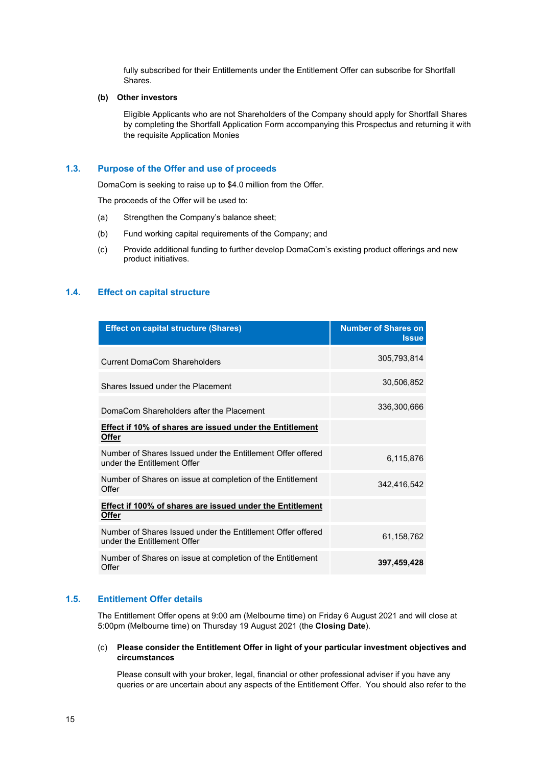fully subscribed for their Entitlements under the Entitlement Offer can subscribe for Shortfall Shares.

### **(b) Other investors**

Eligible Applicants who are not Shareholders of the Company should apply for Shortfall Shares by completing the Shortfall Application Form accompanying this Prospectus and returning it with the requisite Application Monies

#### <span id="page-14-0"></span>**1.3. Purpose of the Offer and use of proceeds**

DomaCom is seeking to raise up to \$4.0 million from the Offer.

The proceeds of the Offer will be used to:

- (a) Strengthen the Company's balance sheet;
- (b) Fund working capital requirements of the Company; and
- (c) Provide additional funding to further develop DomaCom's existing product offerings and new product initiatives.

#### <span id="page-14-1"></span>**1.4. Effect on capital structure**

| <b>Effect on capital structure (Shares)</b>                                                | <b>Number of Shares on</b><br><b>Issue</b> |
|--------------------------------------------------------------------------------------------|--------------------------------------------|
| Current DomaCom Shareholders                                                               | 305,793,814                                |
| Shares Issued under the Placement                                                          | 30,506,852                                 |
| DomaCom Shareholders after the Placement                                                   | 336,300,666                                |
| Effect if 10% of shares are issued under the Entitlement<br><b>Offer</b>                   |                                            |
| Number of Shares Issued under the Entitlement Offer offered<br>under the Fntitlement Offer | 6,115,876                                  |
| Number of Shares on issue at completion of the Entitlement<br>Offer                        | 342,416,542                                |
| Effect if 100% of shares are issued under the Entitlement<br><b>Offer</b>                  |                                            |
| Number of Shares Issued under the Entitlement Offer offered<br>under the Entitlement Offer | 61,158,762                                 |
| Number of Shares on issue at completion of the Entitlement<br>Offer                        | 397,459,428                                |

#### <span id="page-14-2"></span>**1.5. Entitlement Offer details**

The Entitlement Offer opens at 9:00 am (Melbourne time) on Friday 6 August 2021 and will close at 5:00pm (Melbourne time) on Thursday 19 August 2021 (the **Closing Date**).

#### (c) **Please consider the Entitlement Offer in light of your particular investment objectives and circumstances**

Please consult with your broker, legal, financial or other professional adviser if you have any queries or are uncertain about any aspects of the Entitlement Offer. You should also refer to the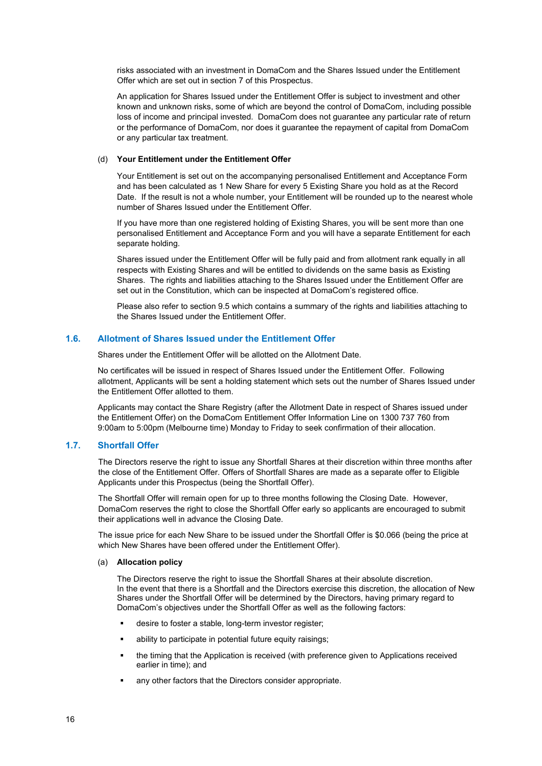risks associated with an investment in DomaCom and the Shares Issued under the Entitlement Offer which are set out in section [7](#page-34-0) of this Prospectus.

An application for Shares Issued under the Entitlement Offer is subject to investment and other known and unknown risks, some of which are beyond the control of DomaCom, including possible loss of income and principal invested. DomaCom does not guarantee any particular rate of return or the performance of DomaCom, nor does it guarantee the repayment of capital from DomaCom or any particular tax treatment.

### (d) **Your Entitlement under the Entitlement Offer**

Your Entitlement is set out on the accompanying personalised Entitlement and Acceptance Form and has been calculated as 1 New Share for every 5 Existing Share you hold as at the Record Date. If the result is not a whole number, your Entitlement will be rounded up to the nearest whole number of Shares Issued under the Entitlement Offer.

If you have more than one registered holding of Existing Shares, you will be sent more than one personalised Entitlement and Acceptance Form and you will have a separate Entitlement for each separate holding.

Shares issued under the Entitlement Offer will be fully paid and from allotment rank equally in all respects with Existing Shares and will be entitled to dividends on the same basis as Existing Shares. The rights and liabilities attaching to the Shares Issued under the Entitlement Offer are set out in the Constitution, which can be inspected at DomaCom's registered office.

Please also refer to section [9.5](#page-44-0) which contains a summary of the rights and liabilities attaching to the Shares Issued under the Entitlement Offer.

## <span id="page-15-0"></span>**1.6. Allotment of Shares Issued under the Entitlement Offer**

Shares under the Entitlement Offer will be allotted on the Allotment Date.

No certificates will be issued in respect of Shares Issued under the Entitlement Offer. Following allotment, Applicants will be sent a holding statement which sets out the number of Shares Issued under the Entitlement Offer allotted to them.

Applicants may contact the Share Registry (after the Allotment Date in respect of Shares issued under the Entitlement Offer) on the DomaCom Entitlement Offer Information Line on 1300 737 760 from 9:00am to 5:00pm (Melbourne time) Monday to Friday to seek confirmation of their allocation.

#### <span id="page-15-1"></span>**1.7. Shortfall Offer**

The Directors reserve the right to issue any Shortfall Shares at their discretion within three months after the close of the Entitlement Offer. Offers of Shortfall Shares are made as a separate offer to Eligible Applicants under this Prospectus (being the Shortfall Offer).

The Shortfall Offer will remain open for up to three months following the Closing Date. However, DomaCom reserves the right to close the Shortfall Offer early so applicants are encouraged to submit their applications well in advance the Closing Date.

The issue price for each New Share to be issued under the Shortfall Offer is \$0.066 (being the price at which New Shares have been offered under the Entitlement Offer).

### (a) **Allocation policy**

The Directors reserve the right to issue the Shortfall Shares at their absolute discretion. In the event that there is a Shortfall and the Directors exercise this discretion, the allocation of New Shares under the Shortfall Offer will be determined by the Directors, having primary regard to DomaCom's objectives under the Shortfall Offer as well as the following factors:

- desire to foster a stable, long-term investor register;
- ability to participate in potential future equity raisings;
- the timing that the Application is received (with preference given to Applications received earlier in time); and
- any other factors that the Directors consider appropriate.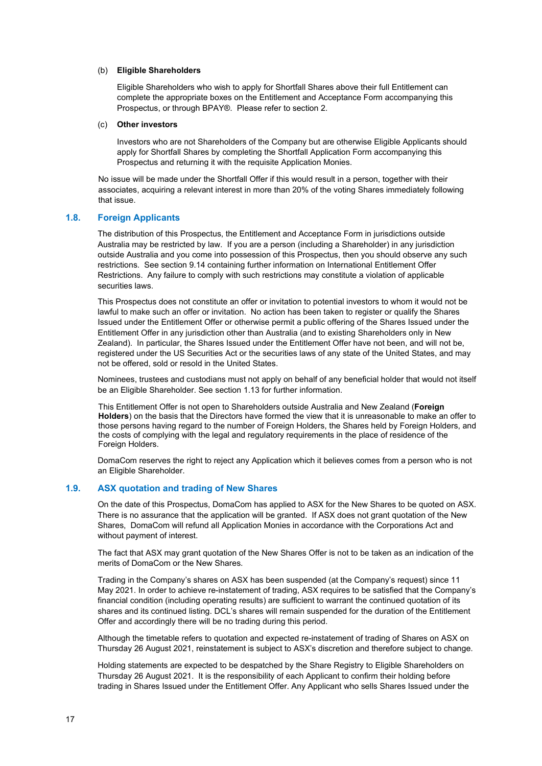#### (b) **Eligible Shareholders**

Eligible Shareholders who wish to apply for Shortfall Shares above their full Entitlement can complete the appropriate boxes on the Entitlement and Acceptance Form accompanying this Prospectus, or through BPAY®. Please refer to section 2.

#### (c) **Other investors**

Investors who are not Shareholders of the Company but are otherwise Eligible Applicants should apply for Shortfall Shares by completing the Shortfall Application Form accompanying this Prospectus and returning it with the requisite Application Monies.

No issue will be made under the Shortfall Offer if this would result in a person, together with their associates, acquiring a relevant interest in more than 20% of the voting Shares immediately following that issue.

#### <span id="page-16-0"></span>**1.8. Foreign Applicants**

The distribution of this Prospectus, the Entitlement and Acceptance Form in jurisdictions outside Australia may be restricted by law. If you are a person (including a Shareholder) in any jurisdiction outside Australia and you come into possession of this Prospectus, then you should observe any such restrictions. See section [9.14](#page-49-0) containing further information on International Entitlement Offer Restrictions. Any failure to comply with such restrictions may constitute a violation of applicable securities laws.

This Prospectus does not constitute an offer or invitation to potential investors to whom it would not be lawful to make such an offer or invitation. No action has been taken to register or qualify the Shares Issued under the Entitlement Offer or otherwise permit a public offering of the Shares Issued under the Entitlement Offer in any jurisdiction other than Australia (and to existing Shareholders only in New Zealand). In particular, the Shares Issued under the Entitlement Offer have not been, and will not be, registered under the US Securities Act or the securities laws of any state of the United States, and may not be offered, sold or resold in the United States.

Nominees, trustees and custodians must not apply on behalf of any beneficial holder that would not itself be an Eligible Shareholder. See sectio[n 1.13](#page-17-3) for further information.

This Entitlement Offer is not open to Shareholders outside Australia and New Zealand (**Foreign Holders**) on the basis that the Directors have formed the view that it is unreasonable to make an offer to those persons having regard to the number of Foreign Holders, the Shares held by Foreign Holders, and the costs of complying with the legal and regulatory requirements in the place of residence of the Foreign Holders.

DomaCom reserves the right to reject any Application which it believes comes from a person who is not an Eligible Shareholder.

#### <span id="page-16-1"></span>**1.9. ASX quotation and trading of New Shares**

On the date of this Prospectus, DomaCom has applied to ASX for the New Shares to be quoted on ASX. There is no assurance that the application will be granted. If ASX does not grant quotation of the New Shares, DomaCom will refund all Application Monies in accordance with the Corporations Act and without payment of interest.

The fact that ASX may grant quotation of the New Shares Offer is not to be taken as an indication of the merits of DomaCom or the New Shares.

Trading in the Company's shares on ASX has been suspended (at the Company's request) since 11 May 2021. In order to achieve re-instatement of trading, ASX requires to be satisfied that the Company's financial condition (including operating results) are sufficient to warrant the continued quotation of its shares and its continued listing. DCL's shares will remain suspended for the duration of the Entitlement Offer and accordingly there will be no trading during this period.

Although the timetable refers to quotation and expected re-instatement of trading of Shares on ASX on Thursday 26 August 2021, reinstatement is subject to ASX's discretion and therefore subject to change.

Holding statements are expected to be despatched by the Share Registry to Eligible Shareholders on Thursday 26 August 2021. It is the responsibility of each Applicant to confirm their holding before trading in Shares Issued under the Entitlement Offer. Any Applicant who sells Shares Issued under the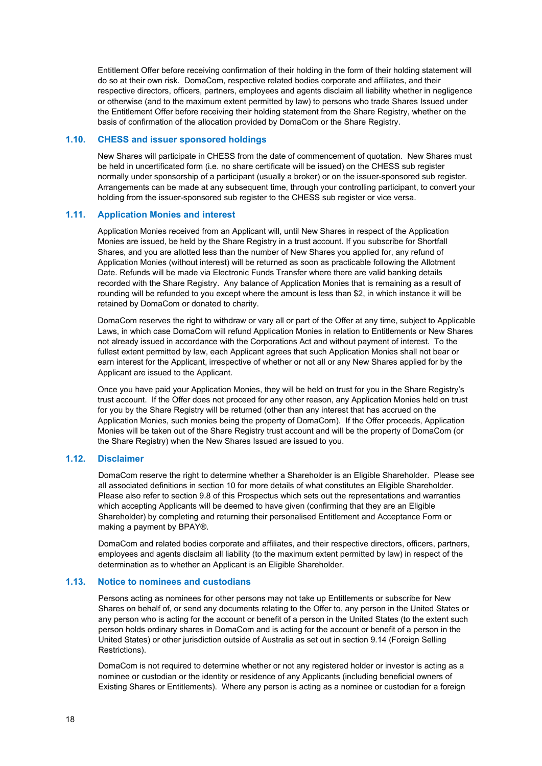Entitlement Offer before receiving confirmation of their holding in the form of their holding statement will do so at their own risk. DomaCom, respective related bodies corporate and affiliates, and their respective directors, officers, partners, employees and agents disclaim all liability whether in negligence or otherwise (and to the maximum extent permitted by law) to persons who trade Shares Issued under the Entitlement Offer before receiving their holding statement from the Share Registry, whether on the basis of confirmation of the allocation provided by DomaCom or the Share Registry.

#### <span id="page-17-0"></span>**1.10. CHESS and issuer sponsored holdings**

New Shares will participate in CHESS from the date of commencement of quotation. New Shares must be held in uncertificated form (i.e. no share certificate will be issued) on the CHESS sub register normally under sponsorship of a participant (usually a broker) or on the issuer-sponsored sub register. Arrangements can be made at any subsequent time, through your controlling participant, to convert your holding from the issuer-sponsored sub register to the CHESS sub register or vice versa.

### <span id="page-17-1"></span>**1.11. Application Monies and interest**

Application Monies received from an Applicant will, until New Shares in respect of the Application Monies are issued, be held by the Share Registry in a trust account. If you subscribe for Shortfall Shares, and you are allotted less than the number of New Shares you applied for, any refund of Application Monies (without interest) will be returned as soon as practicable following the Allotment Date. Refunds will be made via Electronic Funds Transfer where there are valid banking details recorded with the Share Registry. Any balance of Application Monies that is remaining as a result of rounding will be refunded to you except where the amount is less than \$2, in which instance it will be retained by DomaCom or donated to charity.

DomaCom reserves the right to withdraw or vary all or part of the Offer at any time, subject to Applicable Laws, in which case DomaCom will refund Application Monies in relation to Entitlements or New Shares not already issued in accordance with the Corporations Act and without payment of interest. To the fullest extent permitted by law, each Applicant agrees that such Application Monies shall not bear or earn interest for the Applicant, irrespective of whether or not all or any New Shares applied for by the Applicant are issued to the Applicant.

Once you have paid your Application Monies, they will be held on trust for you in the Share Registry's trust account. If the Offer does not proceed for any other reason, any Application Monies held on trust for you by the Share Registry will be returned (other than any interest that has accrued on the Application Monies, such monies being the property of DomaCom). If the Offer proceeds, Application Monies will be taken out of the Share Registry trust account and will be the property of DomaCom (or the Share Registry) when the New Shares Issued are issued to you.

#### <span id="page-17-2"></span>**1.12. Disclaimer**

DomaCom reserve the right to determine whether a Shareholder is an Eligible Shareholder. Please see all associated definitions in sectio[n 10](#page-50-0) for more details of what constitutes an Eligible Shareholder. Please also refer to section [9.8](#page-45-1) of this Prospectus which sets out the representations and warranties which accepting Applicants will be deemed to have given (confirming that they are an Eligible Shareholder) by completing and returning their personalised Entitlement and Acceptance Form or making a payment by BPAY®.

DomaCom and related bodies corporate and affiliates, and their respective directors, officers, partners, employees and agents disclaim all liability (to the maximum extent permitted by law) in respect of the determination as to whether an Applicant is an Eligible Shareholder.

#### <span id="page-17-3"></span>**1.13. Notice to nominees and custodians**

Persons acting as nominees for other persons may not take up Entitlements or subscribe for New Shares on behalf of, or send any documents relating to the Offer to, any person in the United States or any person who is acting for the account or benefit of a person in the United States (to the extent such person holds ordinary shares in DomaCom and is acting for the account or benefit of a person in the United States) or other jurisdiction outside of Australia as set out in section [9.14](#page-49-0) (Foreign Selling Restrictions).

DomaCom is not required to determine whether or not any registered holder or investor is acting as a nominee or custodian or the identity or residence of any Applicants (including beneficial owners of Existing Shares or Entitlements). Where any person is acting as a nominee or custodian for a foreign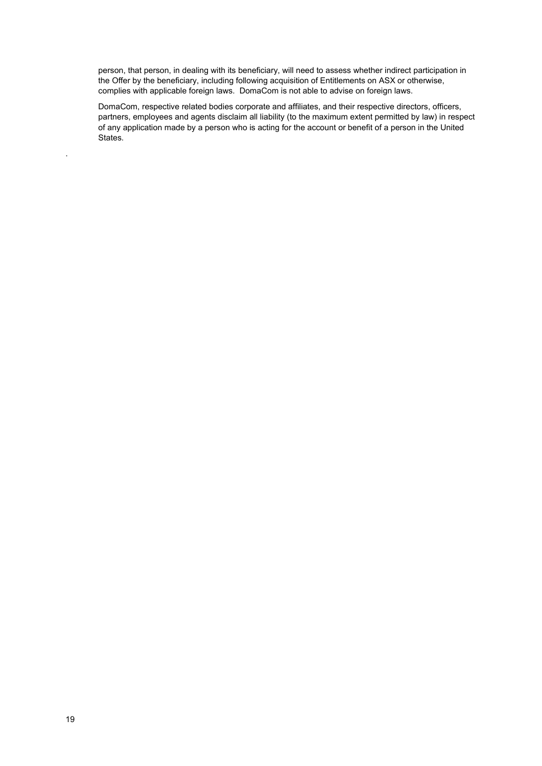person, that person, in dealing with its beneficiary, will need to assess whether indirect participation in the Offer by the beneficiary, including following acquisition of Entitlements on ASX or otherwise, complies with applicable foreign laws. DomaCom is not able to advise on foreign laws.

DomaCom, respective related bodies corporate and affiliates, and their respective directors, officers, partners, employees and agents disclaim all liability (to the maximum extent permitted by law) in respect of any application made by a person who is acting for the account or benefit of a person in the United States.

.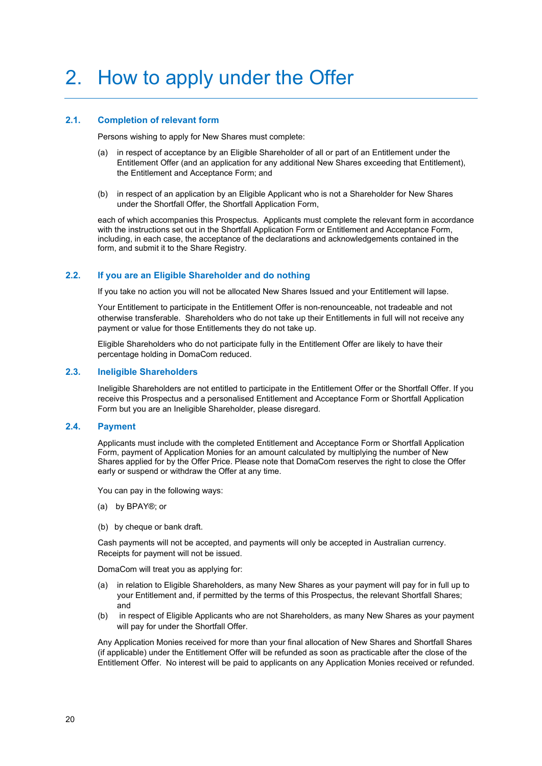### <span id="page-19-1"></span><span id="page-19-0"></span>**2.1. Completion of relevant form**

Persons wishing to apply for New Shares must complete:

- (a) in respect of acceptance by an Eligible Shareholder of all or part of an Entitlement under the Entitlement Offer (and an application for any additional New Shares exceeding that Entitlement), the Entitlement and Acceptance Form; and
- (b) in respect of an application by an Eligible Applicant who is not a Shareholder for New Shares under the Shortfall Offer, the Shortfall Application Form,

each of which accompanies this Prospectus. Applicants must complete the relevant form in accordance with the instructions set out in the Shortfall Application Form or Entitlement and Acceptance Form, including, in each case, the acceptance of the declarations and acknowledgements contained in the form, and submit it to the Share Registry.

## <span id="page-19-2"></span>**2.2. If you are an Eligible Shareholder and do nothing**

If you take no action you will not be allocated New Shares Issued and your Entitlement will lapse.

Your Entitlement to participate in the Entitlement Offer is non-renounceable, not tradeable and not otherwise transferable. Shareholders who do not take up their Entitlements in full will not receive any payment or value for those Entitlements they do not take up.

Eligible Shareholders who do not participate fully in the Entitlement Offer are likely to have their percentage holding in DomaCom reduced.

#### <span id="page-19-3"></span>**2.3. Ineligible Shareholders**

Ineligible Shareholders are not entitled to participate in the Entitlement Offer or the Shortfall Offer. If you receive this Prospectus and a personalised Entitlement and Acceptance Form or Shortfall Application Form but you are an Ineligible Shareholder, please disregard.

#### <span id="page-19-4"></span>**2.4. Payment**

Applicants must include with the completed Entitlement and Acceptance Form or Shortfall Application Form, payment of Application Monies for an amount calculated by multiplying the number of New Shares applied for by the Offer Price. Please note that DomaCom reserves the right to close the Offer early or suspend or withdraw the Offer at any time.

You can pay in the following ways:

- (a) by BPAY®; or
- (b) by cheque or bank draft.

Cash payments will not be accepted, and payments will only be accepted in Australian currency. Receipts for payment will not be issued.

DomaCom will treat you as applying for:

- (a) in relation to Eligible Shareholders, as many New Shares as your payment will pay for in full up to your Entitlement and, if permitted by the terms of this Prospectus, the relevant Shortfall Shares; and
- (b) in respect of Eligible Applicants who are not Shareholders, as many New Shares as your payment will pay for under the Shortfall Offer.

Any Application Monies received for more than your final allocation of New Shares and Shortfall Shares (if applicable) under the Entitlement Offer will be refunded as soon as practicable after the close of the Entitlement Offer. No interest will be paid to applicants on any Application Monies received or refunded.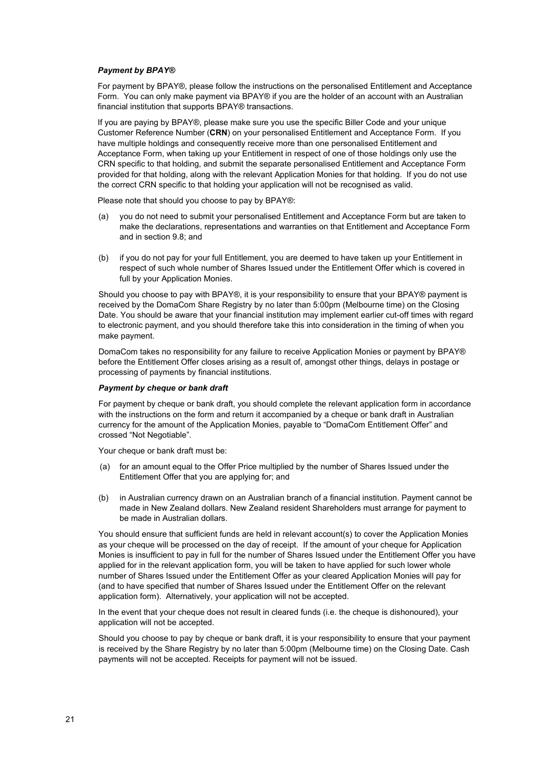#### *Payment by BPAY®*

For payment by BPAY®, please follow the instructions on the personalised Entitlement and Acceptance Form. You can only make payment via BPAY® if you are the holder of an account with an Australian financial institution that supports BPAY® transactions.

If you are paying by BPAY®, please make sure you use the specific Biller Code and your unique Customer Reference Number (**CRN**) on your personalised Entitlement and Acceptance Form. If you have multiple holdings and consequently receive more than one personalised Entitlement and Acceptance Form, when taking up your Entitlement in respect of one of those holdings only use the CRN specific to that holding, and submit the separate personalised Entitlement and Acceptance Form provided for that holding, along with the relevant Application Monies for that holding. If you do not use the correct CRN specific to that holding your application will not be recognised as valid.

Please note that should you choose to pay by BPAY®:

- (a) you do not need to submit your personalised Entitlement and Acceptance Form but are taken to make the declarations, representations and warranties on that Entitlement and Acceptance Form and in sectio[n 9.8;](#page-45-1) and
- (b) if you do not pay for your full Entitlement, you are deemed to have taken up your Entitlement in respect of such whole number of Shares Issued under the Entitlement Offer which is covered in full by your Application Monies.

Should you choose to pay with BPAY®, it is your responsibility to ensure that your BPAY® payment is received by the DomaCom Share Registry by no later than 5:00pm (Melbourne time) on the Closing Date. You should be aware that your financial institution may implement earlier cut-off times with regard to electronic payment, and you should therefore take this into consideration in the timing of when you make payment.

DomaCom takes no responsibility for any failure to receive Application Monies or payment by BPAY® before the Entitlement Offer closes arising as a result of, amongst other things, delays in postage or processing of payments by financial institutions.

#### *Payment by cheque or bank draft*

For payment by cheque or bank draft, you should complete the relevant application form in accordance with the instructions on the form and return it accompanied by a cheque or bank draft in Australian currency for the amount of the Application Monies, payable to "DomaCom Entitlement Offer" and crossed "Not Negotiable".

Your cheque or bank draft must be:

- (a) for an amount equal to the Offer Price multiplied by the number of Shares Issued under the Entitlement Offer that you are applying for; and
- (b) in Australian currency drawn on an Australian branch of a financial institution. Payment cannot be made in New Zealand dollars. New Zealand resident Shareholders must arrange for payment to be made in Australian dollars.

You should ensure that sufficient funds are held in relevant account(s) to cover the Application Monies as your cheque will be processed on the day of receipt. If the amount of your cheque for Application Monies is insufficient to pay in full for the number of Shares Issued under the Entitlement Offer you have applied for in the relevant application form, you will be taken to have applied for such lower whole number of Shares Issued under the Entitlement Offer as your cleared Application Monies will pay for (and to have specified that number of Shares Issued under the Entitlement Offer on the relevant application form). Alternatively, your application will not be accepted.

In the event that your cheque does not result in cleared funds (i.e. the cheque is dishonoured), your application will not be accepted.

Should you choose to pay by cheque or bank draft, it is your responsibility to ensure that your payment is received by the Share Registry by no later than 5:00pm (Melbourne time) on the Closing Date. Cash payments will not be accepted. Receipts for payment will not be issued.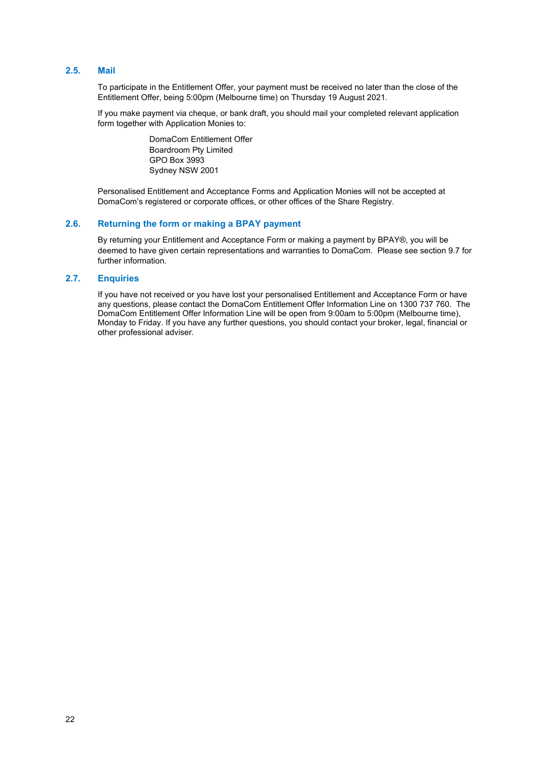## <span id="page-21-0"></span>**2.5. Mail**

To participate in the Entitlement Offer, your payment must be received no later than the close of the Entitlement Offer, being 5:00pm (Melbourne time) on Thursday 19 August 2021.

If you make payment via cheque, or bank draft, you should mail your completed relevant application form together with Application Monies to:

> DomaCom Entitlement Offer Boardroom Pty Limited GPO Box 3993 Sydney NSW 2001

Personalised Entitlement and Acceptance Forms and Application Monies will not be accepted at DomaCom's registered or corporate offices, or other offices of the Share Registry.

### <span id="page-21-1"></span>**2.6. Returning the form or making a BPAY payment**

By returning your Entitlement and Acceptance Form or making a payment by BPAY®, you will be deemed to have given certain representations and warranties to DomaCom. Please see sectio[n 9.7](#page-45-1) for further information.

#### <span id="page-21-2"></span>**2.7. Enquiries**

If you have not received or you have lost your personalised Entitlement and Acceptance Form or have any questions, please contact the DomaCom Entitlement Offer Information Line on 1300 737 760. The DomaCom Entitlement Offer Information Line will be open from 9:00am to 5:00pm (Melbourne time), Monday to Friday. If you have any further questions, you should contact your broker, legal, financial or other professional adviser.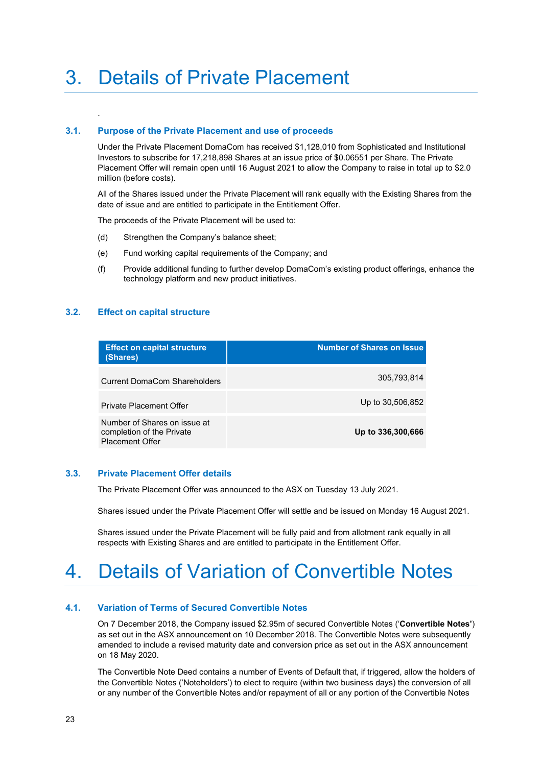## <span id="page-22-1"></span>**3.1. Purpose of the Private Placement and use of proceeds**

Under the Private Placement DomaCom has received \$1,128,010 from Sophisticated and Institutional Investors to subscribe for 17,218,898 Shares at an issue price of \$0.06551 per Share. The Private Placement Offer will remain open until 16 August 2021 to allow the Company to raise in total up to \$2.0 million (before costs).

All of the Shares issued under the Private Placement will rank equally with the Existing Shares from the date of issue and are entitled to participate in the Entitlement Offer.

The proceeds of the Private Placement will be used to:

- (d) Strengthen the Company's balance sheet;
- (e) Fund working capital requirements of the Company; and
- (f) Provide additional funding to further develop DomaCom's existing product offerings, enhance the technology platform and new product initiatives.

#### <span id="page-22-2"></span>**3.2. Effect on capital structure**

<span id="page-22-0"></span>.

| <b>Effect on capital structure</b><br>(Shares)                                      | <b>Number of Shares on Issue</b> |
|-------------------------------------------------------------------------------------|----------------------------------|
| <b>Current DomaCom Shareholders</b>                                                 | 305,793,814                      |
| <b>Private Placement Offer</b>                                                      | Up to 30,506,852                 |
| Number of Shares on issue at<br>completion of the Private<br><b>Placement Offer</b> | Up to 336,300,666                |

#### <span id="page-22-3"></span>**3.3. Private Placement Offer details**

The Private Placement Offer was announced to the ASX on Tuesday 13 July 2021.

Shares issued under the Private Placement Offer will settle and be issued on Monday 16 August 2021.

Shares issued under the Private Placement will be fully paid and from allotment rank equally in all respects with Existing Shares and are entitled to participate in the Entitlement Offer.

## <span id="page-22-4"></span>4. Details of Variation of Convertible Notes

#### <span id="page-22-5"></span>**4.1. Variation of Terms of Secured Convertible Notes**

On 7 December 2018, the Company issued \$2.95m of secured Convertible Notes ('**Convertible Notes'**) as set out in the ASX announcement on 10 December 2018. The Convertible Notes were subsequently amended to include a revised maturity date and conversion price as set out in the ASX announcement on 18 May 2020.

The Convertible Note Deed contains a number of Events of Default that, if triggered, allow the holders of the Convertible Notes ('Noteholders') to elect to require (within two business days) the conversion of all or any number of the Convertible Notes and/or repayment of all or any portion of the Convertible Notes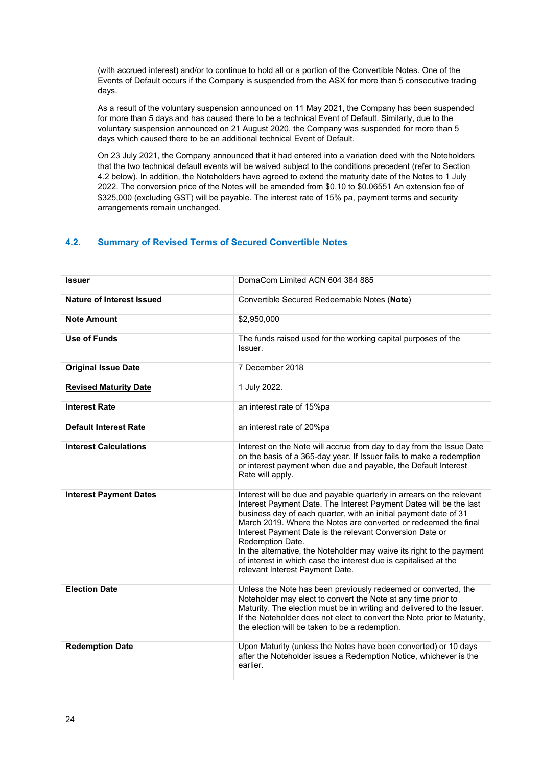(with accrued interest) and/or to continue to hold all or a portion of the Convertible Notes. One of the Events of Default occurs if the Company is suspended from the ASX for more than 5 consecutive trading days.

As a result of the voluntary suspension announced on 11 May 2021, the Company has been suspended for more than 5 days and has caused there to be a technical Event of Default. Similarly, due to the voluntary suspension announced on 21 August 2020, the Company was suspended for more than 5 days which caused there to be an additional technical Event of Default.

On 23 July 2021, the Company announced that it had entered into a variation deed with the Noteholders that the two technical default events will be waived subject to the conditions precedent (refer to Section 4.2 below). In addition, the Noteholders have agreed to extend the maturity date of the Notes to 1 July 2022. The conversion price of the Notes will be amended from \$0.10 to \$0.06551 An extension fee of \$325,000 (excluding GST) will be payable. The interest rate of 15% pa, payment terms and security arrangements remain unchanged.

## <span id="page-23-0"></span>**4.2. Summary of Revised Terms of Secured Convertible Notes**

| <b>Issuer</b>                 | DomaCom Limited ACN 604 384 885                                                                                                                                                                                                                                                                                                                                                                                                                                                                                                                    |
|-------------------------------|----------------------------------------------------------------------------------------------------------------------------------------------------------------------------------------------------------------------------------------------------------------------------------------------------------------------------------------------------------------------------------------------------------------------------------------------------------------------------------------------------------------------------------------------------|
| Nature of Interest Issued     | Convertible Secured Redeemable Notes (Note)                                                                                                                                                                                                                                                                                                                                                                                                                                                                                                        |
| <b>Note Amount</b>            | \$2,950,000                                                                                                                                                                                                                                                                                                                                                                                                                                                                                                                                        |
| <b>Use of Funds</b>           | The funds raised used for the working capital purposes of the<br>Issuer.                                                                                                                                                                                                                                                                                                                                                                                                                                                                           |
| <b>Original Issue Date</b>    | 7 December 2018                                                                                                                                                                                                                                                                                                                                                                                                                                                                                                                                    |
| <b>Revised Maturity Date</b>  | 1 July 2022.                                                                                                                                                                                                                                                                                                                                                                                                                                                                                                                                       |
| <b>Interest Rate</b>          | an interest rate of 15%pa                                                                                                                                                                                                                                                                                                                                                                                                                                                                                                                          |
| <b>Default Interest Rate</b>  | an interest rate of 20%pa                                                                                                                                                                                                                                                                                                                                                                                                                                                                                                                          |
| <b>Interest Calculations</b>  | Interest on the Note will accrue from day to day from the Issue Date<br>on the basis of a 365-day year. If Issuer fails to make a redemption<br>or interest payment when due and payable, the Default Interest<br>Rate will apply.                                                                                                                                                                                                                                                                                                                 |
| <b>Interest Payment Dates</b> | Interest will be due and payable quarterly in arrears on the relevant<br>Interest Payment Date. The Interest Payment Dates will be the last<br>business day of each quarter, with an initial payment date of 31<br>March 2019. Where the Notes are converted or redeemed the final<br>Interest Payment Date is the relevant Conversion Date or<br>Redemption Date.<br>In the alternative, the Noteholder may waive its right to the payment<br>of interest in which case the interest due is capitalised at the<br>relevant Interest Payment Date. |
| <b>Election Date</b>          | Unless the Note has been previously redeemed or converted, the<br>Noteholder may elect to convert the Note at any time prior to<br>Maturity. The election must be in writing and delivered to the Issuer.<br>If the Noteholder does not elect to convert the Note prior to Maturity,<br>the election will be taken to be a redemption.                                                                                                                                                                                                             |
| <b>Redemption Date</b>        | Upon Maturity (unless the Notes have been converted) or 10 days<br>after the Noteholder issues a Redemption Notice, whichever is the<br>earlier.                                                                                                                                                                                                                                                                                                                                                                                                   |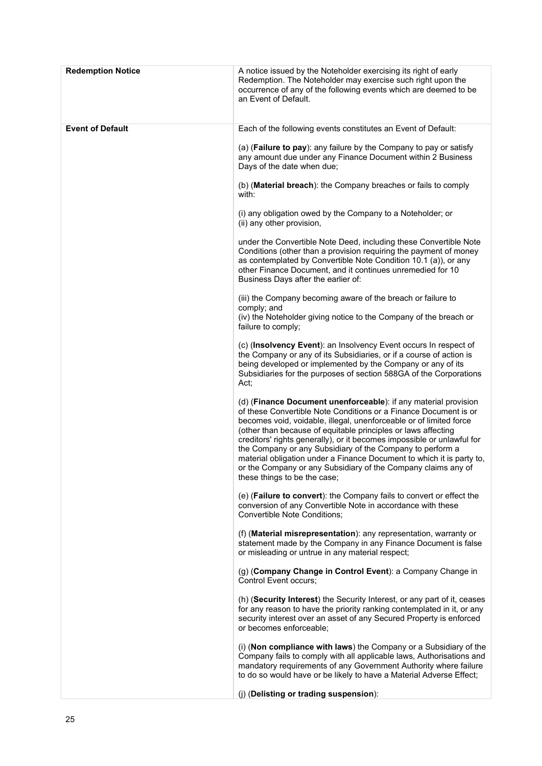| <b>Redemption Notice</b> | A notice issued by the Noteholder exercising its right of early<br>Redemption. The Noteholder may exercise such right upon the<br>occurrence of any of the following events which are deemed to be<br>an Event of Default.                                                                                                                                                                                                                                                                                                                                                                  |
|--------------------------|---------------------------------------------------------------------------------------------------------------------------------------------------------------------------------------------------------------------------------------------------------------------------------------------------------------------------------------------------------------------------------------------------------------------------------------------------------------------------------------------------------------------------------------------------------------------------------------------|
| <b>Event of Default</b>  | Each of the following events constitutes an Event of Default:                                                                                                                                                                                                                                                                                                                                                                                                                                                                                                                               |
|                          | (a) ( <b>Failure to pay</b> ): any failure by the Company to pay or satisfy<br>any amount due under any Finance Document within 2 Business<br>Days of the date when due;                                                                                                                                                                                                                                                                                                                                                                                                                    |
|                          | (b) (Material breach): the Company breaches or fails to comply<br>with:                                                                                                                                                                                                                                                                                                                                                                                                                                                                                                                     |
|                          | (i) any obligation owed by the Company to a Noteholder; or<br>(ii) any other provision,                                                                                                                                                                                                                                                                                                                                                                                                                                                                                                     |
|                          | under the Convertible Note Deed, including these Convertible Note<br>Conditions (other than a provision requiring the payment of money<br>as contemplated by Convertible Note Condition 10.1 (a)), or any<br>other Finance Document, and it continues unremedied for 10<br>Business Days after the earlier of:                                                                                                                                                                                                                                                                              |
|                          | (iii) the Company becoming aware of the breach or failure to<br>comply; and<br>(iv) the Noteholder giving notice to the Company of the breach or<br>failure to comply;                                                                                                                                                                                                                                                                                                                                                                                                                      |
|                          | (c) (Insolvency Event): an Insolvency Event occurs In respect of<br>the Company or any of its Subsidiaries, or if a course of action is<br>being developed or implemented by the Company or any of its<br>Subsidiaries for the purposes of section 588GA of the Corporations<br>Act:                                                                                                                                                                                                                                                                                                        |
|                          | (d) (Finance Document unenforceable): if any material provision<br>of these Convertible Note Conditions or a Finance Document is or<br>becomes void, voidable, illegal, unenforceable or of limited force<br>(other than because of equitable principles or laws affecting<br>creditors' rights generally), or it becomes impossible or unlawful for<br>the Company or any Subsidiary of the Company to perform a<br>material obligation under a Finance Document to which it is party to,<br>or the Company or any Subsidiary of the Company claims any of<br>these things to be the case; |
|                          | (e) (Failure to convert): the Company fails to convert or effect the<br>conversion of any Convertible Note in accordance with these<br>Convertible Note Conditions;                                                                                                                                                                                                                                                                                                                                                                                                                         |
|                          | (f) (Material misrepresentation): any representation, warranty or<br>statement made by the Company in any Finance Document is false<br>or misleading or untrue in any material respect;                                                                                                                                                                                                                                                                                                                                                                                                     |
|                          | (g) (Company Change in Control Event): a Company Change in<br>Control Event occurs;                                                                                                                                                                                                                                                                                                                                                                                                                                                                                                         |
|                          | (h) (Security Interest) the Security Interest, or any part of it, ceases<br>for any reason to have the priority ranking contemplated in it, or any<br>security interest over an asset of any Secured Property is enforced<br>or becomes enforceable;                                                                                                                                                                                                                                                                                                                                        |
|                          | (i) (Non compliance with laws) the Company or a Subsidiary of the<br>Company fails to comply with all applicable laws, Authorisations and<br>mandatory requirements of any Government Authority where failure<br>to do so would have or be likely to have a Material Adverse Effect;                                                                                                                                                                                                                                                                                                        |
|                          | (j) (Delisting or trading suspension):                                                                                                                                                                                                                                                                                                                                                                                                                                                                                                                                                      |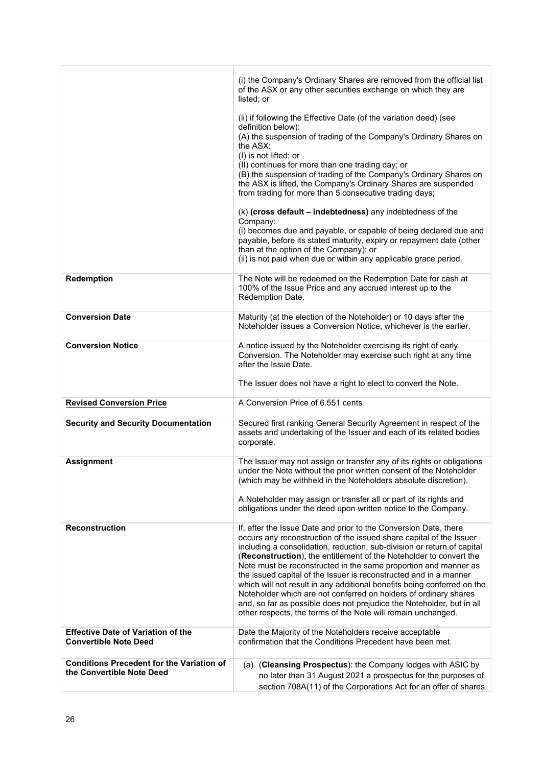|                                                                               | (i) the Company's Ordinary Shares are removed from the official list<br>of the ASX or any other securities exchange on which they are<br>listed; or                                                                                                                                                                                                                                                                                                                                                                                                                                                                                                                                                                                                                                         |
|-------------------------------------------------------------------------------|---------------------------------------------------------------------------------------------------------------------------------------------------------------------------------------------------------------------------------------------------------------------------------------------------------------------------------------------------------------------------------------------------------------------------------------------------------------------------------------------------------------------------------------------------------------------------------------------------------------------------------------------------------------------------------------------------------------------------------------------------------------------------------------------|
|                                                                               | (ii) if following the Effective Date (of the variation deed) (see<br>definition below):<br>(A) the suspension of trading of the Company's Ordinary Shares on<br>the ASX:<br>(I) is not lifted; or<br>(II) continues for more than one trading day; or<br>(B) the suspension of trading of the Company's Ordinary Shares on<br>the ASX is lifted, the Company's Ordinary Shares are suspended<br>from trading for more than 5 consecutive trading days;<br>(k) (cross default - indebtedness) any indebtedness of the<br>Company:<br>(i) becomes due and payable, or capable of being declared due and<br>payable, before its stated maturity, expiry or repayment date (other<br>than at the option of the Company); or<br>(ii) is not paid when due or within any applicable grace period. |
| Redemption                                                                    | The Note will be redeemed on the Redemption Date for cash at<br>100% of the Issue Price and any accrued interest up to the<br>Redemption Date.                                                                                                                                                                                                                                                                                                                                                                                                                                                                                                                                                                                                                                              |
| <b>Conversion Date</b>                                                        | Maturity (at the election of the Noteholder) or 10 days after the<br>Noteholder issues a Conversion Notice, whichever is the earlier.                                                                                                                                                                                                                                                                                                                                                                                                                                                                                                                                                                                                                                                       |
| <b>Conversion Notice</b>                                                      | A notice issued by the Noteholder exercising its right of early<br>Conversion. The Noteholder may exercise such right at any time<br>after the Issue Date.<br>The Issuer does not have a right to elect to convert the Note.                                                                                                                                                                                                                                                                                                                                                                                                                                                                                                                                                                |
| <b>Revised Conversion Price</b>                                               | A Conversion Price of 6.551 cents                                                                                                                                                                                                                                                                                                                                                                                                                                                                                                                                                                                                                                                                                                                                                           |
| <b>Security and Security Documentation</b>                                    | Secured first ranking General Security Agreement in respect of the<br>assets and undertaking of the Issuer and each of its related bodies<br>corporate.                                                                                                                                                                                                                                                                                                                                                                                                                                                                                                                                                                                                                                     |
| <b>Assignment</b>                                                             | The Issuer may not assign or transfer any of its rights or obligations<br>under the Note without the prior written consent of the Noteholder<br>(which may be withheld in the Noteholders absolute discretion).<br>A Noteholder may assign or transfer all or part of its rights and<br>obligations under the deed upon written notice to the Company.                                                                                                                                                                                                                                                                                                                                                                                                                                      |
| <b>Reconstruction</b>                                                         | If, after the Issue Date and prior to the Conversion Date, there<br>occurs any reconstruction of the issued share capital of the Issuer<br>including a consolidation, reduction, sub-division or return of capital<br>(Reconstruction), the entitlement of the Noteholder to convert the<br>Note must be reconstructed in the same proportion and manner as<br>the issued capital of the Issuer is reconstructed and in a manner<br>which will not result in any additional benefits being conferred on the<br>Noteholder which are not conferred on holders of ordinary shares<br>and, so far as possible does not prejudice the Noteholder, but in all<br>other respects, the terms of the Note will remain unchanged.                                                                    |
| <b>Effective Date of Variation of the</b><br><b>Convertible Note Deed</b>     | Date the Majority of the Noteholders receive acceptable<br>confirmation that the Conditions Precedent have been met.                                                                                                                                                                                                                                                                                                                                                                                                                                                                                                                                                                                                                                                                        |
| <b>Conditions Precedent for the Variation of</b><br>the Convertible Note Deed | (a) (Cleansing Prospectus): the Company lodges with ASIC by<br>no later than 31 August 2021 a prospectus for the purposes of<br>section 708A(11) of the Corporations Act for an offer of shares                                                                                                                                                                                                                                                                                                                                                                                                                                                                                                                                                                                             |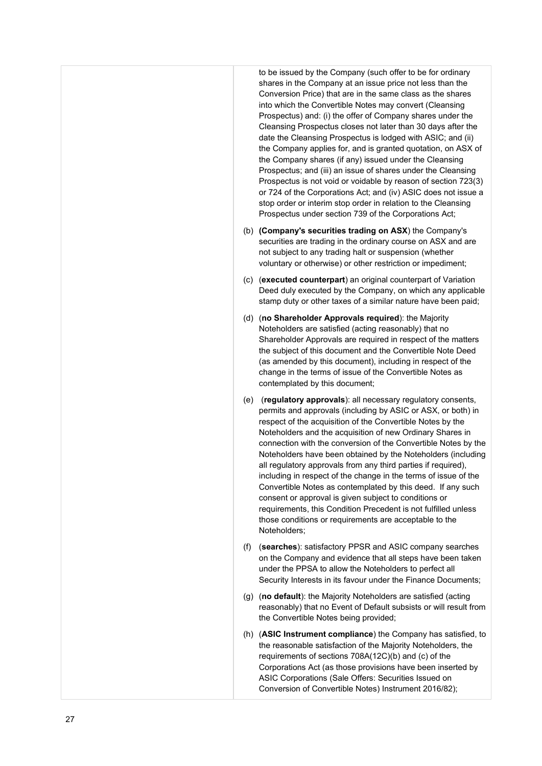to be issued by the Company (such offer to be for ordinary shares in the Company at an issue price not less than the Conversion Price) that are in the same class as the shares into which the Convertible Notes may convert (Cleansing Prospectus) and: (i) the offer of Company shares under the Cleansing Prospectus closes not later than 30 days after the date the Cleansing Prospectus is lodged with ASIC; and (ii) the Company applies for, and is granted quotation, on ASX of the Company shares (if any) issued under the Cleansing Prospectus; and (iii) an issue of shares under the Cleansing Prospectus is not void or voidable by reason of section 723(3) or 724 of the Corporations Act; and (iv) ASIC does not issue a stop order or interim stop order in relation to the Cleansing Prospectus under section 739 of the Corporations Act;

- (b) **(Company's securities trading on ASX**) the Company's securities are trading in the ordinary course on ASX and are not subject to any trading halt or suspension (whether voluntary or otherwise) or other restriction or impediment;
- (c) (**executed counterpart**) an original counterpart of Variation Deed duly executed by the Company, on which any applicable stamp duty or other taxes of a similar nature have been paid;
- (d) (**no Shareholder Approvals required**): the Majority Noteholders are satisfied (acting reasonably) that no Shareholder Approvals are required in respect of the matters the subject of this document and the Convertible Note Deed (as amended by this document), including in respect of the change in the terms of issue of the Convertible Notes as contemplated by this document;
- (e) (**regulatory approvals**): all necessary regulatory consents, permits and approvals (including by ASIC or ASX, or both) in respect of the acquisition of the Convertible Notes by the Noteholders and the acquisition of new Ordinary Shares in connection with the conversion of the Convertible Notes by the Noteholders have been obtained by the Noteholders (including all regulatory approvals from any third parties if required). including in respect of the change in the terms of issue of the Convertible Notes as contemplated by this deed. If any such consent or approval is given subject to conditions or requirements, this Condition Precedent is not fulfilled unless those conditions or requirements are acceptable to the Noteholders;
- (f) (**searches**): satisfactory PPSR and ASIC company searches on the Company and evidence that all steps have been taken under the PPSA to allow the Noteholders to perfect all Security Interests in its favour under the Finance Documents;
- (g) (**no default**): the Majority Noteholders are satisfied (acting reasonably) that no Event of Default subsists or will result from the Convertible Notes being provided;
- (h) (**ASIC Instrument compliance**) the Company has satisfied, to the reasonable satisfaction of the Majority Noteholders, the requirements of sections 708A(12C)(b) and (c) of the Corporations Act (as those provisions have been inserted by ASIC Corporations (Sale Offers: Securities Issued on Conversion of Convertible Notes) Instrument 2016/82);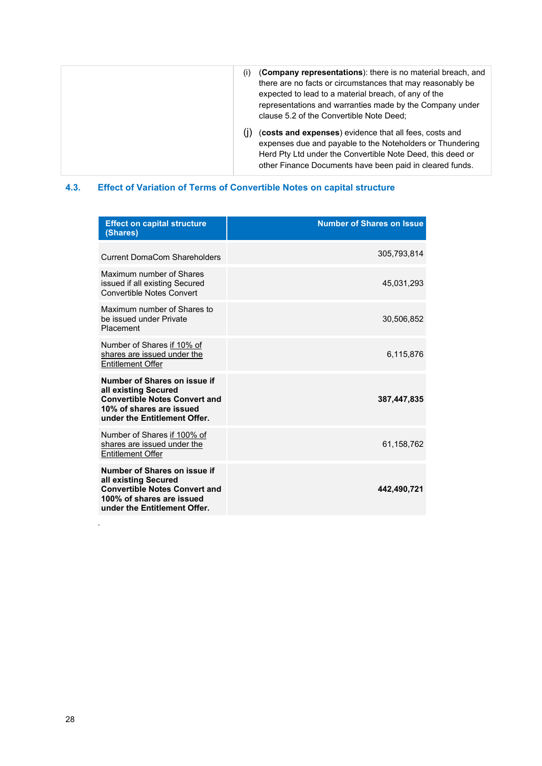| (i) | (Company representations): there is no material breach, and<br>there are no facts or circumstances that may reasonably be<br>expected to lead to a material breach, of any of the<br>representations and warranties made by the Company under<br>clause 5.2 of the Convertible Note Deed; |
|-----|-------------------------------------------------------------------------------------------------------------------------------------------------------------------------------------------------------------------------------------------------------------------------------------------|
| (۱) | (costs and expenses) evidence that all fees, costs and<br>expenses due and payable to the Noteholders or Thundering<br>Herd Pty Ltd under the Convertible Note Deed, this deed or<br>other Finance Documents have been paid in cleared funds.                                             |

## <span id="page-27-0"></span>**4.3. Effect of Variation of Terms of Convertible Notes on capital structure**

| <b>Effect on capital structure</b><br>(Shares)                                                                                                            | <b>Number of Shares on Issue</b> |
|-----------------------------------------------------------------------------------------------------------------------------------------------------------|----------------------------------|
| <b>Current DomaCom Shareholders</b>                                                                                                                       | 305,793,814                      |
| Maximum number of Shares<br>issued if all existing Secured<br><b>Convertible Notes Convert</b>                                                            | 45,031,293                       |
| Maximum number of Shares to<br>be issued under Private<br>Placement                                                                                       | 30,506,852                       |
| Number of Shares if 10% of<br>shares are issued under the<br><b>Entitlement Offer</b>                                                                     | 6,115,876                        |
| Number of Shares on issue if<br>all existing Secured<br><b>Convertible Notes Convert and</b><br>10% of shares are issued<br>under the Entitlement Offer.  | 387,447,835                      |
| Number of Shares if 100% of<br>shares are issued under the<br><b>Entitlement Offer</b>                                                                    | 61,158,762                       |
| Number of Shares on issue if<br>all existing Secured<br><b>Convertible Notes Convert and</b><br>100% of shares are issued<br>under the Entitlement Offer. | 442,490,721                      |

.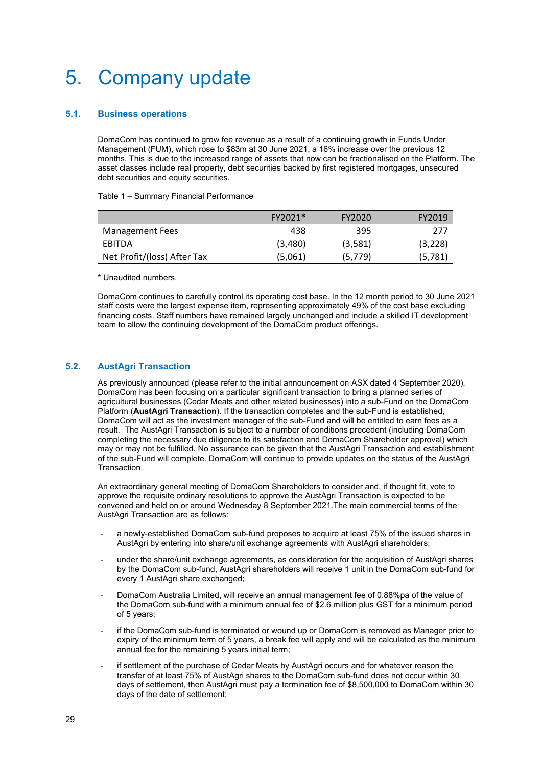## <span id="page-28-0"></span>5. Company update

### <span id="page-28-1"></span>**5.1. Business operations**

DomaCom has continued to grow fee revenue as a result of a continuing growth in Funds Under Management (FUM), which rose to \$83m at 30 June 2021, a 16% increase over the previous 12 months. This is due to the increased range of assets that now can be fractionalised on the Platform. The asset classes include real property, debt securities backed by first registered mortgages, unsecured debt securities and equity securities.

Table 1 – Summary Financial Performance

|                             | FY2021* | FY2020   | FY2019   |
|-----------------------------|---------|----------|----------|
| Management Fees             | 438     | 395      | 777      |
| I EBITDA                    | (3,480) | (3,581)  | (3,228)  |
| Net Profit/(loss) After Tax | (5,061) | (5, 779) | (5, 781) |

\* Unaudited numbers.

DomaCom continues to carefully control its operating cost base. In the 12 month period to 30 June 2021 staff costs were the largest expense item, representing approximately 49% of the cost base excluding financing costs. Staff numbers have remained largely unchanged and include a skilled IT development team to allow the continuing development of the DomaCom product offerings.

### <span id="page-28-2"></span>**5.2. AustAgri Transaction**

As previously announced (please refer to the initial announcement on ASX dated 4 September 2020), DomaCom has been focusing on a particular significant transaction to bring a planned series of agricultural businesses (Cedar Meats and other related businesses) into a sub-Fund on the DomaCom Platform (**AustAgri Transaction**). If the transaction completes and the sub-Fund is established, DomaCom will act as the investment manager of the sub-Fund and will be entitled to earn fees as a result. The AustAgri Transaction is subject to a number of conditions precedent (including DomaCom completing the necessary due diligence to its satisfaction and DomaCom Shareholder approval) which may or may not be fulfilled. No assurance can be given that the AustAgri Transaction and establishment of the sub-Fund will complete. DomaCom will continue to provide updates on the status of the AustAgri Transaction.

An extraordinary general meeting of DomaCom Shareholders to consider and, if thought fit, vote to approve the requisite ordinary resolutions to approve the AustAgri Transaction is expected to be convened and held on or around Wednesday 8 September 2021.The main commercial terms of the AustAgri Transaction are as follows:

- a newly-established DomaCom sub-fund proposes to acquire at least 75% of the issued shares in AustAgri by entering into share/unit exchange agreements with AustAgri shareholders;
- under the share/unit exchange agreements, as consideration for the acquisition of AustAgri shares by the DomaCom sub-fund, AustAgri shareholders will receive 1 unit in the DomaCom sub-fund for every 1 AustAgri share exchanged;
- DomaCom Australia Limited, will receive an annual management fee of 0.88%pa of the value of the DomaCom sub-fund with a minimum annual fee of \$2.6 million plus GST for a minimum period of 5 years;
- if the DomaCom sub-fund is terminated or wound up or DomaCom is removed as Manager prior to expiry of the minimum term of 5 years, a break fee will apply and will be calculated as the minimum annual fee for the remaining 5 years initial term;
- if settlement of the purchase of Cedar Meats by AustAgri occurs and for whatever reason the transfer of at least 75% of AustAgri shares to the DomaCom sub-fund does not occur within 30 days of settlement, then AustAgri must pay a termination fee of \$8,500,000 to DomaCom within 30 days of the date of settlement;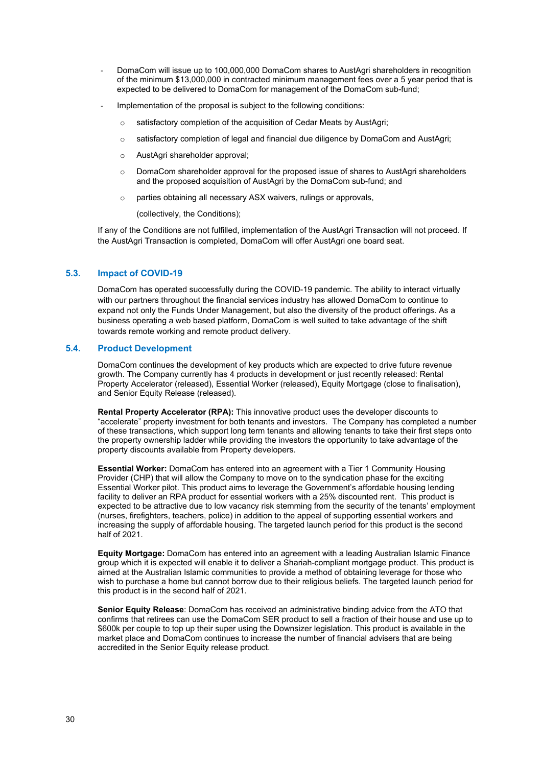- DomaCom will issue up to 100,000,000 DomaCom shares to AustAgri shareholders in recognition of the minimum \$13,000,000 in contracted minimum management fees over a 5 year period that is expected to be delivered to DomaCom for management of the DomaCom sub-fund;
- Implementation of the proposal is subject to the following conditions:
	- o satisfactory completion of the acquisition of Cedar Meats by AustAgri;
	- $\circ$  satisfactory completion of legal and financial due diligence by DomaCom and AustAgri;
	- o AustAgri shareholder approval;
	- $\circ$  DomaCom shareholder approval for the proposed issue of shares to AustAgri shareholders and the proposed acquisition of AustAgri by the DomaCom sub-fund; and
	- o parties obtaining all necessary ASX waivers, rulings or approvals,

(collectively, the Conditions);

If any of the Conditions are not fulfilled, implementation of the AustAgri Transaction will not proceed. If the AustAgri Transaction is completed, DomaCom will offer AustAgri one board seat.

## <span id="page-29-0"></span>**5.3. Impact of COVID-19**

DomaCom has operated successfully during the COVID-19 pandemic. The ability to interact virtually with our partners throughout the financial services industry has allowed DomaCom to continue to expand not only the Funds Under Management, but also the diversity of the product offerings. As a business operating a web based platform, DomaCom is well suited to take advantage of the shift towards remote working and remote product delivery.

#### <span id="page-29-1"></span>**5.4. Product Development**

DomaCom continues the development of key products which are expected to drive future revenue growth. The Company currently has 4 products in development or just recently released: Rental Property Accelerator (released), Essential Worker (released), Equity Mortgage (close to finalisation), and Senior Equity Release (released).

**Rental Property Accelerator (RPA):** This innovative product uses the developer discounts to "accelerate" property investment for both tenants and investors. The Company has completed a number of these transactions, which support long term tenants and allowing tenants to take their first steps onto the property ownership ladder while providing the investors the opportunity to take advantage of the property discounts available from Property developers.

**Essential Worker:** DomaCom has entered into an agreement with a Tier 1 Community Housing Provider (CHP) that will allow the Company to move on to the syndication phase for the exciting Essential Worker pilot. This product aims to leverage the Government's affordable housing lending facility to deliver an RPA product for essential workers with a 25% discounted rent. This product is expected to be attractive due to low vacancy risk stemming from the security of the tenants' employment (nurses, firefighters, teachers, police) in addition to the appeal of supporting essential workers and increasing the supply of affordable housing. The targeted launch period for this product is the second half of 2021.

**Equity Mortgage:** DomaCom has entered into an agreement with a leading Australian Islamic Finance group which it is expected will enable it to deliver a Shariah-compliant mortgage product. This product is aimed at the Australian Islamic communities to provide a method of obtaining leverage for those who wish to purchase a home but cannot borrow due to their religious beliefs. The targeted launch period for this product is in the second half of 2021.

**Senior Equity Release**: DomaCom has received an administrative binding advice from the ATO that confirms that retirees can use the DomaCom SER product to sell a fraction of their house and use up to \$600k per couple to top up their super using the Downsizer legislation. This product is available in the market place and DomaCom continues to increase the number of financial advisers that are being accredited in the Senior Equity release product.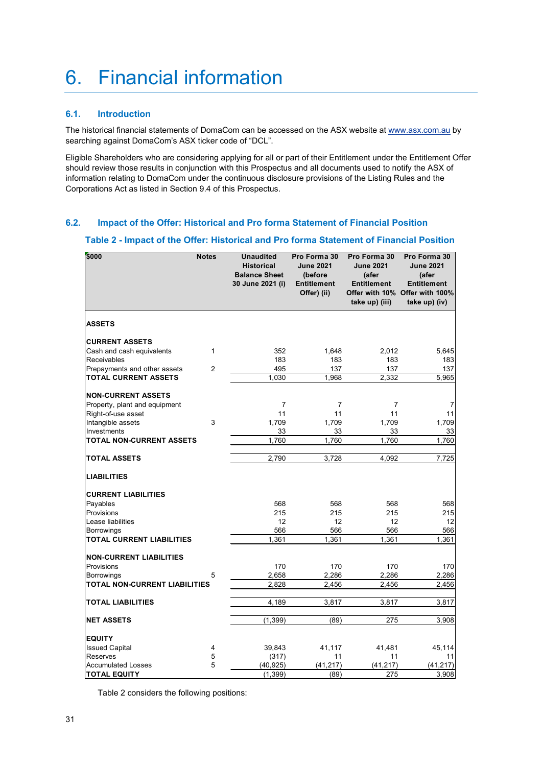## <span id="page-30-0"></span>6. Financial information

## <span id="page-30-1"></span>**6.1. Introduction**

The historical financial statements of DomaCom can be accessed on the ASX website a[t www.asx.com.au](http://www.asx.com.au/) by searching against DomaCom's ASX ticker code of "DCL".

Eligible Shareholders who are considering applying for all or part of their Entitlement under the Entitlement Offer should review those results in conjunction with this Prospectus and all documents used to notify the ASX of information relating to DomaCom under the continuous disclosure provisions of the Listing Rules and the Corporations Act as listed in Section 9.4 of this Prospectus.

## <span id="page-30-3"></span><span id="page-30-2"></span>**6.2. Impact of the Offer: Historical and Pro forma Statement of Financial Position**

#### **Table 2 - Impact of the Offer: Historical and Pro forma Statement of Financial Position**

| \$000                            | <b>Notes</b>   | <b>Unaudited</b><br><b>Historical</b><br><b>Balance Sheet</b><br>30 June 2021 (i) | Pro Forma 30<br><b>June 2021</b><br>(before<br><b>Entitlement</b><br>Offer) (ii) | Pro Forma 30<br><b>June 2021</b><br>(afer<br><b>Entitlement</b><br>take up) (iii) | Pro Forma 30<br><b>June 2021</b><br>(afer<br><b>Entitlement</b><br>Offer with 10% Offer with 100%<br>take up) (iv) |
|----------------------------------|----------------|-----------------------------------------------------------------------------------|----------------------------------------------------------------------------------|-----------------------------------------------------------------------------------|--------------------------------------------------------------------------------------------------------------------|
| <b>ASSETS</b>                    |                |                                                                                   |                                                                                  |                                                                                   |                                                                                                                    |
| <b>CURRENT ASSETS</b>            |                |                                                                                   |                                                                                  |                                                                                   |                                                                                                                    |
| Cash and cash equivalents        | $\mathbf{1}$   | 352                                                                               | 1.648                                                                            | 2,012                                                                             | 5.645                                                                                                              |
| Receivables                      |                | 183                                                                               | 183                                                                              | 183                                                                               | 183                                                                                                                |
| Prepayments and other assets     | $\overline{2}$ | 495                                                                               | 137                                                                              | 137                                                                               | 137                                                                                                                |
| <b>TOTAL CURRENT ASSETS</b>      |                | 1,030                                                                             | 1,968                                                                            | 2,332                                                                             | $\overline{5}$ , 965                                                                                               |
| <b>NON-CURRENT ASSETS</b>        |                |                                                                                   |                                                                                  |                                                                                   |                                                                                                                    |
| Property, plant and equipment    |                | $\overline{7}$                                                                    | $\overline{7}$                                                                   | $\overline{7}$                                                                    | 7                                                                                                                  |
| Right-of-use asset               |                | 11                                                                                | 11                                                                               | 11                                                                                | 11                                                                                                                 |
| Intangible assets                | 3              | 1,709                                                                             | 1,709                                                                            | 1,709                                                                             | 1,709                                                                                                              |
| Investments                      |                | 33                                                                                | 33                                                                               | 33                                                                                | 33                                                                                                                 |
| TOTAL NON-CURRENT ASSETS         |                | 1,760                                                                             | 1,760                                                                            | 1,760                                                                             | 1,760                                                                                                              |
| <b>TOTAL ASSETS</b>              |                | 2.790                                                                             | 3.728                                                                            | 4.092                                                                             | 7.725                                                                                                              |
| <b>LIABILITIES</b>               |                |                                                                                   |                                                                                  |                                                                                   |                                                                                                                    |
| <b>CURRENT LIABILITIES</b>       |                |                                                                                   |                                                                                  |                                                                                   |                                                                                                                    |
| Payables                         |                | 568                                                                               | 568                                                                              | 568                                                                               | 568                                                                                                                |
| Provisions                       |                | 215                                                                               | 215                                                                              | 215                                                                               | 215                                                                                                                |
| Lease liabilities                |                | 12                                                                                | 12                                                                               | 12                                                                                | 12                                                                                                                 |
| <b>Borrowings</b>                |                | 566                                                                               | 566                                                                              | 566                                                                               | 566                                                                                                                |
| <b>TOTAL CURRENT LIABILITIES</b> |                | 1.361                                                                             | 1.361                                                                            | 1,361                                                                             | $\overline{1,}361$                                                                                                 |
| <b>NON-CURRENT LIABILITIES</b>   |                |                                                                                   |                                                                                  |                                                                                   |                                                                                                                    |
| Provisions                       |                | 170                                                                               | 170                                                                              | 170                                                                               | 170                                                                                                                |
| <b>Borrowings</b>                | 5              | 2,658                                                                             | 2,286                                                                            | 2,286                                                                             | 2,286                                                                                                              |
| TOTAL NON-CURRENT LIABILITIES    |                | 2,828                                                                             | 2,456                                                                            | 2,456                                                                             | 2,456                                                                                                              |
| <b>TOTAL LIABILITIES</b>         |                | 4,189                                                                             | 3,817                                                                            | 3,817                                                                             | 3,817                                                                                                              |
| <b>NET ASSETS</b>                |                | (1, 399)                                                                          | (89)                                                                             | 275                                                                               | 3,908                                                                                                              |
| <b>EQUITY</b>                    |                |                                                                                   |                                                                                  |                                                                                   |                                                                                                                    |
| <b>Issued Capital</b>            | 4              | 39,843                                                                            | 41,117                                                                           | 41,481                                                                            | 45,114                                                                                                             |
| Reserves                         | 5              | (317)                                                                             | 11                                                                               | 11                                                                                | 11                                                                                                                 |
| <b>Accumulated Losses</b>        | 5              | (40, 925)                                                                         | (41,217)                                                                         | (41, 217)                                                                         | (41, 217)                                                                                                          |
| <b>TOTAL EQUITY</b>              |                | (1, 399)                                                                          | (89)                                                                             | 275                                                                               | 3,908                                                                                                              |

Table 2 considers the following positions: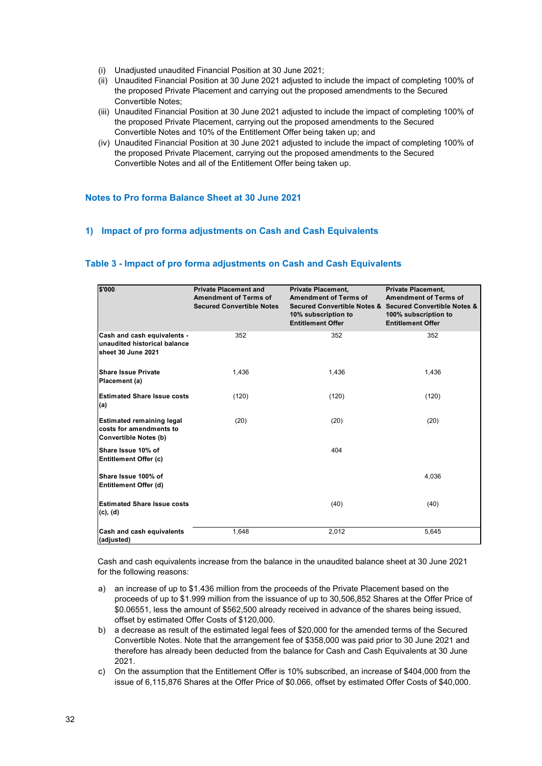- (i) Unadjusted unaudited Financial Position at 30 June 2021;
- (ii) Unaudited Financial Position at 30 June 2021 adjusted to include the impact of completing 100% of the proposed Private Placement and carrying out the proposed amendments to the Secured Convertible Notes;
- (iii) Unaudited Financial Position at 30 June 2021 adjusted to include the impact of completing 100% of the proposed Private Placement, carrying out the proposed amendments to the Secured Convertible Notes and 10% of the Entitlement Offer being taken up; and
- (iv) Unaudited Financial Position at 30 June 2021 adjusted to include the impact of completing 100% of the proposed Private Placement, carrying out the proposed amendments to the Secured Convertible Notes and all of the Entitlement Offer being taken up.

### <span id="page-31-0"></span>**Notes to Pro forma Balance Sheet at 30 June 2021**

### <span id="page-31-1"></span>**1) Impact of pro forma adjustments on Cash and Cash Equivalents**

| \$'000                                                                                      | <b>Private Placement and</b><br><b>Amendment of Terms of</b><br><b>Secured Convertible Notes</b> | <b>Private Placement,</b><br><b>Amendment of Terms of</b><br>10% subscription to<br><b>Entitlement Offer</b> | <b>Private Placement,</b><br><b>Amendment of Terms of</b><br>Secured Convertible Notes & Secured Convertible Notes &<br>100% subscription to<br><b>Entitlement Offer</b> |
|---------------------------------------------------------------------------------------------|--------------------------------------------------------------------------------------------------|--------------------------------------------------------------------------------------------------------------|--------------------------------------------------------------------------------------------------------------------------------------------------------------------------|
| Cash and cash equivalents -<br>unaudited historical balance<br>sheet 30 June 2021           | 352                                                                                              | 352                                                                                                          | 352                                                                                                                                                                      |
| <b>Share Issue Private</b><br>Placement (a)                                                 | 1,436                                                                                            | 1,436                                                                                                        | 1,436                                                                                                                                                                    |
| <b>Estimated Share Issue costs</b><br>(a)                                                   | (120)                                                                                            | (120)                                                                                                        | (120)                                                                                                                                                                    |
| <b>Estimated remaining legal</b><br>costs for amendments to<br><b>Convertible Notes (b)</b> | (20)                                                                                             | (20)                                                                                                         | (20)                                                                                                                                                                     |
| Share Issue 10% of<br><b>Entitlement Offer (c)</b>                                          |                                                                                                  | 404                                                                                                          |                                                                                                                                                                          |
| Share Issue 100% of<br>Entitlement Offer (d)                                                |                                                                                                  |                                                                                                              | 4.036                                                                                                                                                                    |
| <b>Estimated Share Issue costs</b><br>(c), (d)                                              |                                                                                                  | (40)                                                                                                         | (40)                                                                                                                                                                     |
| Cash and cash equivalents<br>(adjusted)                                                     | 1,648                                                                                            | 2,012                                                                                                        | 5,645                                                                                                                                                                    |

### <span id="page-31-2"></span>**Table 3 - Impact of pro forma adjustments on Cash and Cash Equivalents**

Cash and cash equivalents increase from the balance in the unaudited balance sheet at 30 June 2021 for the following reasons:

- a) an increase of up to \$1.436 million from the proceeds of the Private Placement based on the proceeds of up to \$1.999 million from the issuance of up to 30,506,852 Shares at the Offer Price of \$0.06551, less the amount of \$562,500 already received in advance of the shares being issued, offset by estimated Offer Costs of \$120,000.
- b) a decrease as result of the estimated legal fees of \$20,000 for the amended terms of the Secured Convertible Notes. Note that the arrangement fee of \$358,000 was paid prior to 30 June 2021 and therefore has already been deducted from the balance for Cash and Cash Equivalents at 30 June 2021.
- c) On the assumption that the Entitlement Offer is 10% subscribed, an increase of \$404,000 from the issue of 6,115,876 Shares at the Offer Price of \$0.066, offset by estimated Offer Costs of \$40,000.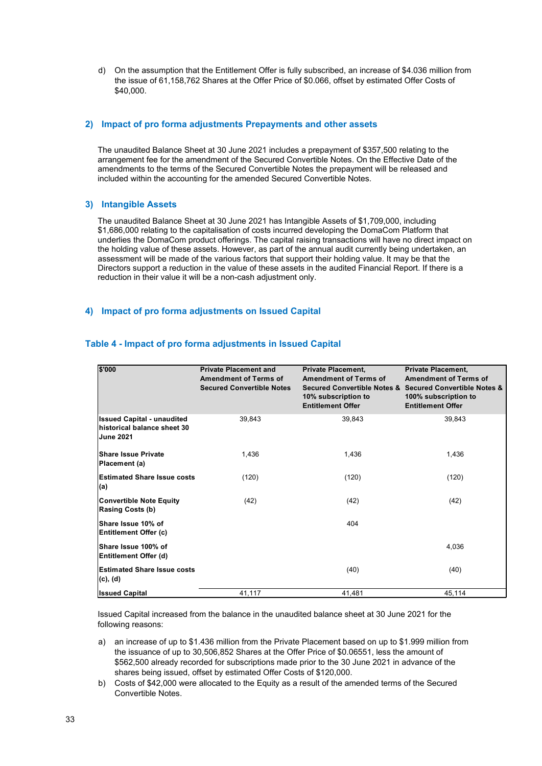d) On the assumption that the Entitlement Offer is fully subscribed, an increase of \$4.036 million from the issue of 61,158,762 Shares at the Offer Price of \$0.066, offset by estimated Offer Costs of \$40,000.

#### <span id="page-32-0"></span>**2) Impact of pro forma adjustments Prepayments and other assets**

The unaudited Balance Sheet at 30 June 2021 includes a prepayment of \$357,500 relating to the arrangement fee for the amendment of the Secured Convertible Notes. On the Effective Date of the amendments to the terms of the Secured Convertible Notes the prepayment will be released and included within the accounting for the amended Secured Convertible Notes.

#### <span id="page-32-1"></span>**3) Intangible Assets**

The unaudited Balance Sheet at 30 June 2021 has Intangible Assets of \$1,709,000, including \$1,686,000 relating to the capitalisation of costs incurred developing the DomaCom Platform that underlies the DomaCom product offerings. The capital raising transactions will have no direct impact on the holding value of these assets. However, as part of the annual audit currently being undertaken, an assessment will be made of the various factors that support their holding value. It may be that the Directors support a reduction in the value of these assets in the audited Financial Report. If there is a reduction in their value it will be a non-cash adjustment only.

### <span id="page-32-2"></span>**4) Impact of pro forma adjustments on Issued Capital**

| \$'000                                                                               | <b>Private Placement and</b><br><b>Amendment of Terms of</b><br><b>Secured Convertible Notes</b> | <b>Private Placement,</b><br><b>Amendment of Terms of</b><br>10% subscription to<br><b>Entitlement Offer</b> | <b>Private Placement,</b><br><b>Amendment of Terms of</b><br>Secured Convertible Notes & Secured Convertible Notes &<br>100% subscription to<br><b>Entitlement Offer</b> |
|--------------------------------------------------------------------------------------|--------------------------------------------------------------------------------------------------|--------------------------------------------------------------------------------------------------------------|--------------------------------------------------------------------------------------------------------------------------------------------------------------------------|
| <b>Issued Capital - unaudited</b><br>historical balance sheet 30<br><b>June 2021</b> | 39,843                                                                                           | 39,843                                                                                                       | 39.843                                                                                                                                                                   |
| <b>Share Issue Private</b><br>Placement (a)                                          | 1,436                                                                                            | 1,436                                                                                                        | 1,436                                                                                                                                                                    |
| <b>Estimated Share Issue costs</b><br>(a)                                            | (120)                                                                                            | (120)                                                                                                        | (120)                                                                                                                                                                    |
| <b>Convertible Note Equity</b><br><b>Rasing Costs (b)</b>                            | (42)                                                                                             | (42)                                                                                                         | (42)                                                                                                                                                                     |
| Share Issue 10% of<br>Entitlement Offer (c)                                          |                                                                                                  | 404                                                                                                          |                                                                                                                                                                          |
| Share Issue 100% of<br>Entitlement Offer (d)                                         |                                                                                                  |                                                                                                              | 4.036                                                                                                                                                                    |
| <b>Estimated Share Issue costs</b><br>(c), (d)                                       |                                                                                                  | (40)                                                                                                         | (40)                                                                                                                                                                     |
| <b>Issued Capital</b>                                                                | 41,117                                                                                           | 41,481                                                                                                       | 45,114                                                                                                                                                                   |

#### <span id="page-32-3"></span>**Table 4 - Impact of pro forma adjustments in Issued Capital**

Issued Capital increased from the balance in the unaudited balance sheet at 30 June 2021 for the following reasons:

- a) an increase of up to \$1.436 million from the Private Placement based on up to \$1.999 million from the issuance of up to 30,506,852 Shares at the Offer Price of \$0.06551, less the amount of \$562,500 already recorded for subscriptions made prior to the 30 June 2021 in advance of the shares being issued, offset by estimated Offer Costs of \$120,000.
- b) Costs of \$42,000 were allocated to the Equity as a result of the amended terms of the Secured Convertible Notes.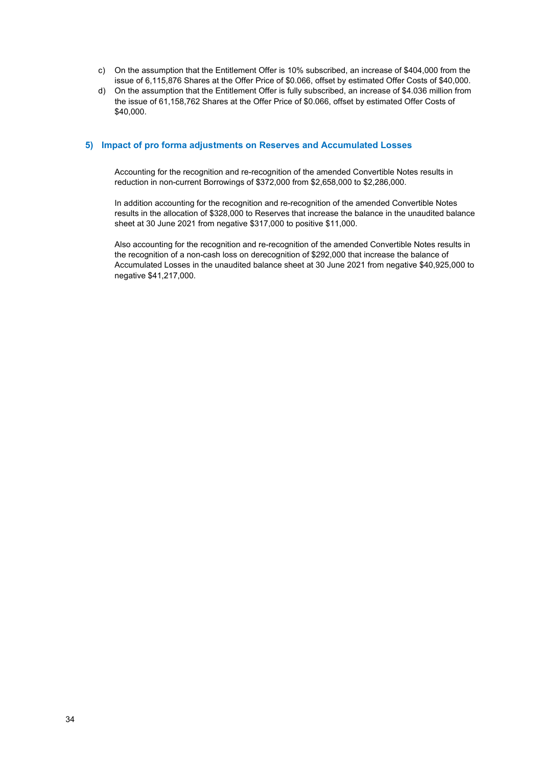- c) On the assumption that the Entitlement Offer is 10% subscribed, an increase of \$404,000 from the issue of 6,115,876 Shares at the Offer Price of \$0.066, offset by estimated Offer Costs of \$40,000.
- d) On the assumption that the Entitlement Offer is fully subscribed, an increase of \$4.036 million from the issue of 61,158,762 Shares at the Offer Price of \$0.066, offset by estimated Offer Costs of \$40,000.

#### <span id="page-33-0"></span>**5) Impact of pro forma adjustments on Reserves and Accumulated Losses**

Accounting for the recognition and re-recognition of the amended Convertible Notes results in reduction in non-current Borrowings of \$372,000 from \$2,658,000 to \$2,286,000.

In addition accounting for the recognition and re-recognition of the amended Convertible Notes results in the allocation of \$328,000 to Reserves that increase the balance in the unaudited balance sheet at 30 June 2021 from negative \$317,000 to positive \$11,000.

Also accounting for the recognition and re-recognition of the amended Convertible Notes results in the recognition of a non-cash loss on derecognition of \$292,000 that increase the balance of Accumulated Losses in the unaudited balance sheet at 30 June 2021 from negative \$40,925,000 to negative \$41,217,000.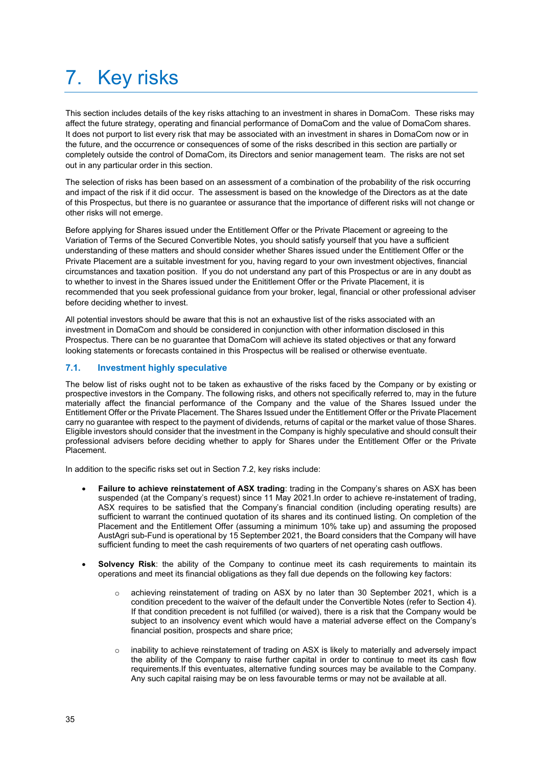# <span id="page-34-0"></span>7. Key risks

This section includes details of the key risks attaching to an investment in shares in DomaCom. These risks may affect the future strategy, operating and financial performance of DomaCom and the value of DomaCom shares. It does not purport to list every risk that may be associated with an investment in shares in DomaCom now or in the future, and the occurrence or consequences of some of the risks described in this section are partially or completely outside the control of DomaCom, its Directors and senior management team. The risks are not set out in any particular order in this section.

The selection of risks has been based on an assessment of a combination of the probability of the risk occurring and impact of the risk if it did occur. The assessment is based on the knowledge of the Directors as at the date of this Prospectus, but there is no guarantee or assurance that the importance of different risks will not change or other risks will not emerge.

Before applying for Shares issued under the Entitlement Offer or the Private Placement or agreeing to the Variation of Terms of the Secured Convertible Notes, you should satisfy yourself that you have a sufficient understanding of these matters and should consider whether Shares issued under the Entitlement Offer or the Private Placement are a suitable investment for you, having regard to your own investment objectives, financial circumstances and taxation position. If you do not understand any part of this Prospectus or are in any doubt as to whether to invest in the Shares issued under the Enititlement Offer or the Private Placement, it is recommended that you seek professional guidance from your broker, legal, financial or other professional adviser before deciding whether to invest.

All potential investors should be aware that this is not an exhaustive list of the risks associated with an investment in DomaCom and should be considered in conjunction with other information disclosed in this Prospectus. There can be no guarantee that DomaCom will achieve its stated objectives or that any forward looking statements or forecasts contained in this Prospectus will be realised or otherwise eventuate.

## <span id="page-34-1"></span>**7.1. Investment highly speculative**

The below list of risks ought not to be taken as exhaustive of the risks faced by the Company or by existing or prospective investors in the Company. The following risks, and others not specifically referred to, may in the future materially affect the financial performance of the Company and the value of the Shares Issued under the Entitlement Offer or the Private Placement. The Shares Issued under the Entitlement Offer or the Private Placement carry no guarantee with respect to the payment of dividends, returns of capital or the market value of those Shares. Eligible investors should consider that the investment in the Company is highly speculative and should consult their professional advisers before deciding whether to apply for Shares under the Entitlement Offer or the Private Placement.

In addition to the specific risks set out in Section 7.2, key risks include:

- **Failure to achieve reinstatement of ASX trading**: trading in the Company's shares on ASX has been suspended (at the Company's request) since 11 May 2021.In order to achieve re-instatement of trading, ASX requires to be satisfied that the Company's financial condition (including operating results) are sufficient to warrant the continued quotation of its shares and its continued listing. On completion of the Placement and the Entitlement Offer (assuming a minimum 10% take up) and assuming the proposed AustAgri sub-Fund is operational by 15 September 2021, the Board considers that the Company will have sufficient funding to meet the cash requirements of two quarters of net operating cash outflows.
- **Solvency Risk:** the ability of the Company to continue meet its cash requirements to maintain its operations and meet its financial obligations as they fall due depends on the following key factors:
	- o achieving reinstatement of trading on ASX by no later than 30 September 2021, which is a condition precedent to the waiver of the default under the Convertible Notes (refer to Section 4). If that condition precedent is not fulfilled (or waived), there is a risk that the Company would be subject to an insolvency event which would have a material adverse effect on the Company's financial position, prospects and share price;
	- o inability to achieve reinstatement of trading on ASX is likely to materially and adversely impact the ability of the Company to raise further capital in order to continue to meet its cash flow requirements.If this eventuates, alternative funding sources may be available to the Company. Any such capital raising may be on less favourable terms or may not be available at all.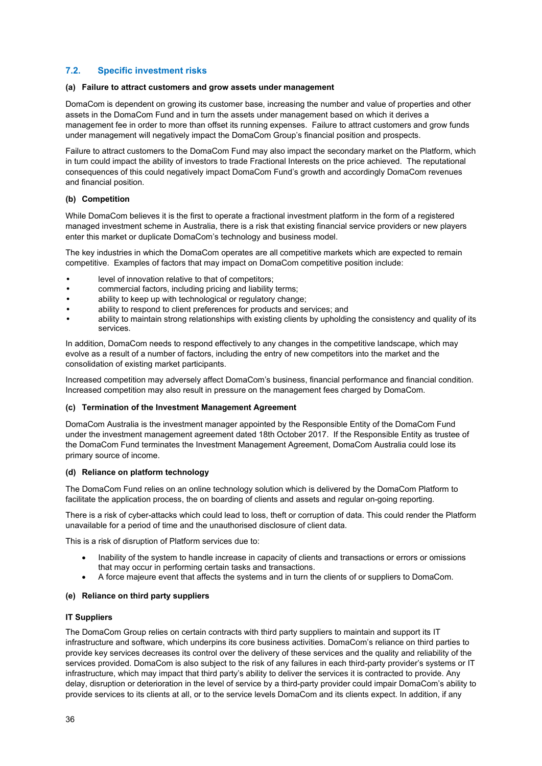## <span id="page-35-0"></span>**7.2. Specific investment risks**

#### **(a) Failure to attract customers and grow assets under management**

DomaCom is dependent on growing its customer base, increasing the number and value of properties and other assets in the DomaCom Fund and in turn the assets under management based on which it derives a management fee in order to more than offset its running expenses. Failure to attract customers and grow funds under management will negatively impact the DomaCom Group's financial position and prospects.

Failure to attract customers to the DomaCom Fund may also impact the secondary market on the Platform, which in turn could impact the ability of investors to trade Fractional Interests on the price achieved. The reputational consequences of this could negatively impact DomaCom Fund's growth and accordingly DomaCom revenues and financial position.

#### **(b) Competition**

While DomaCom believes it is the first to operate a fractional investment platform in the form of a registered managed investment scheme in Australia, there is a risk that existing financial service providers or new players enter this market or duplicate DomaCom's technology and business model.

The key industries in which the DomaCom operates are all competitive markets which are expected to remain competitive. Examples of factors that may impact on DomaCom competitive position include:

- level of innovation relative to that of competitors;
- commercial factors, including pricing and liability terms;
- ability to keep up with technological or regulatory change;
- ability to respond to client preferences for products and services; and
- ability to maintain strong relationships with existing clients by upholding the consistency and quality of its services.

In addition, DomaCom needs to respond effectively to any changes in the competitive landscape, which may evolve as a result of a number of factors, including the entry of new competitors into the market and the consolidation of existing market participants.

Increased competition may adversely affect DomaCom's business, financial performance and financial condition. Increased competition may also result in pressure on the management fees charged by DomaCom.

#### **(c) Termination of the Investment Management Agreement**

DomaCom Australia is the investment manager appointed by the Responsible Entity of the DomaCom Fund under the investment management agreement dated 18th October 2017. If the Responsible Entity as trustee of the DomaCom Fund terminates the Investment Management Agreement, DomaCom Australia could lose its primary source of income.

#### **(d) Reliance on platform technology**

The DomaCom Fund relies on an online technology solution which is delivered by the DomaCom Platform to facilitate the application process, the on boarding of clients and assets and regular on-going reporting.

There is a risk of cyber-attacks which could lead to loss, theft or corruption of data. This could render the Platform unavailable for a period of time and the unauthorised disclosure of client data.

This is a risk of disruption of Platform services due to:

- Inability of the system to handle increase in capacity of clients and transactions or errors or omissions that may occur in performing certain tasks and transactions.
- A force majeure event that affects the systems and in turn the clients of or suppliers to DomaCom.

#### **(e) Reliance on third party suppliers**

#### **IT Suppliers**

The DomaCom Group relies on certain contracts with third party suppliers to maintain and support its IT infrastructure and software, which underpins its core business activities. DomaCom's reliance on third parties to provide key services decreases its control over the delivery of these services and the quality and reliability of the services provided. DomaCom is also subject to the risk of any failures in each third-party provider's systems or IT infrastructure, which may impact that third party's ability to deliver the services it is contracted to provide. Any delay, disruption or deterioration in the level of service by a third-party provider could impair DomaCom's ability to provide services to its clients at all, or to the service levels DomaCom and its clients expect. In addition, if any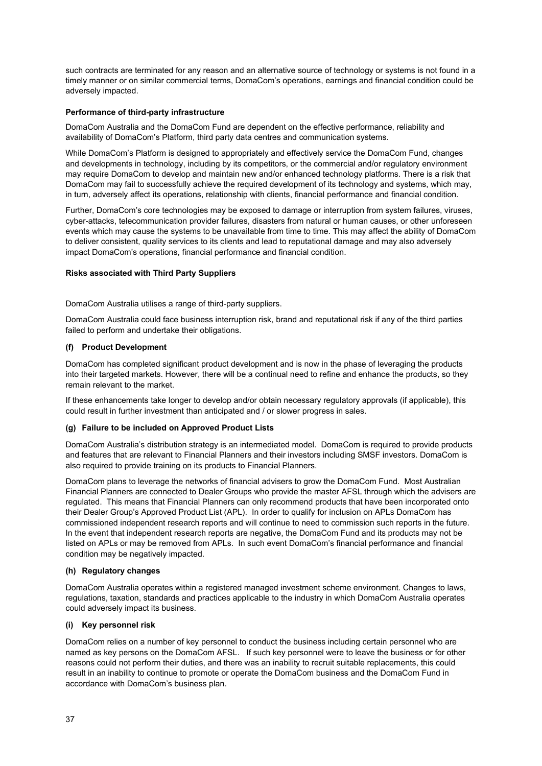such contracts are terminated for any reason and an alternative source of technology or systems is not found in a timely manner or on similar commercial terms, DomaCom's operations, earnings and financial condition could be adversely impacted.

#### **Performance of third-party infrastructure**

DomaCom Australia and the DomaCom Fund are dependent on the effective performance, reliability and availability of DomaCom's Platform, third party data centres and communication systems.

While DomaCom's Platform is designed to appropriately and effectively service the DomaCom Fund, changes and developments in technology, including by its competitors, or the commercial and/or regulatory environment may require DomaCom to develop and maintain new and/or enhanced technology platforms. There is a risk that DomaCom may fail to successfully achieve the required development of its technology and systems, which may, in turn, adversely affect its operations, relationship with clients, financial performance and financial condition.

Further, DomaCom's core technologies may be exposed to damage or interruption from system failures, viruses, cyber-attacks, telecommunication provider failures, disasters from natural or human causes, or other unforeseen events which may cause the systems to be unavailable from time to time. This may affect the ability of DomaCom to deliver consistent, quality services to its clients and lead to reputational damage and may also adversely impact DomaCom's operations, financial performance and financial condition.

#### **Risks associated with Third Party Suppliers**

DomaCom Australia utilises a range of third-party suppliers.

DomaCom Australia could face business interruption risk, brand and reputational risk if any of the third parties failed to perform and undertake their obligations.

#### **(f) Product Development**

DomaCom has completed significant product development and is now in the phase of leveraging the products into their targeted markets. However, there will be a continual need to refine and enhance the products, so they remain relevant to the market.

If these enhancements take longer to develop and/or obtain necessary regulatory approvals (if applicable), this could result in further investment than anticipated and / or slower progress in sales.

#### **(g) Failure to be included on Approved Product Lists**

DomaCom Australia's distribution strategy is an intermediated model. DomaCom is required to provide products and features that are relevant to Financial Planners and their investors including SMSF investors. DomaCom is also required to provide training on its products to Financial Planners.

DomaCom plans to leverage the networks of financial advisers to grow the DomaCom Fund. Most Australian Financial Planners are connected to Dealer Groups who provide the master AFSL through which the advisers are regulated. This means that Financial Planners can only recommend products that have been incorporated onto their Dealer Group's Approved Product List (APL). In order to qualify for inclusion on APLs DomaCom has commissioned independent research reports and will continue to need to commission such reports in the future. In the event that independent research reports are negative, the DomaCom Fund and its products may not be listed on APLs or may be removed from APLs. In such event DomaCom's financial performance and financial condition may be negatively impacted.

#### **(h) Regulatory changes**

DomaCom Australia operates within a registered managed investment scheme environment. Changes to laws, regulations, taxation, standards and practices applicable to the industry in which DomaCom Australia operates could adversely impact its business.

#### **(i) Key personnel risk**

DomaCom relies on a number of key personnel to conduct the business including certain personnel who are named as key persons on the DomaCom AFSL. If such key personnel were to leave the business or for other reasons could not perform their duties, and there was an inability to recruit suitable replacements, this could result in an inability to continue to promote or operate the DomaCom business and the DomaCom Fund in accordance with DomaCom's business plan.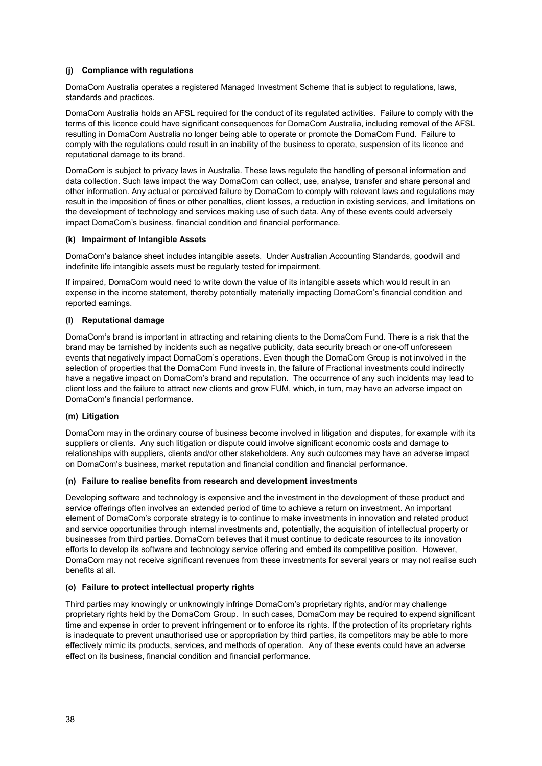#### **(j) Compliance with regulations**

DomaCom Australia operates a registered Managed Investment Scheme that is subject to regulations, laws, standards and practices.

DomaCom Australia holds an AFSL required for the conduct of its regulated activities. Failure to comply with the terms of this licence could have significant consequences for DomaCom Australia, including removal of the AFSL resulting in DomaCom Australia no longer being able to operate or promote the DomaCom Fund. Failure to comply with the regulations could result in an inability of the business to operate, suspension of its licence and reputational damage to its brand.

DomaCom is subject to privacy laws in Australia. These laws regulate the handling of personal information and data collection. Such laws impact the way DomaCom can collect, use, analyse, transfer and share personal and other information. Any actual or perceived failure by DomaCom to comply with relevant laws and regulations may result in the imposition of fines or other penalties, client losses, a reduction in existing services, and limitations on the development of technology and services making use of such data. Any of these events could adversely impact DomaCom's business, financial condition and financial performance.

#### **(k) Impairment of Intangible Assets**

DomaCom's balance sheet includes intangible assets. Under Australian Accounting Standards, goodwill and indefinite life intangible assets must be regularly tested for impairment.

If impaired, DomaCom would need to write down the value of its intangible assets which would result in an expense in the income statement, thereby potentially materially impacting DomaCom's financial condition and reported earnings.

#### **(l) Reputational damage**

DomaCom's brand is important in attracting and retaining clients to the DomaCom Fund. There is a risk that the brand may be tarnished by incidents such as negative publicity, data security breach or one-off unforeseen events that negatively impact DomaCom's operations. Even though the DomaCom Group is not involved in the selection of properties that the DomaCom Fund invests in, the failure of Fractional investments could indirectly have a negative impact on DomaCom's brand and reputation. The occurrence of any such incidents may lead to client loss and the failure to attract new clients and grow FUM, which, in turn, may have an adverse impact on DomaCom's financial performance.

#### **(m) Litigation**

DomaCom may in the ordinary course of business become involved in litigation and disputes, for example with its suppliers or clients. Any such litigation or dispute could involve significant economic costs and damage to relationships with suppliers, clients and/or other stakeholders. Any such outcomes may have an adverse impact on DomaCom's business, market reputation and financial condition and financial performance.

#### **(n) Failure to realise benefits from research and development investments**

Developing software and technology is expensive and the investment in the development of these product and service offerings often involves an extended period of time to achieve a return on investment. An important element of DomaCom's corporate strategy is to continue to make investments in innovation and related product and service opportunities through internal investments and, potentially, the acquisition of intellectual property or businesses from third parties. DomaCom believes that it must continue to dedicate resources to its innovation efforts to develop its software and technology service offering and embed its competitive position. However, DomaCom may not receive significant revenues from these investments for several years or may not realise such benefits at all.

#### **(o) Failure to protect intellectual property rights**

Third parties may knowingly or unknowingly infringe DomaCom's proprietary rights, and/or may challenge proprietary rights held by the DomaCom Group. In such cases, DomaCom may be required to expend significant time and expense in order to prevent infringement or to enforce its rights. If the protection of its proprietary rights is inadequate to prevent unauthorised use or appropriation by third parties, its competitors may be able to more effectively mimic its products, services, and methods of operation. Any of these events could have an adverse effect on its business, financial condition and financial performance.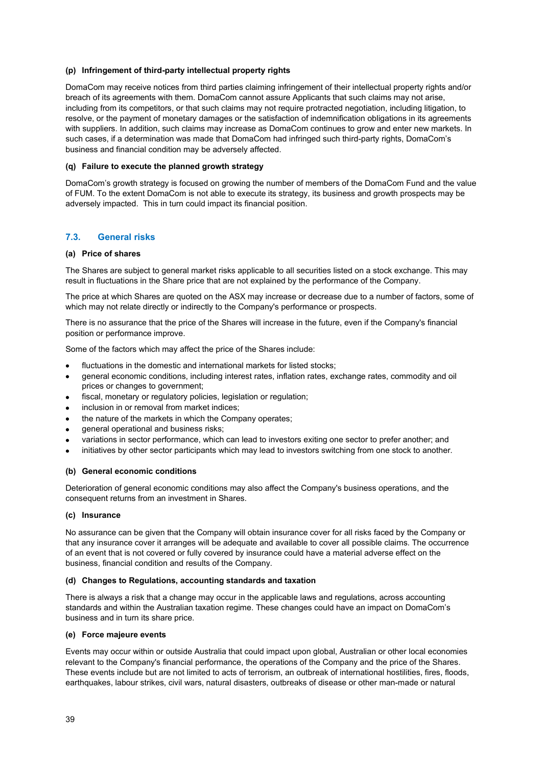#### **(p) Infringement of third-party intellectual property rights**

DomaCom may receive notices from third parties claiming infringement of their intellectual property rights and/or breach of its agreements with them. DomaCom cannot assure Applicants that such claims may not arise, including from its competitors, or that such claims may not require protracted negotiation, including litigation, to resolve, or the payment of monetary damages or the satisfaction of indemnification obligations in its agreements with suppliers. In addition, such claims may increase as DomaCom continues to grow and enter new markets. In such cases, if a determination was made that DomaCom had infringed such third-party rights, DomaCom's business and financial condition may be adversely affected.

#### **(q) Failure to execute the planned growth strategy**

DomaCom's growth strategy is focused on growing the number of members of the DomaCom Fund and the value of FUM. To the extent DomaCom is not able to execute its strategy, its business and growth prospects may be adversely impacted. This in turn could impact its financial position.

### <span id="page-38-0"></span>**7.3. General risks**

#### **(a) Price of shares**

The Shares are subject to general market risks applicable to all securities listed on a stock exchange. This may result in fluctuations in the Share price that are not explained by the performance of the Company.

The price at which Shares are quoted on the ASX may increase or decrease due to a number of factors, some of which may not relate directly or indirectly to the Company's performance or prospects.

There is no assurance that the price of the Shares will increase in the future, even if the Company's financial position or performance improve.

Some of the factors which may affect the price of the Shares include:

- fluctuations in the domestic and international markets for listed stocks;
- general economic conditions, including interest rates, inflation rates, exchange rates, commodity and oil prices or changes to government;
- fiscal, monetary or regulatory policies, legislation or regulation;
- inclusion in or removal from market indices;
- the nature of the markets in which the Company operates;
- general operational and business risks;
- variations in sector performance, which can lead to investors exiting one sector to prefer another; and
- initiatives by other sector participants which may lead to investors switching from one stock to another.

#### **(b) General economic conditions**

Deterioration of general economic conditions may also affect the Company's business operations, and the consequent returns from an investment in Shares.

#### **(c) Insurance**

No assurance can be given that the Company will obtain insurance cover for all risks faced by the Company or that any insurance cover it arranges will be adequate and available to cover all possible claims. The occurrence of an event that is not covered or fully covered by insurance could have a material adverse effect on the business, financial condition and results of the Company.

#### **(d) Changes to Regulations, accounting standards and taxation**

There is always a risk that a change may occur in the applicable laws and regulations, across accounting standards and within the Australian taxation regime. These changes could have an impact on DomaCom's business and in turn its share price.

#### **(e) Force majeure events**

Events may occur within or outside Australia that could impact upon global, Australian or other local economies relevant to the Company's financial performance, the operations of the Company and the price of the Shares. These events include but are not limited to acts of terrorism, an outbreak of international hostilities, fires, floods, earthquakes, labour strikes, civil wars, natural disasters, outbreaks of disease or other man-made or natural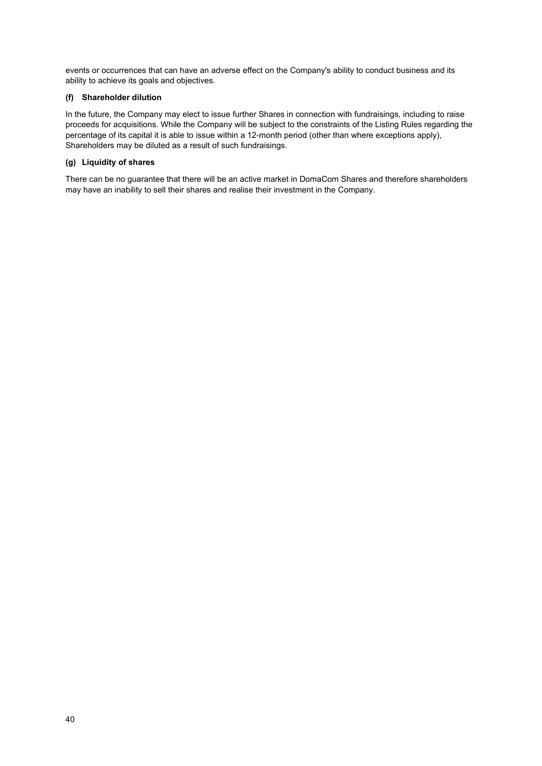events or occurrences that can have an adverse effect on the Company's ability to conduct business and its ability to achieve its goals and objectives.

## **(f) Shareholder dilution**

In the future, the Company may elect to issue further Shares in connection with fundraisings, including to raise proceeds for acquisitions. While the Company will be subject to the constraints of the Listing Rules regarding the percentage of its capital it is able to issue within a 12-month period (other than where exceptions apply), Shareholders may be diluted as a result of such fundraisings.

### **(g) Liquidity of shares**

There can be no guarantee that there will be an active market in DomaCom Shares and therefore shareholders may have an inability to sell their shares and realise their investment in the Company.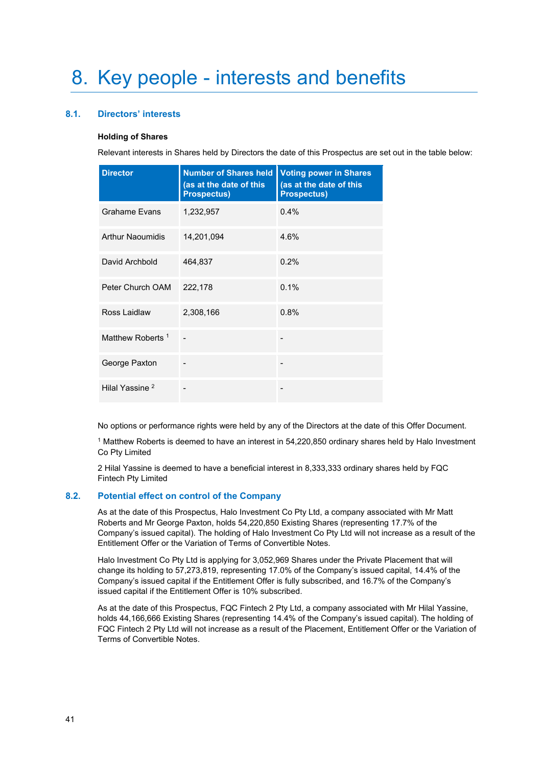## <span id="page-40-1"></span><span id="page-40-0"></span>**8.1. Directors' interests**

#### **Holding of Shares**

Relevant interests in Shares held by Directors the date of this Prospectus are set out in the table below:

| <b>Director</b>              | <b>Number of Shares held</b><br>(as at the date of this<br><b>Prospectus)</b> | <b>Voting power in Shares</b><br>(as at the date of this<br><b>Prospectus)</b> |
|------------------------------|-------------------------------------------------------------------------------|--------------------------------------------------------------------------------|
| <b>Grahame Evans</b>         | 1,232,957                                                                     | 0.4%                                                                           |
| <b>Arthur Naoumidis</b>      | 14,201,094                                                                    | 4.6%                                                                           |
| David Archbold               | 464,837                                                                       | 0.2%                                                                           |
| Peter Church OAM             | 222,178                                                                       | 0.1%                                                                           |
| Ross Laidlaw                 | 2,308,166                                                                     | 0.8%                                                                           |
| Matthew Roberts <sup>1</sup> |                                                                               |                                                                                |
| George Paxton                |                                                                               |                                                                                |
| Hilal Yassine <sup>2</sup>   |                                                                               |                                                                                |

No options or performance rights were held by any of the Directors at the date of this Offer Document.

<sup>1</sup> Matthew Roberts is deemed to have an interest in 54,220,850 ordinary shares held by Halo Investment Co Pty Limited

2 Hilal Yassine is deemed to have a beneficial interest in 8,333,333 ordinary shares held by FQC Fintech Pty Limited

#### <span id="page-40-2"></span>**8.2. Potential effect on control of the Company**

As at the date of this Prospectus, Halo Investment Co Pty Ltd, a company associated with Mr Matt Roberts and Mr George Paxton, holds 54,220,850 Existing Shares (representing 17.7% of the Company's issued capital). The holding of Halo Investment Co Pty Ltd will not increase as a result of the Entitlement Offer or the Variation of Terms of Convertible Notes.

Halo Investment Co Pty Ltd is applying for 3,052,969 Shares under the Private Placement that will change its holding to 57,273,819, representing 17.0% of the Company's issued capital, 14.4% of the Company's issued capital if the Entitlement Offer is fully subscribed, and 16.7% of the Company's issued capital if the Entitlement Offer is 10% subscribed.

As at the date of this Prospectus, FQC Fintech 2 Pty Ltd, a company associated with Mr Hilal Yassine, holds 44,166,666 Existing Shares (representing 14.4% of the Company's issued capital). The holding of FQC Fintech 2 Pty Ltd will not increase as a result of the Placement, Entitlement Offer or the Variation of Terms of Convertible Notes.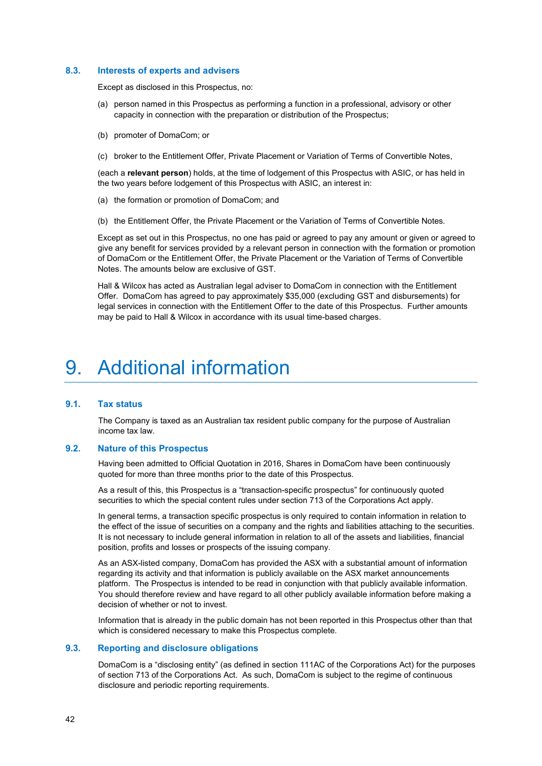#### <span id="page-41-0"></span>**8.3. Interests of experts and advisers**

Except as disclosed in this Prospectus, no:

- (a) person named in this Prospectus as performing a function in a professional, advisory or other capacity in connection with the preparation or distribution of the Prospectus;
- (b) promoter of DomaCom; or
- (c) broker to the Entitlement Offer, Private Placement or Variation of Terms of Convertible Notes,

(each a **relevant person**) holds, at the time of lodgement of this Prospectus with ASIC, or has held in the two years before lodgement of this Prospectus with ASIC, an interest in:

- (a) the formation or promotion of DomaCom; and
- (b) the Entitlement Offer, the Private Placement or the Variation of Terms of Convertible Notes.

Except as set out in this Prospectus, no one has paid or agreed to pay any amount or given or agreed to give any benefit for services provided by a relevant person in connection with the formation or promotion of DomaCom or the Entitlement Offer, the Private Placement or the Variation of Terms of Convertible Notes. The amounts below are exclusive of GST.

Hall & Wilcox has acted as Australian legal adviser to DomaCom in connection with the Entitlement Offer. DomaCom has agreed to pay approximately \$35,000 (excluding GST and disbursements) for legal services in connection with the Entitlement Offer to the date of this Prospectus. Further amounts may be paid to Hall & Wilcox in accordance with its usual time-based charges.

## <span id="page-41-1"></span>9. Additional information

#### <span id="page-41-2"></span>**9.1. Tax status**

The Company is taxed as an Australian tax resident public company for the purpose of Australian income tax law.

## <span id="page-41-3"></span>**9.2. Nature of this Prospectus**

Having been admitted to Official Quotation in 2016, Shares in DomaCom have been continuously quoted for more than three months prior to the date of this Prospectus.

As a result of this, this Prospectus is a "transaction-specific prospectus" for continuously quoted securities to which the special content rules under section 713 of the Corporations Act apply.

In general terms, a transaction specific prospectus is only required to contain information in relation to the effect of the issue of securities on a company and the rights and liabilities attaching to the securities. It is not necessary to include general information in relation to all of the assets and liabilities, financial position, profits and losses or prospects of the issuing company.

As an ASX-listed company, DomaCom has provided the ASX with a substantial amount of information regarding its activity and that information is publicly available on the ASX market announcements platform. The Prospectus is intended to be read in conjunction with that publicly available information. You should therefore review and have regard to all other publicly available information before making a decision of whether or not to invest.

Information that is already in the public domain has not been reported in this Prospectus other than that which is considered necessary to make this Prospectus complete.

#### <span id="page-41-4"></span>**9.3. Reporting and disclosure obligations**

DomaCom is a "disclosing entity" (as defined in section 111AC of the Corporations Act) for the purposes of section 713 of the Corporations Act. As such, DomaCom is subject to the regime of continuous disclosure and periodic reporting requirements.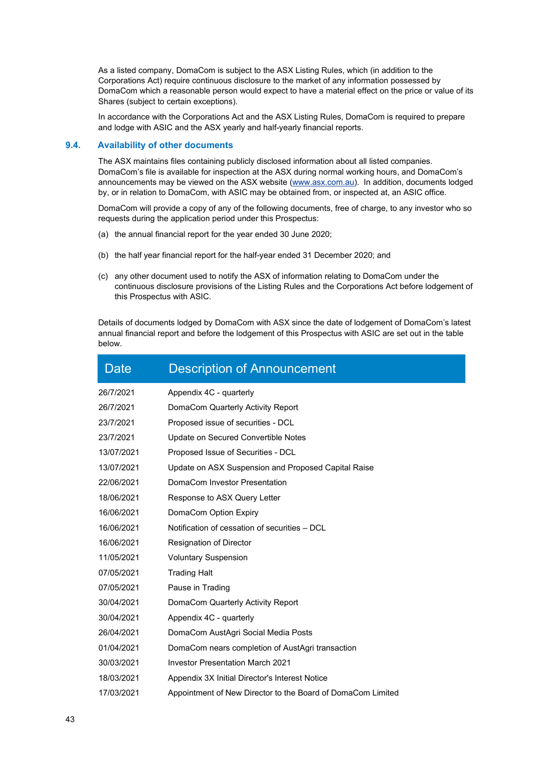As a listed company, DomaCom is subject to the ASX Listing Rules, which (in addition to the Corporations Act) require continuous disclosure to the market of any information possessed by DomaCom which a reasonable person would expect to have a material effect on the price or value of its Shares (subject to certain exceptions).

In accordance with the Corporations Act and the ASX Listing Rules, DomaCom is required to prepare and lodge with ASIC and the ASX yearly and half-yearly financial reports.

## <span id="page-42-0"></span>**9.4. Availability of other documents**

The ASX maintains files containing publicly disclosed information about all listed companies. DomaCom's file is available for inspection at the ASX during normal working hours, and DomaCom's announcements may be viewed on the ASX website [\(www.asx.com.au\)](http://www.asx.com.au/). In addition, documents lodged by, or in relation to DomaCom, with ASIC may be obtained from, or inspected at, an ASIC office.

DomaCom will provide a copy of any of the following documents, free of charge, to any investor who so requests during the application period under this Prospectus:

- (a) the annual financial report for the year ended 30 June 2020;
- (b) the half year financial report for the half-year ended 31 December 2020; and
- (c) any other document used to notify the ASX of information relating to DomaCom under the continuous disclosure provisions of the Listing Rules and the Corporations Act before lodgement of this Prospectus with ASIC.

Details of documents lodged by DomaCom with ASX since the date of lodgement of DomaCom's latest annual financial report and before the lodgement of this Prospectus with ASIC are set out in the table below.

| Date       | <b>Description of Announcement</b>                          |
|------------|-------------------------------------------------------------|
| 26/7/2021  | Appendix 4C - quarterly                                     |
| 26/7/2021  | DomaCom Quarterly Activity Report                           |
| 23/7/2021  | Proposed issue of securities - DCL                          |
| 23/7/2021  | Update on Secured Convertible Notes                         |
| 13/07/2021 | Proposed Issue of Securities - DCL                          |
| 13/07/2021 | Update on ASX Suspension and Proposed Capital Raise         |
| 22/06/2021 | DomaCom Investor Presentation                               |
| 18/06/2021 | Response to ASX Query Letter                                |
| 16/06/2021 | DomaCom Option Expiry                                       |
| 16/06/2021 | Notification of cessation of securities - DCL               |
| 16/06/2021 | Resignation of Director                                     |
| 11/05/2021 | <b>Voluntary Suspension</b>                                 |
| 07/05/2021 | <b>Trading Halt</b>                                         |
| 07/05/2021 | Pause in Trading                                            |
| 30/04/2021 | DomaCom Quarterly Activity Report                           |
| 30/04/2021 | Appendix 4C - quarterly                                     |
| 26/04/2021 | DomaCom AustAgri Social Media Posts                         |
| 01/04/2021 | DomaCom nears completion of AustAgri transaction            |
| 30/03/2021 | <b>Investor Presentation March 2021</b>                     |
| 18/03/2021 | Appendix 3X Initial Director's Interest Notice              |
| 17/03/2021 | Appointment of New Director to the Board of DomaCom Limited |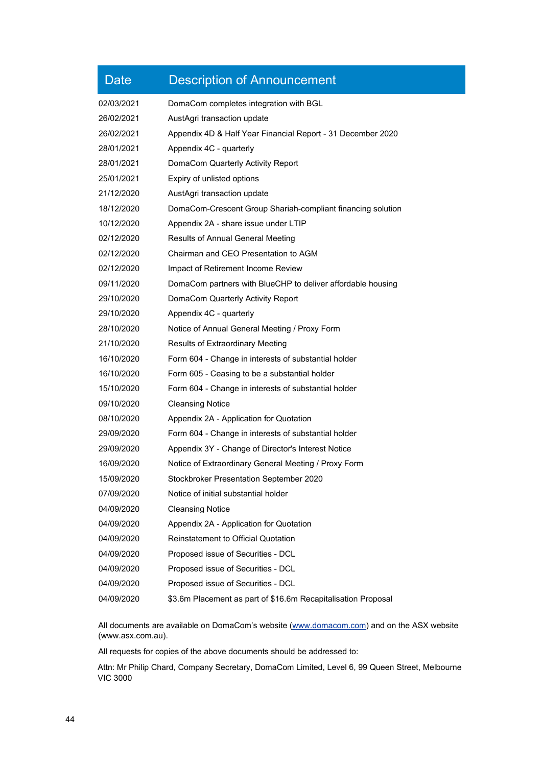| <b>Date</b> | <b>Description of Announcement</b>                            |
|-------------|---------------------------------------------------------------|
| 02/03/2021  | DomaCom completes integration with BGL                        |
| 26/02/2021  | AustAgri transaction update                                   |
| 26/02/2021  | Appendix 4D & Half Year Financial Report - 31 December 2020   |
| 28/01/2021  | Appendix 4C - quarterly                                       |
| 28/01/2021  | DomaCom Quarterly Activity Report                             |
| 25/01/2021  | Expiry of unlisted options                                    |
| 21/12/2020  | AustAgri transaction update                                   |
| 18/12/2020  | DomaCom-Crescent Group Shariah-compliant financing solution   |
| 10/12/2020  | Appendix 2A - share issue under LTIP                          |
| 02/12/2020  | Results of Annual General Meeting                             |
| 02/12/2020  | Chairman and CEO Presentation to AGM                          |
| 02/12/2020  | Impact of Retirement Income Review                            |
| 09/11/2020  | DomaCom partners with BlueCHP to deliver affordable housing   |
| 29/10/2020  | DomaCom Quarterly Activity Report                             |
| 29/10/2020  | Appendix 4C - quarterly                                       |
| 28/10/2020  | Notice of Annual General Meeting / Proxy Form                 |
| 21/10/2020  | <b>Results of Extraordinary Meeting</b>                       |
| 16/10/2020  | Form 604 - Change in interests of substantial holder          |
| 16/10/2020  | Form 605 - Ceasing to be a substantial holder                 |
| 15/10/2020  | Form 604 - Change in interests of substantial holder          |
| 09/10/2020  | <b>Cleansing Notice</b>                                       |
| 08/10/2020  | Appendix 2A - Application for Quotation                       |
| 29/09/2020  | Form 604 - Change in interests of substantial holder          |
| 29/09/2020  | Appendix 3Y - Change of Director's Interest Notice            |
| 16/09/2020  | Notice of Extraordinary General Meeting / Proxy Form          |
| 15/09/2020  | Stockbroker Presentation September 2020                       |
| 07/09/2020  | Notice of initial substantial holder                          |
| 04/09/2020  | <b>Cleansing Notice</b>                                       |
| 04/09/2020  | Appendix 2A - Application for Quotation                       |
| 04/09/2020  | <b>Reinstatement to Official Quotation</b>                    |
| 04/09/2020  | Proposed issue of Securities - DCL                            |
| 04/09/2020  | Proposed issue of Securities - DCL                            |
| 04/09/2020  | Proposed issue of Securities - DCL                            |
| 04/09/2020  | \$3.6m Placement as part of \$16.6m Recapitalisation Proposal |

All documents are available on DomaCom's website [\(www.domacom.com\)](http://www.domacom.com/) and on the ASX website [\(www.asx.com.au\)](http://www.asx.com.au/).

All requests for copies of the above documents should be addressed to:

Attn: Mr Philip Chard, Company Secretary, DomaCom Limited, Level 6, 99 Queen Street, Melbourne VIC 3000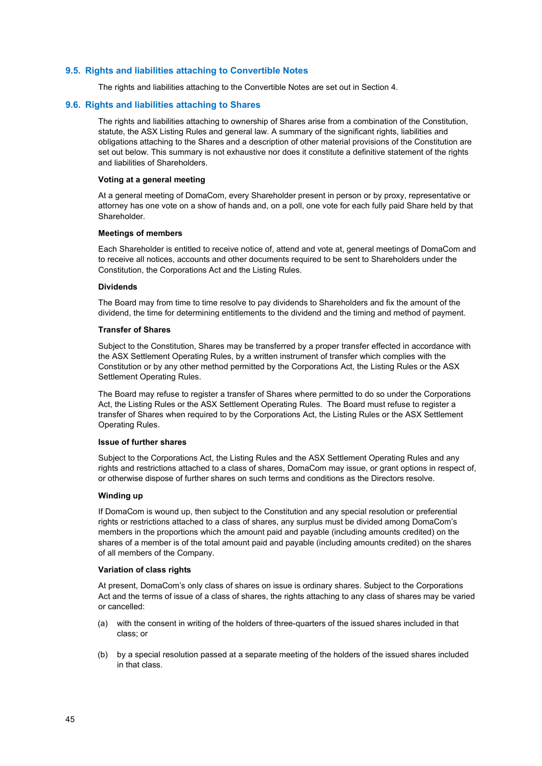#### <span id="page-44-0"></span>**9.5. Rights and liabilities attaching to Convertible Notes**

The rights and liabilities attaching to the Convertible Notes are set out in Section 4.

#### <span id="page-44-1"></span>**9.6. Rights and liabilities attaching to Shares**

The rights and liabilities attaching to ownership of Shares arise from a combination of the Constitution, statute, the ASX Listing Rules and general law. A summary of the significant rights, liabilities and obligations attaching to the Shares and a description of other material provisions of the Constitution are set out below. This summary is not exhaustive nor does it constitute a definitive statement of the rights and liabilities of Shareholders.

#### **Voting at a general meeting**

At a general meeting of DomaCom, every Shareholder present in person or by proxy, representative or attorney has one vote on a show of hands and, on a poll, one vote for each fully paid Share held by that Shareholder.

#### **Meetings of members**

Each Shareholder is entitled to receive notice of, attend and vote at, general meetings of DomaCom and to receive all notices, accounts and other documents required to be sent to Shareholders under the Constitution, the Corporations Act and the Listing Rules.

#### **Dividends**

The Board may from time to time resolve to pay dividends to Shareholders and fix the amount of the dividend, the time for determining entitlements to the dividend and the timing and method of payment.

#### **Transfer of Shares**

Subject to the Constitution, Shares may be transferred by a proper transfer effected in accordance with the ASX Settlement Operating Rules, by a written instrument of transfer which complies with the Constitution or by any other method permitted by the Corporations Act, the Listing Rules or the ASX Settlement Operating Rules.

The Board may refuse to register a transfer of Shares where permitted to do so under the Corporations Act, the Listing Rules or the ASX Settlement Operating Rules. The Board must refuse to register a transfer of Shares when required to by the Corporations Act, the Listing Rules or the ASX Settlement Operating Rules.

#### **Issue of further shares**

Subject to the Corporations Act, the Listing Rules and the ASX Settlement Operating Rules and any rights and restrictions attached to a class of shares, DomaCom may issue, or grant options in respect of, or otherwise dispose of further shares on such terms and conditions as the Directors resolve.

#### **Winding up**

If DomaCom is wound up, then subject to the Constitution and any special resolution or preferential rights or restrictions attached to a class of shares, any surplus must be divided among DomaCom's members in the proportions which the amount paid and payable (including amounts credited) on the shares of a member is of the total amount paid and payable (including amounts credited) on the shares of all members of the Company.

#### **Variation of class rights**

At present, DomaCom's only class of shares on issue is ordinary shares. Subject to the Corporations Act and the terms of issue of a class of shares, the rights attaching to any class of shares may be varied or cancelled:

- (a) with the consent in writing of the holders of three-quarters of the issued shares included in that class; or
- (b) by a special resolution passed at a separate meeting of the holders of the issued shares included in that class.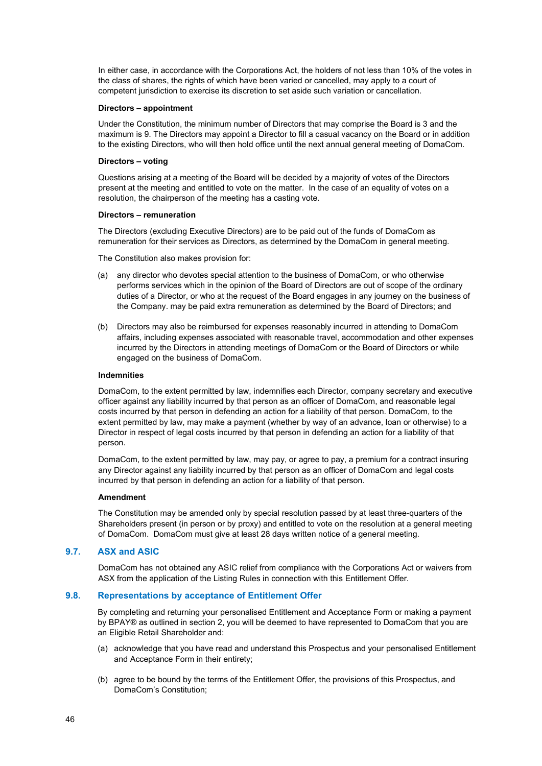In either case, in accordance with the Corporations Act, the holders of not less than 10% of the votes in the class of shares, the rights of which have been varied or cancelled, may apply to a court of competent jurisdiction to exercise its discretion to set aside such variation or cancellation.

#### **Directors – appointment**

Under the Constitution, the minimum number of Directors that may comprise the Board is 3 and the maximum is 9. The Directors may appoint a Director to fill a casual vacancy on the Board or in addition to the existing Directors, who will then hold office until the next annual general meeting of DomaCom.

#### **Directors – voting**

Questions arising at a meeting of the Board will be decided by a majority of votes of the Directors present at the meeting and entitled to vote on the matter. In the case of an equality of votes on a resolution, the chairperson of the meeting has a casting vote.

#### **Directors – remuneration**

The Directors (excluding Executive Directors) are to be paid out of the funds of DomaCom as remuneration for their services as Directors, as determined by the DomaCom in general meeting.

The Constitution also makes provision for:

- (a) any director who devotes special attention to the business of DomaCom, or who otherwise performs services which in the opinion of the Board of Directors are out of scope of the ordinary duties of a Director, or who at the request of the Board engages in any journey on the business of the Company. may be paid extra remuneration as determined by the Board of Directors; and
- (b) Directors may also be reimbursed for expenses reasonably incurred in attending to DomaCom affairs, including expenses associated with reasonable travel, accommodation and other expenses incurred by the Directors in attending meetings of DomaCom or the Board of Directors or while engaged on the business of DomaCom.

#### **Indemnities**

DomaCom, to the extent permitted by law, indemnifies each Director, company secretary and executive officer against any liability incurred by that person as an officer of DomaCom, and reasonable legal costs incurred by that person in defending an action for a liability of that person. DomaCom, to the extent permitted by law, may make a payment (whether by way of an advance, loan or otherwise) to a Director in respect of legal costs incurred by that person in defending an action for a liability of that person.

DomaCom, to the extent permitted by law, may pay, or agree to pay, a premium for a contract insuring any Director against any liability incurred by that person as an officer of DomaCom and legal costs incurred by that person in defending an action for a liability of that person.

#### **Amendment**

The Constitution may be amended only by special resolution passed by at least three-quarters of the Shareholders present (in person or by proxy) and entitled to vote on the resolution at a general meeting of DomaCom. DomaCom must give at least 28 days written notice of a general meeting.

#### <span id="page-45-0"></span>**9.7. ASX and ASIC**

DomaCom has not obtained any ASIC relief from compliance with the Corporations Act or waivers from ASX from the application of the Listing Rules in connection with this Entitlement Offer.

### <span id="page-45-1"></span>**9.8. Representations by acceptance of Entitlement Offer**

By completing and returning your personalised Entitlement and Acceptance Form or making a payment by BPAY® as outlined in section [2,](#page-19-0) you will be deemed to have represented to DomaCom that you are an Eligible Retail Shareholder and:

- (a) acknowledge that you have read and understand this Prospectus and your personalised Entitlement and Acceptance Form in their entirety;
- (b) agree to be bound by the terms of the Entitlement Offer, the provisions of this Prospectus, and DomaCom's Constitution;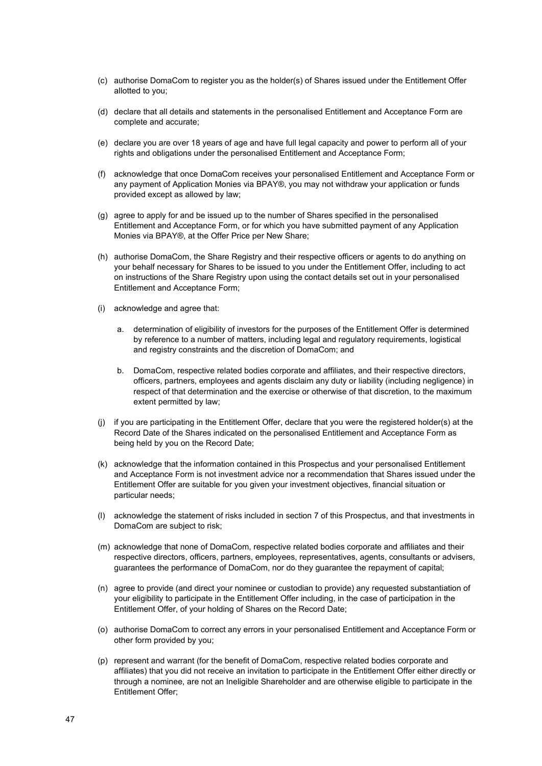- (c) authorise DomaCom to register you as the holder(s) of Shares issued under the Entitlement Offer allotted to you;
- (d) declare that all details and statements in the personalised Entitlement and Acceptance Form are complete and accurate;
- (e) declare you are over 18 years of age and have full legal capacity and power to perform all of your rights and obligations under the personalised Entitlement and Acceptance Form;
- (f) acknowledge that once DomaCom receives your personalised Entitlement and Acceptance Form or any payment of Application Monies via BPAY®, you may not withdraw your application or funds provided except as allowed by law;
- (g) agree to apply for and be issued up to the number of Shares specified in the personalised Entitlement and Acceptance Form, or for which you have submitted payment of any Application Monies via BPAY®, at the Offer Price per New Share;
- (h) authorise DomaCom, the Share Registry and their respective officers or agents to do anything on your behalf necessary for Shares to be issued to you under the Entitlement Offer, including to act on instructions of the Share Registry upon using the contact details set out in your personalised Entitlement and Acceptance Form;
- (i) acknowledge and agree that:
	- a. determination of eligibility of investors for the purposes of the Entitlement Offer is determined by reference to a number of matters, including legal and regulatory requirements, logistical and registry constraints and the discretion of DomaCom; and
	- b. DomaCom, respective related bodies corporate and affiliates, and their respective directors, officers, partners, employees and agents disclaim any duty or liability (including negligence) in respect of that determination and the exercise or otherwise of that discretion, to the maximum extent permitted by law;
- (j) if you are participating in the Entitlement Offer, declare that you were the registered holder(s) at the Record Date of the Shares indicated on the personalised Entitlement and Acceptance Form as being held by you on the Record Date;
- (k) acknowledge that the information contained in this Prospectus and your personalised Entitlement and Acceptance Form is not investment advice nor a recommendation that Shares issued under the Entitlement Offer are suitable for you given your investment objectives, financial situation or particular needs;
- (l) acknowledge the statement of risks included in section [7](#page-34-0) of this Prospectus, and that investments in DomaCom are subject to risk;
- (m) acknowledge that none of DomaCom, respective related bodies corporate and affiliates and their respective directors, officers, partners, employees, representatives, agents, consultants or advisers, guarantees the performance of DomaCom, nor do they guarantee the repayment of capital;
- (n) agree to provide (and direct your nominee or custodian to provide) any requested substantiation of your eligibility to participate in the Entitlement Offer including, in the case of participation in the Entitlement Offer, of your holding of Shares on the Record Date;
- (o) authorise DomaCom to correct any errors in your personalised Entitlement and Acceptance Form or other form provided by you;
- (p) represent and warrant (for the benefit of DomaCom, respective related bodies corporate and affiliates) that you did not receive an invitation to participate in the Entitlement Offer either directly or through a nominee, are not an Ineligible Shareholder and are otherwise eligible to participate in the Entitlement Offer;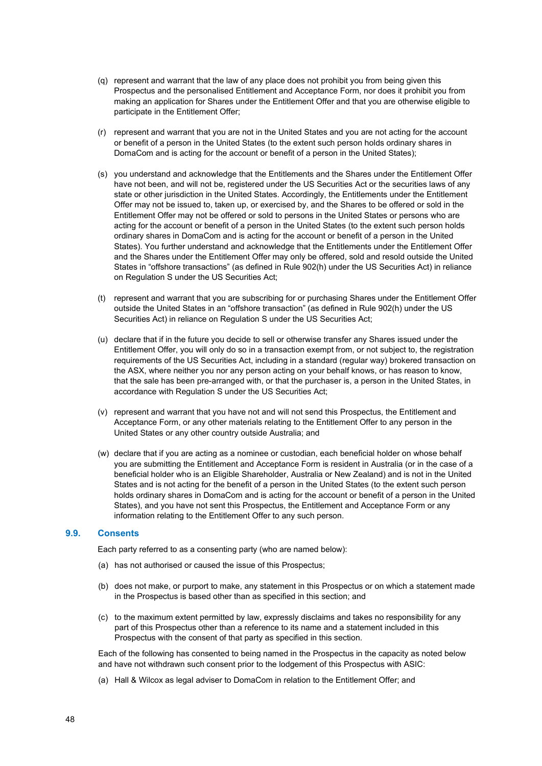- (q) represent and warrant that the law of any place does not prohibit you from being given this Prospectus and the personalised Entitlement and Acceptance Form, nor does it prohibit you from making an application for Shares under the Entitlement Offer and that you are otherwise eligible to participate in the Entitlement Offer;
- (r) represent and warrant that you are not in the United States and you are not acting for the account or benefit of a person in the United States (to the extent such person holds ordinary shares in DomaCom and is acting for the account or benefit of a person in the United States);
- (s) you understand and acknowledge that the Entitlements and the Shares under the Entitlement Offer have not been, and will not be, registered under the US Securities Act or the securities laws of any state or other jurisdiction in the United States. Accordingly, the Entitlements under the Entitlement Offer may not be issued to, taken up, or exercised by, and the Shares to be offered or sold in the Entitlement Offer may not be offered or sold to persons in the United States or persons who are acting for the account or benefit of a person in the United States (to the extent such person holds ordinary shares in DomaCom and is acting for the account or benefit of a person in the United States). You further understand and acknowledge that the Entitlements under the Entitlement Offer and the Shares under the Entitlement Offer may only be offered, sold and resold outside the United States in "offshore transactions" (as defined in Rule 902(h) under the US Securities Act) in reliance on Regulation S under the US Securities Act;
- (t) represent and warrant that you are subscribing for or purchasing Shares under the Entitlement Offer outside the United States in an "offshore transaction" (as defined in Rule 902(h) under the US Securities Act) in reliance on Regulation S under the US Securities Act;
- (u) declare that if in the future you decide to sell or otherwise transfer any Shares issued under the Entitlement Offer, you will only do so in a transaction exempt from, or not subject to, the registration requirements of the US Securities Act, including in a standard (regular way) brokered transaction on the ASX, where neither you nor any person acting on your behalf knows, or has reason to know, that the sale has been pre-arranged with, or that the purchaser is, a person in the United States, in accordance with Regulation S under the US Securities Act;
- (v) represent and warrant that you have not and will not send this Prospectus, the Entitlement and Acceptance Form, or any other materials relating to the Entitlement Offer to any person in the United States or any other country outside Australia; and
- (w) declare that if you are acting as a nominee or custodian, each beneficial holder on whose behalf you are submitting the Entitlement and Acceptance Form is resident in Australia (or in the case of a beneficial holder who is an Eligible Shareholder, Australia or New Zealand) and is not in the United States and is not acting for the benefit of a person in the United States (to the extent such person holds ordinary shares in DomaCom and is acting for the account or benefit of a person in the United States), and you have not sent this Prospectus, the Entitlement and Acceptance Form or any information relating to the Entitlement Offer to any such person.

### <span id="page-47-0"></span>**9.9. Consents**

Each party referred to as a consenting party (who are named below):

- (a) has not authorised or caused the issue of this Prospectus;
- (b) does not make, or purport to make, any statement in this Prospectus or on which a statement made in the Prospectus is based other than as specified in this section; and
- (c) to the maximum extent permitted by law, expressly disclaims and takes no responsibility for any part of this Prospectus other than a reference to its name and a statement included in this Prospectus with the consent of that party as specified in this section.

Each of the following has consented to being named in the Prospectus in the capacity as noted below and have not withdrawn such consent prior to the lodgement of this Prospectus with ASIC:

(a) Hall & Wilcox as legal adviser to DomaCom in relation to the Entitlement Offer; and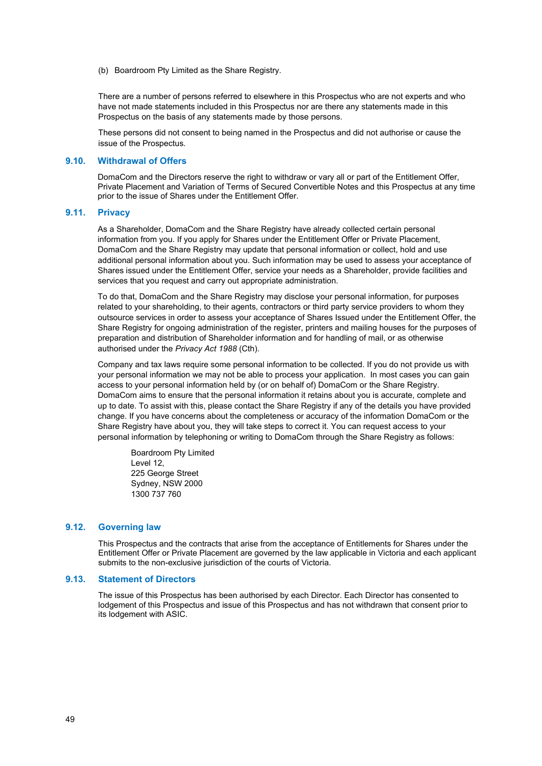(b) Boardroom Pty Limited as the Share Registry.

There are a number of persons referred to elsewhere in this Prospectus who are not experts and who have not made statements included in this Prospectus nor are there any statements made in this Prospectus on the basis of any statements made by those persons.

These persons did not consent to being named in the Prospectus and did not authorise or cause the issue of the Prospectus.

#### <span id="page-48-1"></span>**9.10. Withdrawal of Offers**

DomaCom and the Directors reserve the right to withdraw or vary all or part of the Entitlement Offer, Private Placement and Variation of Terms of Secured Convertible Notes and this Prospectus at any time prior to the issue of Shares under the Entitlement Offer.

#### <span id="page-48-0"></span>**9.11. Privacy**

As a Shareholder, DomaCom and the Share Registry have already collected certain personal information from you. If you apply for Shares under the Entitlement Offer or Private Placement, DomaCom and the Share Registry may update that personal information or collect, hold and use additional personal information about you. Such information may be used to assess your acceptance of Shares issued under the Entitlement Offer, service your needs as a Shareholder, provide facilities and services that you request and carry out appropriate administration.

To do that, DomaCom and the Share Registry may disclose your personal information, for purposes related to your shareholding, to their agents, contractors or third party service providers to whom they outsource services in order to assess your acceptance of Shares Issued under the Entitlement Offer, the Share Registry for ongoing administration of the register, printers and mailing houses for the purposes of preparation and distribution of Shareholder information and for handling of mail, or as otherwise authorised under the *Privacy Act 1988* (Cth).

Company and tax laws require some personal information to be collected. If you do not provide us with your personal information we may not be able to process your application. In most cases you can gain access to your personal information held by (or on behalf of) DomaCom or the Share Registry. DomaCom aims to ensure that the personal information it retains about you is accurate, complete and up to date. To assist with this, please contact the Share Registry if any of the details you have provided change. If you have concerns about the completeness or accuracy of the information DomaCom or the Share Registry have about you, they will take steps to correct it. You can request access to your personal information by telephoning or writing to DomaCom through the Share Registry as follows:

Boardroom Pty Limited Level 12, 225 George Street Sydney, NSW 2000 1300 737 760

#### <span id="page-48-2"></span>**9.12. Governing law**

This Prospectus and the contracts that arise from the acceptance of Entitlements for Shares under the Entitlement Offer or Private Placement are governed by the law applicable in Victoria and each applicant submits to the non-exclusive jurisdiction of the courts of Victoria.

#### <span id="page-48-3"></span>**9.13. Statement of Directors**

The issue of this Prospectus has been authorised by each Director. Each Director has consented to lodgement of this Prospectus and issue of this Prospectus and has not withdrawn that consent prior to its lodgement with ASIC.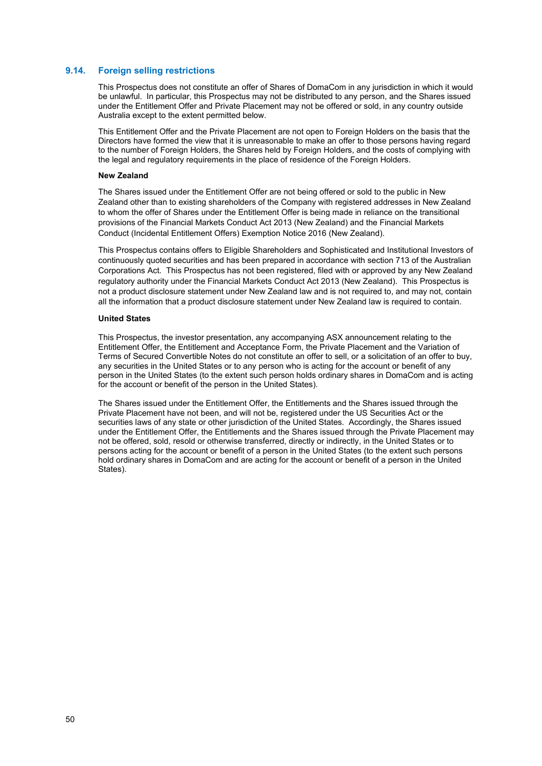#### <span id="page-49-0"></span>**9.14. Foreign selling restrictions**

This Prospectus does not constitute an offer of Shares of DomaCom in any jurisdiction in which it would be unlawful. In particular, this Prospectus may not be distributed to any person, and the Shares issued under the Entitlement Offer and Private Placement may not be offered or sold, in any country outside Australia except to the extent permitted below.

This Entitlement Offer and the Private Placement are not open to Foreign Holders on the basis that the Directors have formed the view that it is unreasonable to make an offer to those persons having regard to the number of Foreign Holders, the Shares held by Foreign Holders, and the costs of complying with the legal and regulatory requirements in the place of residence of the Foreign Holders.

#### **New Zealand**

The Shares issued under the Entitlement Offer are not being offered or sold to the public in New Zealand other than to existing shareholders of the Company with registered addresses in New Zealand to whom the offer of Shares under the Entitlement Offer is being made in reliance on the transitional provisions of the Financial Markets Conduct Act 2013 (New Zealand) and the Financial Markets Conduct (Incidental Entitlement Offers) Exemption Notice 2016 (New Zealand).

This Prospectus contains offers to Eligible Shareholders and Sophisticated and Institutional Investors of continuously quoted securities and has been prepared in accordance with section 713 of the Australian Corporations Act. This Prospectus has not been registered, filed with or approved by any New Zealand regulatory authority under the Financial Markets Conduct Act 2013 (New Zealand). This Prospectus is not a product disclosure statement under New Zealand law and is not required to, and may not, contain all the information that a product disclosure statement under New Zealand law is required to contain.

#### **United States**

This Prospectus, the investor presentation, any accompanying ASX announcement relating to the Entitlement Offer, the Entitlement and Acceptance Form, the Private Placement and the Variation of Terms of Secured Convertible Notes do not constitute an offer to sell, or a solicitation of an offer to buy, any securities in the United States or to any person who is acting for the account or benefit of any person in the United States (to the extent such person holds ordinary shares in DomaCom and is acting for the account or benefit of the person in the United States).

The Shares issued under the Entitlement Offer, the Entitlements and the Shares issued through the Private Placement have not been, and will not be, registered under the US Securities Act or the securities laws of any state or other jurisdiction of the United States. Accordingly, the Shares issued under the Entitlement Offer, the Entitlements and the Shares issued through the Private Placement may not be offered, sold, resold or otherwise transferred, directly or indirectly, in the United States or to persons acting for the account or benefit of a person in the United States (to the extent such persons hold ordinary shares in DomaCom and are acting for the account or benefit of a person in the United States).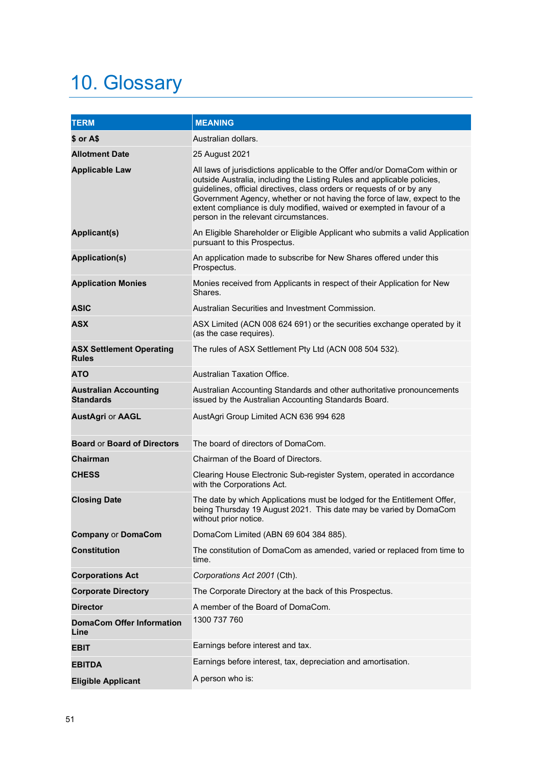## <span id="page-50-0"></span>10. Glossary

| <b>TERM</b>                                      | <b>MEANING</b>                                                                                                                                                                                                                                                                                                                                                                                                                |
|--------------------------------------------------|-------------------------------------------------------------------------------------------------------------------------------------------------------------------------------------------------------------------------------------------------------------------------------------------------------------------------------------------------------------------------------------------------------------------------------|
| \$ or A\$                                        | Australian dollars.                                                                                                                                                                                                                                                                                                                                                                                                           |
| <b>Allotment Date</b>                            | 25 August 2021                                                                                                                                                                                                                                                                                                                                                                                                                |
| <b>Applicable Law</b>                            | All laws of jurisdictions applicable to the Offer and/or DomaCom within or<br>outside Australia, including the Listing Rules and applicable policies,<br>guidelines, official directives, class orders or requests of or by any<br>Government Agency, whether or not having the force of law, expect to the<br>extent compliance is duly modified, waived or exempted in favour of a<br>person in the relevant circumstances. |
| <b>Applicant(s)</b>                              | An Eligible Shareholder or Eligible Applicant who submits a valid Application<br>pursuant to this Prospectus.                                                                                                                                                                                                                                                                                                                 |
| <b>Application(s)</b>                            | An application made to subscribe for New Shares offered under this<br>Prospectus.                                                                                                                                                                                                                                                                                                                                             |
| <b>Application Monies</b>                        | Monies received from Applicants in respect of their Application for New<br>Shares.                                                                                                                                                                                                                                                                                                                                            |
| <b>ASIC</b>                                      | Australian Securities and Investment Commission.                                                                                                                                                                                                                                                                                                                                                                              |
| <b>ASX</b>                                       | ASX Limited (ACN 008 624 691) or the securities exchange operated by it<br>(as the case requires).                                                                                                                                                                                                                                                                                                                            |
| <b>ASX Settlement Operating</b><br><b>Rules</b>  | The rules of ASX Settlement Pty Ltd (ACN 008 504 532).                                                                                                                                                                                                                                                                                                                                                                        |
| ATO                                              | Australian Taxation Office.                                                                                                                                                                                                                                                                                                                                                                                                   |
| <b>Australian Accounting</b><br><b>Standards</b> | Australian Accounting Standards and other authoritative pronouncements<br>issued by the Australian Accounting Standards Board.                                                                                                                                                                                                                                                                                                |
| <b>AustAgri or AAGL</b>                          | AustAgri Group Limited ACN 636 994 628                                                                                                                                                                                                                                                                                                                                                                                        |
| <b>Board or Board of Directors</b>               | The board of directors of DomaCom.                                                                                                                                                                                                                                                                                                                                                                                            |
| Chairman                                         | Chairman of the Board of Directors.                                                                                                                                                                                                                                                                                                                                                                                           |
| <b>CHESS</b>                                     | Clearing House Electronic Sub-register System, operated in accordance<br>with the Corporations Act.                                                                                                                                                                                                                                                                                                                           |
| <b>Closing Date</b>                              | The date by which Applications must be lodged for the Entitlement Offer,<br>being Thursday 19 August 2021. This date may be varied by DomaCom<br>without prior notice.                                                                                                                                                                                                                                                        |
| <b>Company or DomaCom</b>                        | DomaCom Limited (ABN 69 604 384 885).                                                                                                                                                                                                                                                                                                                                                                                         |
| <b>Constitution</b>                              | The constitution of DomaCom as amended, varied or replaced from time to<br>time.                                                                                                                                                                                                                                                                                                                                              |
| <b>Corporations Act</b>                          | Corporations Act 2001 (Cth).                                                                                                                                                                                                                                                                                                                                                                                                  |
| <b>Corporate Directory</b>                       | The Corporate Directory at the back of this Prospectus.                                                                                                                                                                                                                                                                                                                                                                       |
| <b>Director</b>                                  | A member of the Board of DomaCom.                                                                                                                                                                                                                                                                                                                                                                                             |
| <b>DomaCom Offer Information</b><br>Line         | 1300 737 760                                                                                                                                                                                                                                                                                                                                                                                                                  |
| <b>EBIT</b>                                      | Earnings before interest and tax.                                                                                                                                                                                                                                                                                                                                                                                             |
| <b>EBITDA</b>                                    | Earnings before interest, tax, depreciation and amortisation.                                                                                                                                                                                                                                                                                                                                                                 |
| <b>Eligible Applicant</b>                        | A person who is:                                                                                                                                                                                                                                                                                                                                                                                                              |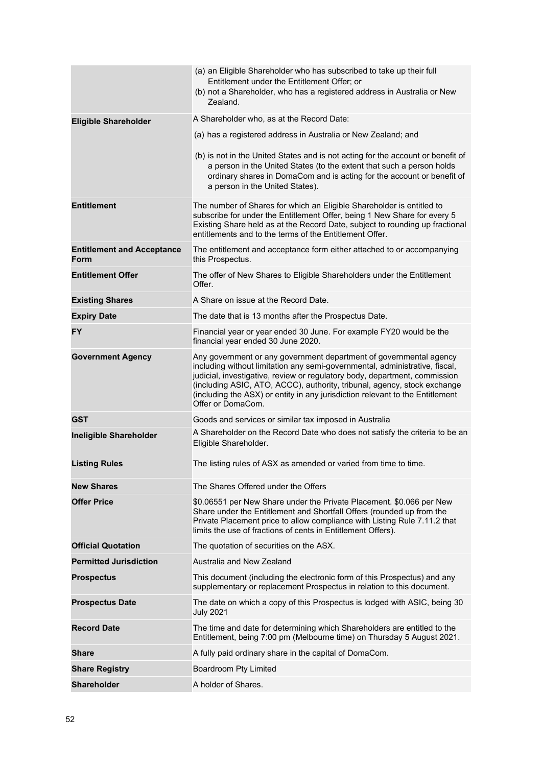|                                                  | (a) an Eligible Shareholder who has subscribed to take up their full<br>Entitlement under the Entitlement Offer; or<br>(b) not a Shareholder, who has a registered address in Australia or New<br>Zealand.                                                                                                                                                                                                        |
|--------------------------------------------------|-------------------------------------------------------------------------------------------------------------------------------------------------------------------------------------------------------------------------------------------------------------------------------------------------------------------------------------------------------------------------------------------------------------------|
| <b>Eligible Shareholder</b>                      | A Shareholder who, as at the Record Date:                                                                                                                                                                                                                                                                                                                                                                         |
|                                                  | (a) has a registered address in Australia or New Zealand; and                                                                                                                                                                                                                                                                                                                                                     |
|                                                  | (b) is not in the United States and is not acting for the account or benefit of<br>a person in the United States (to the extent that such a person holds<br>ordinary shares in DomaCom and is acting for the account or benefit of<br>a person in the United States).                                                                                                                                             |
| <b>Entitlement</b>                               | The number of Shares for which an Eligible Shareholder is entitled to<br>subscribe for under the Entitlement Offer, being 1 New Share for every 5<br>Existing Share held as at the Record Date, subject to rounding up fractional<br>entitlements and to the terms of the Entitlement Offer.                                                                                                                      |
| <b>Entitlement and Acceptance</b><br><b>Form</b> | The entitlement and acceptance form either attached to or accompanying<br>this Prospectus.                                                                                                                                                                                                                                                                                                                        |
| <b>Entitlement Offer</b>                         | The offer of New Shares to Eligible Shareholders under the Entitlement<br>Offer.                                                                                                                                                                                                                                                                                                                                  |
| <b>Existing Shares</b>                           | A Share on issue at the Record Date.                                                                                                                                                                                                                                                                                                                                                                              |
| <b>Expiry Date</b>                               | The date that is 13 months after the Prospectus Date.                                                                                                                                                                                                                                                                                                                                                             |
| <b>FY</b>                                        | Financial year or year ended 30 June. For example FY20 would be the<br>financial year ended 30 June 2020.                                                                                                                                                                                                                                                                                                         |
| <b>Government Agency</b>                         | Any government or any government department of governmental agency<br>including without limitation any semi-governmental, administrative, fiscal,<br>judicial, investigative, review or regulatory body, department, commission<br>(including ASIC, ATO, ACCC), authority, tribunal, agency, stock exchange<br>(including the ASX) or entity in any jurisdiction relevant to the Entitlement<br>Offer or DomaCom. |
| <b>GST</b>                                       | Goods and services or similar tax imposed in Australia                                                                                                                                                                                                                                                                                                                                                            |
| <b>Ineligible Shareholder</b>                    | A Shareholder on the Record Date who does not satisfy the criteria to be an<br>Eligible Shareholder.                                                                                                                                                                                                                                                                                                              |
| <b>Listing Rules</b>                             | The listing rules of ASX as amended or varied from time to time.                                                                                                                                                                                                                                                                                                                                                  |
| <b>New Shares</b>                                | The Shares Offered under the Offers                                                                                                                                                                                                                                                                                                                                                                               |
| <b>Offer Price</b>                               | \$0.06551 per New Share under the Private Placement. \$0.066 per New<br>Share under the Entitlement and Shortfall Offers (rounded up from the<br>Private Placement price to allow compliance with Listing Rule 7.11.2 that<br>limits the use of fractions of cents in Entitlement Offers).                                                                                                                        |
| <b>Official Quotation</b>                        | The quotation of securities on the ASX.                                                                                                                                                                                                                                                                                                                                                                           |
| <b>Permitted Jurisdiction</b>                    | Australia and New Zealand                                                                                                                                                                                                                                                                                                                                                                                         |
| <b>Prospectus</b>                                | This document (including the electronic form of this Prospectus) and any<br>supplementary or replacement Prospectus in relation to this document.                                                                                                                                                                                                                                                                 |
| <b>Prospectus Date</b>                           | The date on which a copy of this Prospectus is lodged with ASIC, being 30<br><b>July 2021</b>                                                                                                                                                                                                                                                                                                                     |
| <b>Record Date</b>                               | The time and date for determining which Shareholders are entitled to the<br>Entitlement, being 7:00 pm (Melbourne time) on Thursday 5 August 2021.                                                                                                                                                                                                                                                                |
| <b>Share</b>                                     | A fully paid ordinary share in the capital of DomaCom.                                                                                                                                                                                                                                                                                                                                                            |
| <b>Share Registry</b>                            | Boardroom Pty Limited                                                                                                                                                                                                                                                                                                                                                                                             |
| <b>Shareholder</b>                               | A holder of Shares.                                                                                                                                                                                                                                                                                                                                                                                               |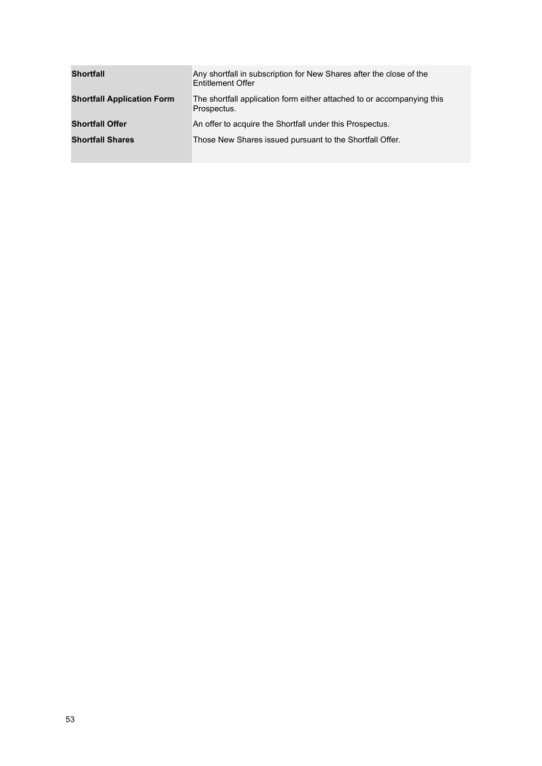| <b>Shortfall</b>                  | Any shortfall in subscription for New Shares after the close of the<br><b>Entitlement Offer</b> |
|-----------------------------------|-------------------------------------------------------------------------------------------------|
| <b>Shortfall Application Form</b> | The shortfall application form either attached to or accompanying this<br>Prospectus.           |
| <b>Shortfall Offer</b>            | An offer to acquire the Shortfall under this Prospectus.                                        |
| <b>Shortfall Shares</b>           | Those New Shares issued pursuant to the Shortfall Offer.                                        |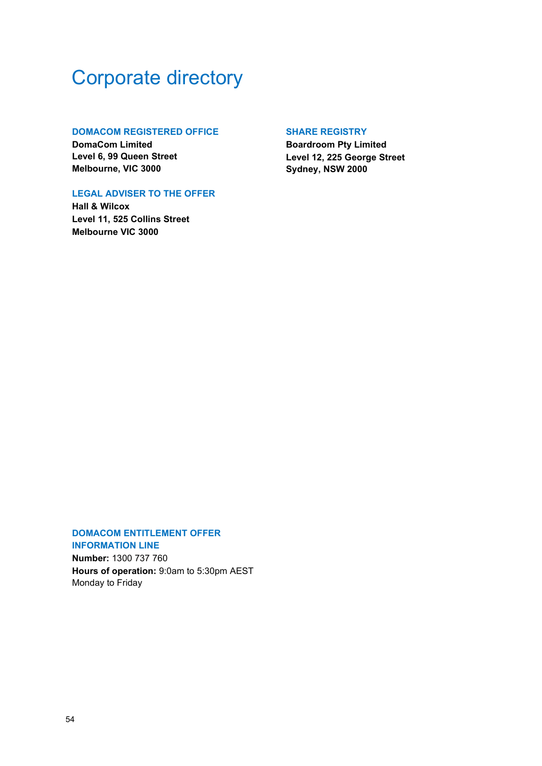## <span id="page-53-0"></span>Corporate directory

## **DOMACOM REGISTERED OFFICE**

**DomaCom Limited Level 6, 99 Queen Street Melbourne, VIC 3000**

## **LEGAL ADVISER TO THE OFFER**

**Hall & Wilcox Level 11, 525 Collins Street Melbourne VIC 3000**

## **SHARE REGISTRY**

**Boardroom Pty Limited Level 12, 225 George Street Sydney, NSW 2000**

### **DOMACOM ENTITLEMENT OFFER INFORMATION LINE**

**Number:** 1300 737 760 **Hours of operation:** 9:0am to 5:30pm AEST Monday to Friday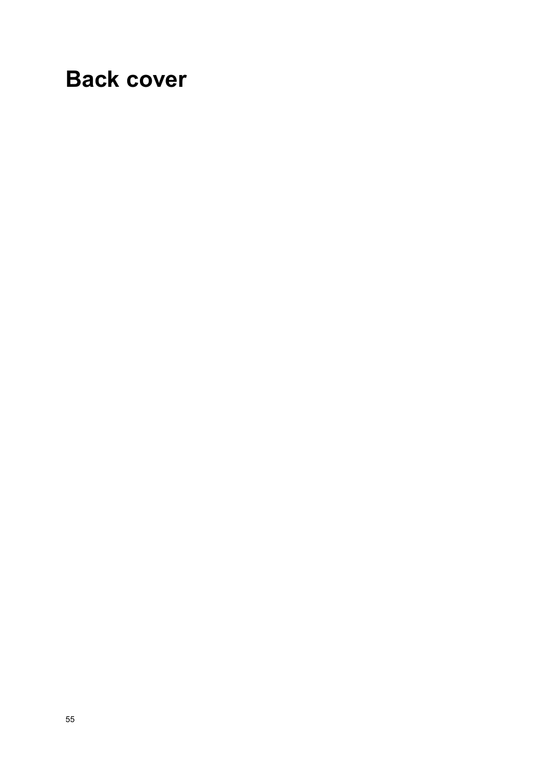## **Back cover**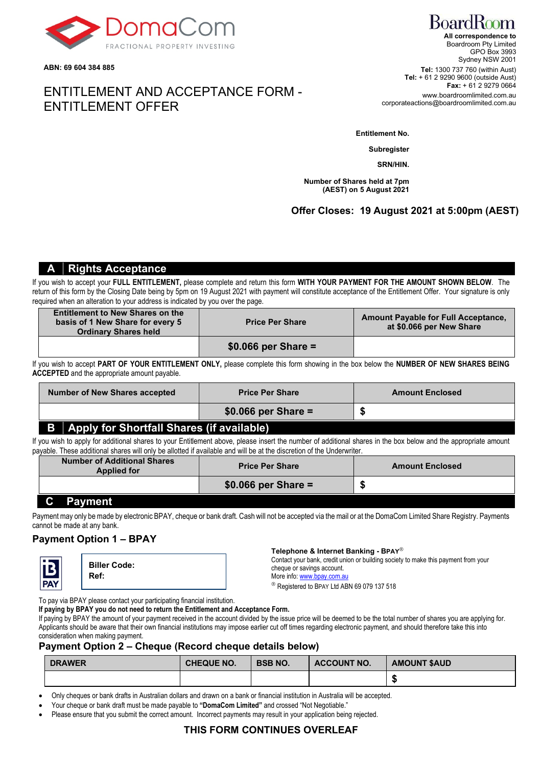

**ABN: 69 604 384 885**

## ENTITLEMENT AND ACCEPTANCE FORM - ENTITLEMENT OFFER

### **Entitlement No.**

**Subregister**

**SRN/HIN.**

**Number of Shares held at 7pm (AEST) on 5 August 2021**

## **Offer Closes: 19 August 2021 at 5:00pm (AEST)**

## **A Rights Acceptance**

If you wish to accept your **FULL ENTITLEMENT,** please complete and return this form **WITH YOUR PAYMENT FOR THE AMOUNT SHOWN BELOW**. The return of this form by the Closing Date being by 5pm on 19 August 2021 with payment will constitute acceptance of the Entitlement Offer. Your signature is only required when an alteration to your address is indicated by you over the page.

| <b>Entitlement to New Shares on the</b><br>basis of 1 New Share for every 5<br><b>Ordinary Shares held</b> | <b>Price Per Share</b> | <b>Amount Payable for Full Acceptance,</b><br>at \$0.066 per New Share |
|------------------------------------------------------------------------------------------------------------|------------------------|------------------------------------------------------------------------|
|                                                                                                            | $$0.066$ per Share =   |                                                                        |

If you wish to accept **PART OF YOUR ENTITLEMENT ONLY,** please complete this form showing in the box below the **NUMBER OF NEW SHARES BEING ACCEPTED** and the appropriate amount payable.

| <b>Number of New Shares accepted</b><br><b>Price Per Share</b> |  | <b>Amount Enclosed</b> |  |
|----------------------------------------------------------------|--|------------------------|--|
|                                                                |  | $$0.066$ per Share =   |  |
| <b>B</b> Apply for Shortfall Shares (if available)             |  |                        |  |

If you wish to apply for additional shares to your Entitlement above, please insert the number of additional shares in the box below and the appropriate amount payable. These additional shares will only be allotted if available and will be at the discretion of the Underwriter.

| <b>Number of Additional Shares</b><br><b>Applied for</b> | <b>Price Per Share</b> | <b>Amount Enclosed</b> |
|----------------------------------------------------------|------------------------|------------------------|
|                                                          | $$0.066$ per Share =   |                        |
| $\sim$<br><b>B. B. B. B. B. A.</b>                       |                        |                        |

## **C Payment**

Payment may only be made by electronic BPAY, cheque or bank draft. Cash will not be accepted via the mail or at the DomaCom Limited Share Registry. Payments cannot be made at any bank.

## **Payment Option 1 – BPAY**



**Biller Code: Ref:**

**Telephone & Internet Banking - BPAY**

Contact your bank, credit union or building society to make this payment from your cheque or savings account.

More info[: www.bpay.com.au](http://www.bpay.com.au/)

® Registered to BPAY Ltd ABN 69 079 137 518

To pay via BPAY please contact your participating financial institution.

**If paying by BPAY you do not need to return the Entitlement and Acceptance Form.**

If paying by BPAY the amount of your payment received in the account divided by the issue price will be deemed to be the total number of shares you are applying for. Applicants should be aware that their own financial institutions may impose earlier cut off times regarding electronic payment, and should therefore take this into consideration when making payment.

## **Payment Option 2 – Cheque (Record cheque details below)**

| <b>DRAWER</b> | <b>CHEQUE NO.</b> | <b>BSB NO.</b> | ACCOUNT NO. | <b>AMOUNT SAUD</b> |
|---------------|-------------------|----------------|-------------|--------------------|
|               |                   |                |             |                    |

• Only cheques or bank drafts in Australian dollars and drawn on a bank or financial institution in Australia will be accepted.

- Your cheque or bank draft must be made payable to **"DomaCom Limited"** and crossed "Not Negotiable."
- Please ensure that you submit the correct amount. Incorrect payments may result in your application being rejected.

## **THIS FORM CONTINUES OVERLEAF**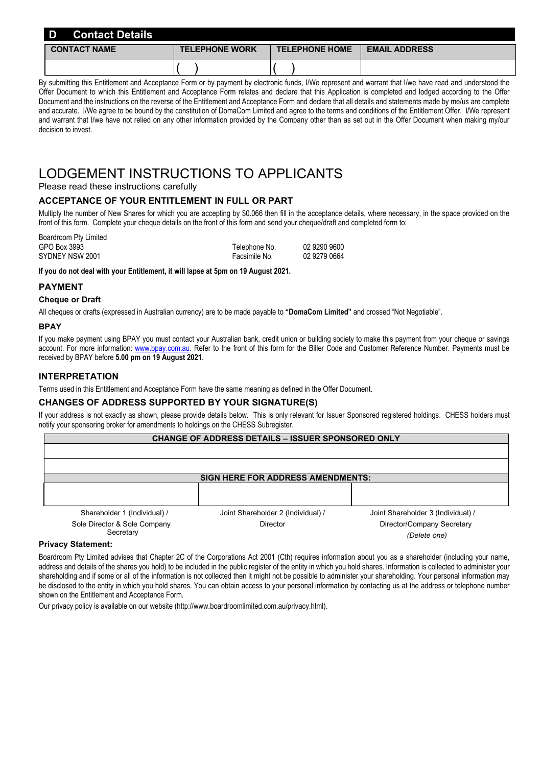| D<br><b>Contact Details</b> |                       |                       |                      |
|-----------------------------|-----------------------|-----------------------|----------------------|
| <b>CONTACT NAME</b>         | <b>TELEPHONE WORK</b> | <b>TELEPHONE HOME</b> | <b>EMAIL ADDRESS</b> |
|                             |                       |                       |                      |

By submitting this Entitlement and Acceptance Form or by payment by electronic funds, I/We represent and warrant that I/we have read and understood the Offer Document to which this Entitlement and Acceptance Form relates and declare that this Application is completed and lodged according to the Offer Document and the instructions on the reverse of the Entitlement and Acceptance Form and declare that all details and statements made by me/us are complete and accurate. I/We agree to be bound by the constitution of DomaCom Limited and agree to the terms and conditions of the Entitlement Offer. I/We represent and warrant that I/we have not relied on any other information provided by the Company other than as set out in the Offer Document when making my/our decision to invest.

## LODGEMENT INSTRUCTIONS TO APPLICANTS

Please read these instructions carefully

## **ACCEPTANCE OF YOUR ENTITLEMENT IN FULL OR PART**

Multiply the number of New Shares for which you are accepting by \$0.066 then fill in the acceptance details, where necessary, in the space provided on the front of this form. Complete your cheque details on the front of this form and send your cheque/draft and completed form to:

| Boardroom Pty Limited |               |              |
|-----------------------|---------------|--------------|
| GPO Box 3993          | Telephone No. | 02 9290 9600 |
| SYDNEY NSW 2001       | Facsimile No. | 02 9279 0664 |

**If you do not deal with your Entitlement, it will lapse at 5pm on 19 August 2021.**

## **PAYMENT**

#### **Cheque or Draft**

All cheques or drafts (expressed in Australian currency) are to be made payable to **"DomaCom Limited"** and crossed "Not Negotiable".

#### **BPAY**

If you make payment using BPAY you must contact your Australian bank, credit union or building society to make this payment from your cheque or savings account. For more information: [www.bpay.com.au.](http://www.bpay.com.au/) Refer to the front of this form for the Biller Code and Customer Reference Number. Payments must be received by BPAY before **5.00 pm on 19 August 2021**.

### **INTERPRETATION**

Terms used in this Entitlement and Acceptance Form have the same meaning as defined in the Offer Document.

### **CHANGES OF ADDRESS SUPPORTED BY YOUR SIGNATURE(S)**

If your address is not exactly as shown, please provide details below. This is only relevant for Issuer Sponsored registered holdings. CHESS holders must notify your sponsoring broker for amendments to holdings on the CHESS Subregister.

| <b>CHANGE OF ADDRESS DETAILS - ISSUER SPONSORED ONLY</b> |                                    |                                    |  |  |
|----------------------------------------------------------|------------------------------------|------------------------------------|--|--|
|                                                          |                                    |                                    |  |  |
|                                                          |                                    |                                    |  |  |
| <b>SIGN HERE FOR ADDRESS AMENDMENTS:</b>                 |                                    |                                    |  |  |
|                                                          |                                    |                                    |  |  |
|                                                          |                                    |                                    |  |  |
| Shareholder 1 (Individual) /                             | Joint Shareholder 2 (Individual) / | Joint Shareholder 3 (Individual) / |  |  |
| Sole Director & Sole Company                             | <b>Director</b>                    | Director/Company Secretary         |  |  |

## **Secretary**

*(Delete one)* **Privacy Statement:** Boardroom Pty Limited advises that Chapter 2C of the Corporations Act 2001 (Cth) requires information about you as a shareholder (including your name, address and details of the shares you hold) to be included in the public register of the entity in which you hold shares. Information is collected to administer your shareholding and if some or all of the information is not collected then it might not be possible to administer your shareholding. Your personal information may be disclosed to the entity in which you hold shares. You can obtain access to your personal information by contacting us at the address or telephone number

shown on the Entitlement and Acceptance Form.

Our privacy policy is available on our website (http://www.boardroomlimited.com.au/privacy.html).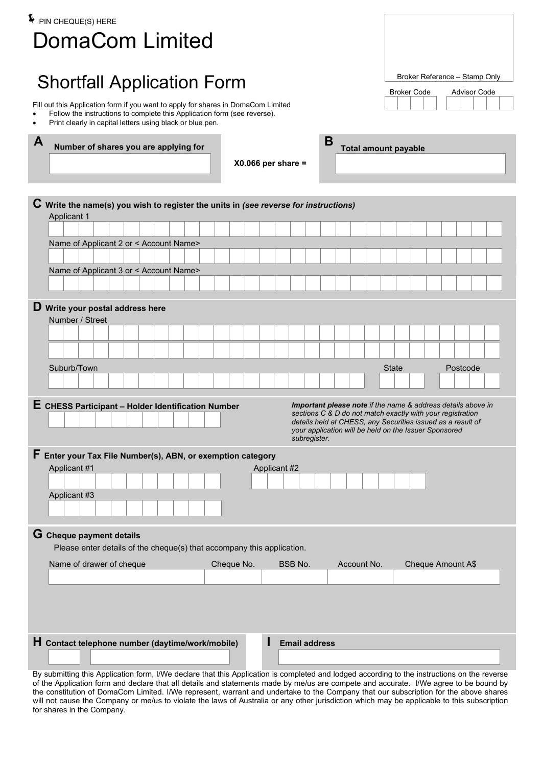| $\blacktriangleright$ PIN CHEQUE(S) HERE<br><b>DomaCom Limited</b>                                                                                                                                                                      |                                                                                                                                                                                                                                                    |
|-----------------------------------------------------------------------------------------------------------------------------------------------------------------------------------------------------------------------------------------|----------------------------------------------------------------------------------------------------------------------------------------------------------------------------------------------------------------------------------------------------|
| <b>Shortfall Application Form</b>                                                                                                                                                                                                       | Broker Reference - Stamp Only<br><b>Advisor Code</b><br><b>Broker Code</b>                                                                                                                                                                         |
| Fill out this Application form if you want to apply for shares in DomaCom Limited<br>Follow the instructions to complete this Application form (see reverse).<br>Print clearly in capital letters using black or blue pen.<br>$\bullet$ |                                                                                                                                                                                                                                                    |
| A<br>B<br>Number of shares you are applying for<br>$X0.066$ per share =                                                                                                                                                                 | <b>Total amount payable</b>                                                                                                                                                                                                                        |
| $C$ Write the name(s) you wish to register the units in (see reverse for instructions)<br><b>Applicant 1</b>                                                                                                                            |                                                                                                                                                                                                                                                    |
|                                                                                                                                                                                                                                         |                                                                                                                                                                                                                                                    |
| Name of Applicant 2 or < Account Name>                                                                                                                                                                                                  |                                                                                                                                                                                                                                                    |
| Name of Applicant 3 or < Account Name>                                                                                                                                                                                                  |                                                                                                                                                                                                                                                    |
|                                                                                                                                                                                                                                         |                                                                                                                                                                                                                                                    |
| D Write your postal address here<br>Number / Street                                                                                                                                                                                     |                                                                                                                                                                                                                                                    |
|                                                                                                                                                                                                                                         |                                                                                                                                                                                                                                                    |
| Suburb/Town                                                                                                                                                                                                                             | <b>State</b><br>Postcode                                                                                                                                                                                                                           |
| E CHESS Participant - Holder Identification Number<br>subregister.                                                                                                                                                                      | Important please note if the name & address details above in<br>sections C & D do not match exactly with your registration<br>details held at CHESS, any Securities issued as a result of<br>your application will be held on the Issuer Sponsored |
| $\mathsf F$ Enter your Tax File Number(s), ABN, or exemption category<br>Applicant #1<br>Applicant #2<br>Applicant #3                                                                                                                   |                                                                                                                                                                                                                                                    |
| G Cheque payment details                                                                                                                                                                                                                |                                                                                                                                                                                                                                                    |
| Please enter details of the cheque(s) that accompany this application.                                                                                                                                                                  |                                                                                                                                                                                                                                                    |
| Name of drawer of cheque<br>Cheque No.<br>Account No.<br>BSB No.                                                                                                                                                                        | Cheque Amount A\$                                                                                                                                                                                                                                  |
|                                                                                                                                                                                                                                         |                                                                                                                                                                                                                                                    |
| H Contact telephone number (daytime/work/mobile)<br><b>Email address</b><br>By outpointing this Application form JANs declare that this Application is completed and ledged according to the instructio                                 |                                                                                                                                                                                                                                                    |

By submitting this Application form, I/We declare that this Application is completed and lodged according to the instructions on the reverse of the Application form and declare that all details and statements made by me/us are compete and accurate. I/We agree to be bound by the constitution of DomaCom Limited. I/We represent, warrant and undertake to the Company that our subscription for the above shares will not cause the Company or me/us to violate the laws of Australia or any other jurisdiction which may be applicable to this subscription for shares in the Company.